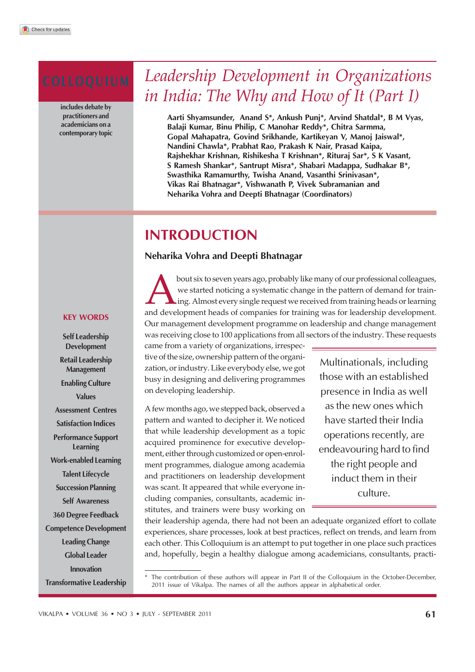includes debate by practitioners and academicians on a contemporary topic

# COLLOQUIUM *Leadership Development in Organizations in India: The Why and How of It (Part I)*

Aarti Shyamsunder, Anand S\*, Ankush Punj\*, Arvind Shatdal\*, B M Vyas, Balaji Kumar, Binu Philip, C Manohar Reddy\*, Chitra Sarmma, Gopal Mahapatra, Govind Srikhande, Kartikeyan V, Manoj Jaiswal\*, Nandini Chawla\*, Prabhat Rao, Prakash K Nair, Prasad Kaipa, Rajshekhar Krishnan, Rishikesha T Krishnan\*, Rituraj Sar\*, S K Vasant, S Ramesh Shankar\*, Santrupt Misra\*, Shabari Madappa, Sudhakar B\*, Swasthika Ramamurthy, Twisha Anand, Vasanthi Srinivasan\*, Vikas Rai Bhatnagar\*, Vishwanath P, Vivek Subramanian and Neharika Vohra and Deepti Bhatnagar (Coordinators)

# INTRODUCTION

# Neharika Vohra and Deepti Bhatnagar

bout six to seven years ago, probably like many of our professional colleagues, we started noticing a systematic change in the pattern of demand for training. Almost every single request we received from training heads or bout six to seven years ago, probably like many of our professional colleagues, we started noticing a systematic change in the pattern of demand for training. Almost every single request we received from training heads or learning Our management development programme on leadership and change management was receiving close to 100 applications from all sectors of the industry. These requests

came from a variety of organizations, irrespective of the size, ownership pattern of the organization, or industry. Like everybody else, we got busy in designing and delivering programmes on developing leadership.

A few months ago, we stepped back, observed a pattern and wanted to decipher it. We noticed that while leadership development as a topic acquired prominence for executive development, either through customized or open-enrolment programmes, dialogue among academia and practitioners on leadership development was scant. It appeared that while everyone including companies, consultants, academic institutes, and trainers were busy working on

Multinationals, including those with an established presence in India as well as the new ones which have started their India operations recently, are endeavouring hard to find the right people and induct them in their culture.

their leadership agenda, there had not been an adequate organized effort to collate experiences, share processes, look at best practices, reflect on trends, and learn from each other. This Colloquium is an attempt to put together in one place such practices and, hopefully, begin a healthy dialogue among academicians, consultants, practi-

#### KEY WORDS

Self Leadership Development Retail Leadership Management Enabling Culture Values Assessment Centres Satisfaction Indices Performance Support Learning Work-enabled Learning Talent Lifecycle Succession Planning Self Awareness 360 Degree Feedback Competence Development Leading Change Global Leader Innovation Transformative Leadership

<sup>\*</sup> The contribution of these authors will appear in Part II of the Colloquium in the October-December, 2011 issue of Vikalpa. The names of all the authors appear in alphabetical order.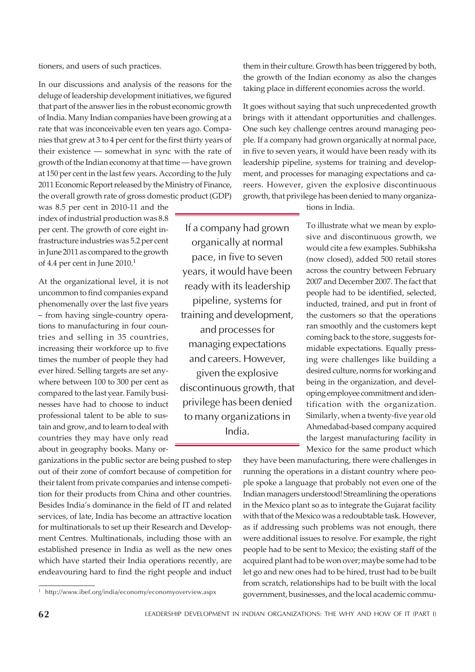tioners, and users of such practices.

In our discussions and analysis of the reasons for the deluge of leadership development initiatives, we figured that part of the answer lies in the robust economic growth of India. Many Indian companies have been growing at a rate that was inconceivable even ten years ago. Companies that grew at 3 to 4 per cent for the first thirty years of their existence — somewhat in sync with the rate of growth of the Indian economy at that time — have grown at 150 per cent in the last few years. According to the July 2011 Economic Report released by the Ministry of Finance, the overall growth rate of gross domestic product (GDP)

was 8.5 per cent in 2010-11 and the index of industrial production was 8.8 per cent. The growth of core eight infrastructure industries was 5.2 per cent in June 2011 as compared to the growth of 4.4 per cent in June 2010.<sup>1</sup>

At the organizational level, it is not uncommon to find companies expand phenomenally over the last five years – from having single-country operations to manufacturing in four countries and selling in 35 countries, increasing their workforce up to five times the number of people they had ever hired. Selling targets are set anywhere between 100 to 300 per cent as compared to the last year. Family businesses have had to choose to induct professional talent to be able to sustain and grow, and to learn to deal with countries they may have only read about in geography books. Many or-

ganizations in the public sector are being pushed to step out of their zone of comfort because of competition for their talent from private companies and intense competition for their products from China and other countries. Besides India's dominance in the field of IT and related services, of late, India has become an attractive location for multinationals to set up their Research and Development Centres. Multinationals, including those with an established presence in India as well as the new ones which have started their India operations recently, are endeavouring hard to find the right people and induct them in their culture. Growth has been triggered by both, the growth of the Indian economy as also the changes taking place in different economies across the world.

It goes without saying that such unprecedented growth brings with it attendant opportunities and challenges. One such key challenge centres around managing people. If a company had grown organically at normal pace, in five to seven years, it would have been ready with its leadership pipeline, systems for training and development, and processes for managing expectations and careers. However, given the explosive discontinuous growth, that privilege has been denied to many organiza-

tions in India.

If a company had grown organically at normal pace, in five to seven years, it would have been ready with its leadership pipeline, systems for training and development, and processes for managing expectations and careers. However, given the explosive discontinuous growth, that privilege has been denied to many organizations in India.

To illustrate what we mean by explosive and discontinuous growth, we would cite a few examples. Subhiksha (now closed), added 500 retail stores across the country between February 2007 and December 2007. The fact that people had to be identified, selected, inducted, trained, and put in front of the customers so that the operations ran smoothly and the customers kept coming back to the store, suggests formidable expectations. Equally pressing were challenges like building a desired culture, norms for working and being in the organization, and developing employee commitment and identification with the organization. Similarly, when a twenty-five year old Ahmedabad-based company acquired the largest manufacturing facility in Mexico for the same product which

they have been manufacturing, there were challenges in running the operations in a distant country where people spoke a language that probably not even one of the Indian managers understood! Streamlining the operations in the Mexico plant so as to integrate the Gujarat facility with that of the Mexico was a redoubtable task. However, as if addressing such problems was not enough, there were additional issues to resolve. For example, the right people had to be sent to Mexico; the existing staff of the acquired plant had to be won over; maybe some had to be let go and new ones had to be hired, trust had to be built from scratch, relationships had to be built with the local <sup>1</sup> http://www.ibef.org/india/economy/economyoverview.aspx government, businesses, and the local academic commu-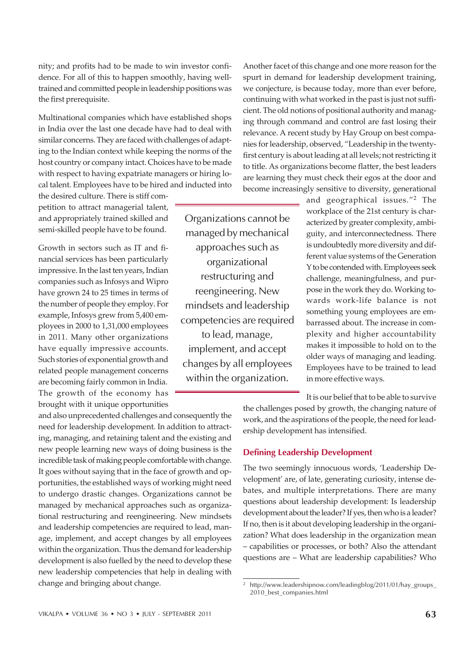nity; and profits had to be made to win investor confidence. For all of this to happen smoothly, having welltrained and committed people in leadership positions was the first prerequisite.

Multinational companies which have established shops in India over the last one decade have had to deal with similar concerns. They are faced with challenges of adapting to the Indian context while keeping the norms of the host country or company intact. Choices have to be made with respect to having expatriate managers or hiring local talent. Employees have to be hired and inducted into

the desired culture. There is stiff competition to attract managerial talent, and appropriately trained skilled and semi-skilled people have to be found.

Growth in sectors such as IT and financial services has been particularly impressive. In the last ten years, Indian companies such as Infosys and Wipro have grown 24 to 25 times in terms of the number of people they employ. For example, Infosys grew from 5,400 employees in 2000 to 1,31,000 employees in 2011. Many other organizations have equally impressive accounts. Such stories of exponential growth and related people management concerns are becoming fairly common in India. The growth of the economy has brought with it unique opportunities

and also unprecedented challenges and consequently the need for leadership development. In addition to attracting, managing, and retaining talent and the existing and new people learning new ways of doing business is the incredible task of making people comfortable with change. It goes without saying that in the face of growth and opportunities, the established ways of working might need to undergo drastic changes. Organizations cannot be managed by mechanical approaches such as organizational restructuring and reengineering. New mindsets and leadership competencies are required to lead, manage, implement, and accept changes by all employees within the organization. Thus the demand for leadership development is also fuelled by the need to develop these new leadership competencies that help in dealing with change and bringing about change.

Organizations cannot be managed by mechanical approaches such as organizational restructuring and reengineering. New mindsets and leadership competencies are required to lead, manage, implement, and accept changes by all employees within the organization.

Another facet of this change and one more reason for the spurt in demand for leadership development training, we conjecture, is because today, more than ever before, continuing with what worked in the past is just not sufficient. The old notions of positional authority and managing through command and control are fast losing their relevance. A recent study by Hay Group on best companies for leadership, observed, "Leadership in the twentyfirst century is about leading at all levels; not restricting it to title. As organizations become flatter, the best leaders are learning they must check their egos at the door and become increasingly sensitive to diversity, generational

> and geographical issues."<sup>2</sup> The workplace of the 21st century is characterized by greater complexity, ambiguity, and interconnectedness. There is undoubtedly more diversity and different value systems of the Generation Y to be contended with. Employees seek challenge, meaningfulness, and purpose in the work they do. Working towards work-life balance is not something young employees are embarrassed about. The increase in complexity and higher accountability makes it impossible to hold on to the older ways of managing and leading. Employees have to be trained to lead in more effective ways.

> It is our belief that to be able to survive

the challenges posed by growth, the changing nature of work, and the aspirations of the people, the need for leadership development has intensified.

# Defining Leadership Development

The two seemingly innocuous words, 'Leadership Development' are, of late, generating curiosity, intense debates, and multiple interpretations. There are many questions about leadership development: Is leadership development about the leader? If yes, then who is a leader? If no, then is it about developing leadership in the organization? What does leadership in the organization mean – capabilities or processes, or both? Also the attendant questions are – What are leadership capabilities? Who

<sup>2</sup> http://www.leadershipnow.com/leadingblog/2011/01/hay\_groups\_ 2010 best\_companies.html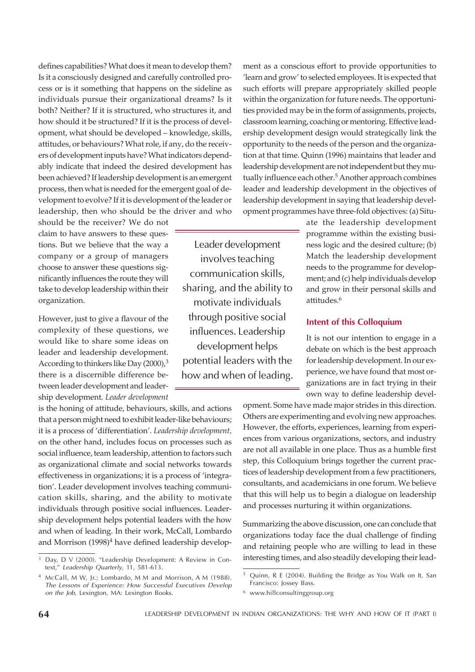defines capabilities? What does it mean to develop them? Is it a consciously designed and carefully controlled process or is it something that happens on the sideline as individuals pursue their organizational dreams? Is it both? Neither? If it is structured, who structures it, and how should it be structured? If it is the process of development, what should be developed – knowledge, skills, attitudes, or behaviours? What role, if any, do the receivers of development inputs have? What indicators dependably indicate that indeed the desired development has been achieved? If leadership development is an emergent process, then what is needed for the emergent goal of development to evolve? If it is development of the leader or leadership, then who should be the driver and who

should be the receiver? We do not claim to have answers to these questions. But we believe that the way a company or a group of managers choose to answer these questions significantly influences the route they will take to develop leadership within their organization.

However, just to give a flavour of the complexity of these questions, we would like to share some ideas on leader and leadership development. According to thinkers like Day (2000),<sup>3</sup> there is a discernible difference between leader development and leadership development. *Leader development*

is the honing of attitude, behaviours, skills, and actions that a person might need to exhibit leader-like behaviours; it is a process of 'differentiation'. *Leadership development,* on the other hand, includes focus on processes such as social influence, team leadership, attention to factors such as organizational climate and social networks towards effectiveness in organizations; it is a process of 'integration'. Leader development involves teaching communication skills, sharing, and the ability to motivate individuals through positive social influences. Leadership development helps potential leaders with the how and when of leading. In their work, McCall, Lombardo and Morrison (1998)<sup>4</sup> have defined leadership develop-

text," Leadership Quarterly, 11, 581-613.

<sup>4</sup> McCall, M W, Jr.; Lombardo, M M and Morrison, A M (1988). The Lessons of Experience: How Successful Executives Develop on the Job, Lexington, MA: Lexington Books.

Leader development involves teaching communication skills, sharing, and the ability to motivate individuals through positive social influences. Leadership development helps potential leaders with the how and when of leading.

ment as a conscious effort to provide opportunities to 'learn and grow' to selected employees. It is expected that such efforts will prepare appropriately skilled people within the organization for future needs. The opportunities provided may be in the form of assignments, projects, classroom learning, coaching or mentoring. Effective leadership development design would strategically link the opportunity to the needs of the person and the organization at that time. Quinn (1996) maintains that leader and leadership development are not independent but they mutually influence each other.<sup>5</sup> Another approach combines leader and leadership development in the objectives of leadership development in saying that leadership development programmes have three-fold objectives: (a) Situ-

> ate the leadership development programme within the existing business logic and the desired culture; (b) Match the leadership development needs to the programme for development; and (c) help individuals develop and grow in their personal skills and attitudes.<sup>6</sup>

### Intent of this Colloquium

It is not our intention to engage in a debate on which is the best approach for leadership development. In our experience, we have found that most organizations are in fact trying in their own way to define leadership devel-

opment. Some have made major strides in this direction. Others are experimenting and evolving new approaches. However, the efforts, experiences, learning from experiences from various organizations, sectors, and industry are not all available in one place. Thus as a humble first step, this Colloquium brings together the current practices of leadership development from a few practitioners, consultants, and academicians in one forum. We believe that this will help us to begin a dialogue on leadership and processes nurturing it within organizations.

Summarizing the above discussion, one can conclude that organizations today face the dual challenge of finding and retaining people who are willing to lead in these Day, D V (2000). "Leadership Development: A Review in Con- interesting times, and also steadily developing their lead-

<sup>5</sup> Quinn, R E (2004). Building the Bridge as You Walk on It, San Francisco: Jossey Bass.

<sup>6</sup> www.hillconsultinggroup.org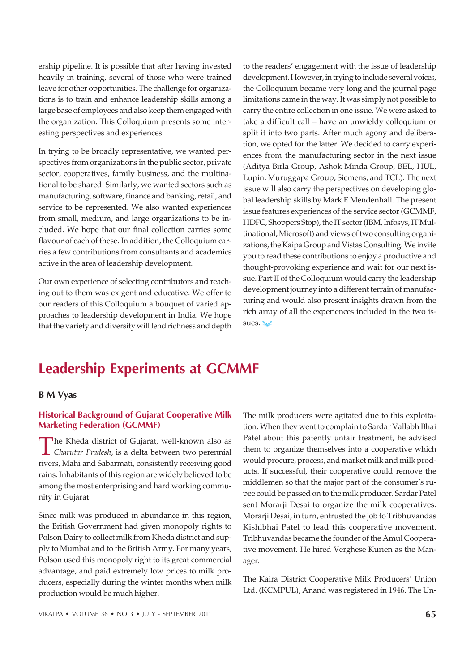ership pipeline. It is possible that after having invested heavily in training, several of those who were trained leave for other opportunities. The challenge for organizations is to train and enhance leadership skills among a large base of employees and also keep them engaged with the organization. This Colloquium presents some interesting perspectives and experiences.

In trying to be broadly representative, we wanted perspectives from organizations in the public sector, private sector, cooperatives, family business, and the multinational to be shared. Similarly, we wanted sectors such as manufacturing, software, finance and banking, retail, and service to be represented. We also wanted experiences from small, medium, and large organizations to be included. We hope that our final collection carries some flavour of each of these. In addition, the Colloquium carries a few contributions from consultants and academics active in the area of leadership development.

Our own experience of selecting contributors and reaching out to them was exigent and educative. We offer to our readers of this Colloquium a bouquet of varied approaches to leadership development in India. We hope that the variety and diversity will lend richness and depth

to the readers' engagement with the issue of leadership development. However, in trying to include several voices, the Colloquium became very long and the journal page limitations came in the way. It was simply not possible to carry the entire collection in one issue. We were asked to take a difficult call – have an unwieldy colloquium or split it into two parts. After much agony and deliberation, we opted for the latter. We decided to carry experiences from the manufacturing sector in the next issue (Aditya Birla Group, Ashok Minda Group, BEL, HUL, Lupin, Muruggapa Group, Siemens, and TCL). The next issue will also carry the perspectives on developing global leadership skills by Mark E Mendenhall. The present issue features experiences of the service sector (GCMMF, HDFC, Shoppers Stop), the IT sector (IBM, Infosys, IT Multinational, Microsoft) and views of two consulting organizations, the Kaipa Group and Vistas Consulting. We invite you to read these contributions to enjoy a productive and thought-provoking experience and wait for our next issue. Part II of the Colloquium would carry the leadership development journey into a different terrain of manufacturing and would also present insights drawn from the rich array of all the experiences included in the two issues.

# Leadership Experiments at GCMMF

#### B M Vyas

# Historical Background of Gujarat Cooperative Milk Marketing Federation (GCMMF)

The Kheda district of Gujarat, well-known also as<br>Charutar Pradesh, is a delta between two perennial *Charutar Pradesh*, is a delta between two perennial rivers, Mahi and Sabarmati, consistently receiving good rains. Inhabitants of this region are widely believed to be among the most enterprising and hard working community in Gujarat.

Since milk was produced in abundance in this region, the British Government had given monopoly rights to Polson Dairy to collect milk from Kheda district and supply to Mumbai and to the British Army. For many years, Polson used this monopoly right to its great commercial advantage, and paid extremely low prices to milk producers, especially during the winter months when milk production would be much higher.

The milk producers were agitated due to this exploitation. When they went to complain to Sardar Vallabh Bhai Patel about this patently unfair treatment, he advised them to organize themselves into a cooperative which would procure, process, and market milk and milk products. If successful, their cooperative could remove the middlemen so that the major part of the consumer's rupee could be passed on to the milk producer. Sardar Patel sent Morarji Desai to organize the milk cooperatives. Morarji Desai, in turn, entrusted the job to Tribhuvandas Kishibhai Patel to lead this cooperative movement. Tribhuvandas became the founder of the Amul Cooperative movement. He hired Verghese Kurien as the Manager.

The Kaira District Cooperative Milk Producers' Union Ltd. (KCMPUL), Anand was registered in 1946. The Un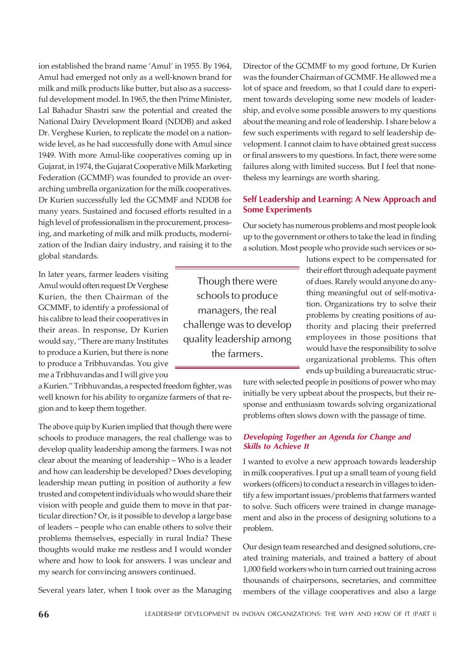ion established the brand name 'Amul' in 1955. By 1964, Amul had emerged not only as a well-known brand for milk and milk products like butter, but also as a successful development model. In 1965, the then Prime Minister, Lal Bahadur Shastri saw the potential and created the National Dairy Development Board (NDDB) and asked Dr. Verghese Kurien, to replicate the model on a nationwide level, as he had successfully done with Amul since 1949. With more Amul-like cooperatives coming up in Gujarat, in 1974, the Gujarat Cooperative Milk Marketing Federation (GCMMF) was founded to provide an overarching umbrella organization for the milk cooperatives. Dr Kurien successfully led the GCMMF and NDDB for many years. Sustained and focused efforts resulted in a high level of professionalism in the procurement, processing, and marketing of milk and milk products, modernization of the Indian dairy industry, and raising it to the global standards.

In later years, farmer leaders visiting Amul would often request Dr Verghese Kurien, the then Chairman of the GCMMF, to identify a professional of his calibre to lead their cooperatives in their areas. In response, Dr Kurien would say, "There are many Institutes to produce a Kurien, but there is none to produce a Tribhuvandas. You give me a Tribhuvandas and I will give you

a Kurien." Tribhuvandas, a respected freedom fighter, was well known for his ability to organize farmers of that region and to keep them together.

The above quip by Kurien implied that though there were schools to produce managers, the real challenge was to develop quality leadership among the farmers. I was not clear about the meaning of leadership – Who is a leader and how can leadership be developed? Does developing leadership mean putting in position of authority a few trusted and competent individuals who would share their vision with people and guide them to move in that particular direction? Or, is it possible to develop a large base of leaders – people who can enable others to solve their problems themselves, especially in rural India? These thoughts would make me restless and I would wonder where and how to look for answers. I was unclear and my search for convincing answers continued.

Several years later, when I took over as the Managing

Director of the GCMMF to my good fortune, Dr Kurien was the founder Chairman of GCMMF. He allowed me a lot of space and freedom, so that I could dare to experiment towards developing some new models of leadership, and evolve some possible answers to my questions about the meaning and role of leadership. I share below a few such experiments with regard to self leadership development. I cannot claim to have obtained great success or final answers to my questions. In fact, there were some failures along with limited success. But I feel that nonetheless my learnings are worth sharing.

# Self Leadership and Learning: A New Approach and Some Experiments

Our society has numerous problems and most people look up to the government or others to take the lead in finding a solution. Most people who provide such services or so-

Though there were schools to produce managers, the real challenge was to develop quality leadership among the farmers.

lutions expect to be compensated for their effort through adequate payment of dues. Rarely would anyone do anything meaningful out of self-motivation. Organizations try to solve their problems by creating positions of authority and placing their preferred employees in those positions that would have the responsibility to solve organizational problems. This often ends up building a bureaucratic struc-

ture with selected people in positions of power who may initially be very upbeat about the prospects, but their response and enthusiasm towards solving organizational problems often slows down with the passage of time.

### Developing Together an Agenda for Change and Skills to Achieve It

I wanted to evolve a new approach towards leadership in milk cooperatives. I put up a small team of young field workers (officers) to conduct a research in villages to identify a few important issues/problems that farmers wanted to solve. Such officers were trained in change management and also in the process of designing solutions to a problem.

Our design team researched and designed solutions, created training materials, and trained a battery of about 1,000 field workers who in turn carried out training across thousands of chairpersons, secretaries, and committee members of the village cooperatives and also a large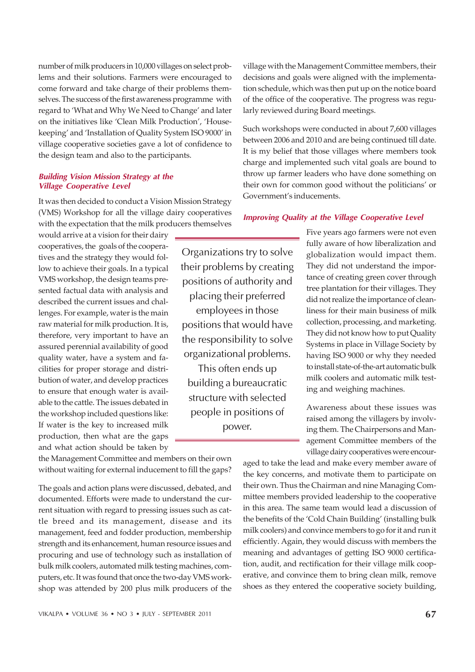number of milk producers in 10,000 villages on select problems and their solutions. Farmers were encouraged to come forward and take charge of their problems themselves. The success of the first awareness programme with regard to 'What and Why We Need to Change' and later on the initiatives like 'Clean Milk Production', 'Housekeeping' and 'Installation of Quality System ISO 9000' in village cooperative societies gave a lot of confidence to the design team and also to the participants.

#### Building Vision Mission Strategy at the Village Cooperative Level

It was then decided to conduct a Vision Mission Strategy (VMS) Workshop for all the village dairy cooperatives with the expectation that the milk producers themselves

would arrive at a vision for their dairy cooperatives, the goals of the cooperatives and the strategy they would follow to achieve their goals. In a typical VMS workshop, the design teams presented factual data with analysis and described the current issues and challenges. For example, water is the main raw material for milk production. It is, therefore, very important to have an assured perennial availability of good quality water, have a system and facilities for proper storage and distribution of water, and develop practices to ensure that enough water is available to the cattle. The issues debated in the workshop included questions like: If water is the key to increased milk production, then what are the gaps and what action should be taken by

the Management Committee and members on their own without waiting for external inducement to fill the gaps?

The goals and action plans were discussed, debated, and documented. Efforts were made to understand the current situation with regard to pressing issues such as cattle breed and its management, disease and its management, feed and fodder production, membership strength and its enhancement, human resource issues and procuring and use of technology such as installation of bulk milk coolers, automated milk testing machines, computers, etc. It was found that once the two-day VMS workshop was attended by 200 plus milk producers of the

Organizations try to solve their problems by creating positions of authority and placing their preferred employees in those positions that would have the responsibility to solve organizational problems.

This often ends up building a bureaucratic structure with selected people in positions of power.

village with the Management Committee members, their decisions and goals were aligned with the implementation schedule, which was then put up on the notice board of the office of the cooperative. The progress was regularly reviewed during Board meetings.

Such workshops were conducted in about 7,600 villages between 2006 and 2010 and are being continued till date. It is my belief that those villages where members took charge and implemented such vital goals are bound to throw up farmer leaders who have done something on their own for common good without the politicians' or Government's inducements.

#### Improving Quality at the Village Cooperative Level

Five years ago farmers were not even fully aware of how liberalization and globalization would impact them. They did not understand the importance of creating green cover through tree plantation for their villages. They did not realize the importance of cleanliness for their main business of milk collection, processing, and marketing. They did not know how to put Quality Systems in place in Village Society by having ISO 9000 or why they needed to install state-of-the-art automatic bulk milk coolers and automatic milk testing and weighing machines.

Awareness about these issues was raised among the villagers by involving them. The Chairpersons and Management Committee members of the village dairy cooperatives were encour-

aged to take the lead and make every member aware of the key concerns, and motivate them to participate on their own. Thus the Chairman and nine Managing Committee members provided leadership to the cooperative in this area. The same team would lead a discussion of the benefits of the 'Cold Chain Building' (installing bulk milk coolers) and convince members to go for it and run it efficiently. Again, they would discuss with members the meaning and advantages of getting ISO 9000 certification, audit, and rectification for their village milk cooperative, and convince them to bring clean milk, remove shoes as they entered the cooperative society building,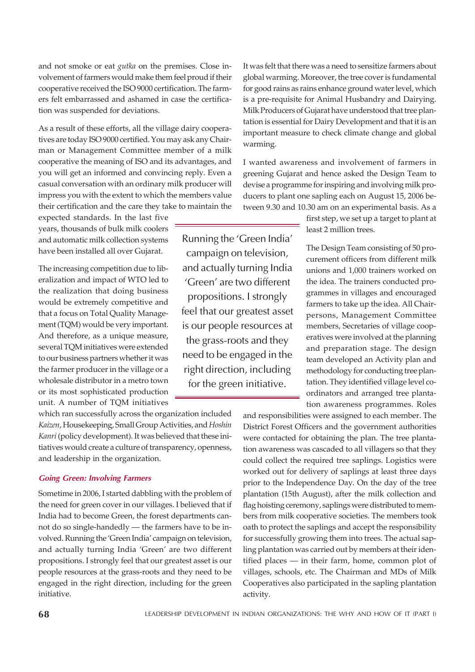and not smoke or eat *gutka* on the premises. Close involvement of farmers would make them feel proud if their cooperative received the ISO 9000 certification. The farmers felt embarrassed and ashamed in case the certification was suspended for deviations.

As a result of these efforts, all the village dairy cooperatives are today ISO 9000 certified. You may ask any Chairman or Management Committee member of a milk cooperative the meaning of ISO and its advantages, and you will get an informed and convincing reply. Even a casual conversation with an ordinary milk producer will impress you with the extent to which the members value their certification and the care they take to maintain the

expected standards. In the last five years, thousands of bulk milk coolers and automatic milk collection systems have been installed all over Gujarat.

The increasing competition due to liberalization and impact of WTO led to the realization that doing business would be extremely competitive and that a focus on Total Quality Management (TQM) would be very important. And therefore, as a unique measure, several TQM initiatives were extended to our business partners whether it was the farmer producer in the village or a wholesale distributor in a metro town or its most sophisticated production unit. A number of TQM initiatives

which ran successfully across the organization included *Kaizen*, Housekeeping, Small Group Activities, and *Hoshin Kanri* (policy development). It was believed that these initiatives would create a culture of transparency, openness, and leadership in the organization.

#### Going Green: Involving Farmers

Sometime in 2006, I started dabbling with the problem of the need for green cover in our villages. I believed that if India had to become Green, the forest departments cannot do so single-handedly — the farmers have to be involved. Running the 'Green India' campaign on television, and actually turning India 'Green' are two different propositions. I strongly feel that our greatest asset is our people resources at the grass-roots and they need to be engaged in the right direction, including for the green initiative.

Running the 'Green India' campaign on television, and actually turning India 'Green' are two different propositions. I strongly feel that our greatest asset is our people resources at the grass-roots and they need to be engaged in the right direction, including for the green initiative.

It was felt that there was a need to sensitize farmers about global warming. Moreover, the tree cover is fundamental for good rains as rains enhance ground water level, which is a pre-requisite for Animal Husbandry and Dairying. Milk Producers of Gujarat have understood that tree plantation is essential for Dairy Development and that it is an important measure to check climate change and global warming.

I wanted awareness and involvement of farmers in greening Gujarat and hence asked the Design Team to devise a programme for inspiring and involving milk producers to plant one sapling each on August 15, 2006 between 9.30 and 10.30 am on an experimental basis. As a

> first step, we set up a target to plant at least 2 million trees.

The Design Team consisting of 50 procurement officers from different milk unions and 1,000 trainers worked on the idea. The trainers conducted programmes in villages and encouraged farmers to take up the idea. All Chairpersons, Management Committee members, Secretaries of village cooperatives were involved at the planning and preparation stage. The design team developed an Activity plan and methodology for conducting tree plantation. They identified village level coordinators and arranged tree plantation awareness programmes. Roles

and responsibilities were assigned to each member. The District Forest Officers and the government authorities were contacted for obtaining the plan. The tree plantation awareness was cascaded to all villagers so that they could collect the required tree saplings. Logistics were worked out for delivery of saplings at least three days prior to the Independence Day. On the day of the tree plantation (15th August), after the milk collection and flag hoisting ceremony, saplings were distributed to members from milk cooperative societies. The members took oath to protect the saplings and accept the responsibility for successfully growing them into trees. The actual sapling plantation was carried out by members at their identified places — in their farm, home, common plot of villages, schools, etc. The Chairman and MDs of Milk Cooperatives also participated in the sapling plantation activity.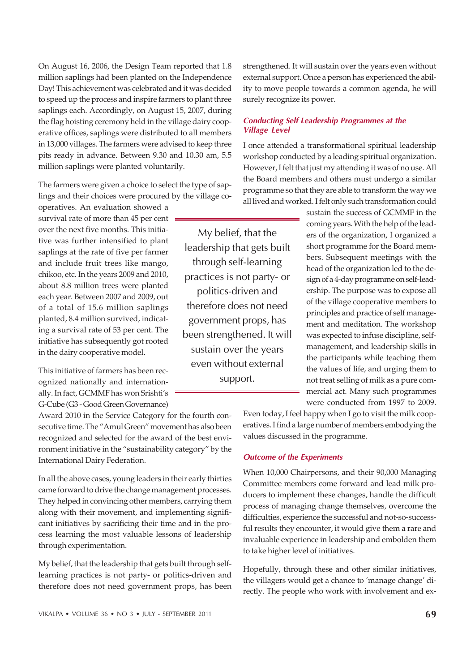On August 16, 2006, the Design Team reported that 1.8 million saplings had been planted on the Independence Day! This achievement was celebrated and it was decided to speed up the process and inspire farmers to plant three saplings each. Accordingly, on August 15, 2007, during the flag hoisting ceremony held in the village dairy cooperative offices, saplings were distributed to all members in 13,000 villages. The farmers were advised to keep three pits ready in advance. Between 9.30 and 10.30 am, 5.5 million saplings were planted voluntarily.

The farmers were given a choice to select the type of saplings and their choices were procured by the village co-

operatives. An evaluation showed a survival rate of more than 45 per cent over the next five months. This initiative was further intensified to plant saplings at the rate of five per farmer and include fruit trees like mango, chikoo, etc. In the years 2009 and 2010, about 8.8 million trees were planted each year. Between 2007 and 2009, out of a total of 15.6 million saplings planted, 8.4 million survived, indicating a survival rate of 53 per cent. The initiative has subsequently got rooted in the dairy cooperative model.

This initiative of farmers has been recognized nationally and internationally. In fact, GCMMF has won Srishti's G-Cube (G3 - Good Green Governance)

Award 2010 in the Service Category for the fourth consecutive time. The "Amul Green" movement has also been recognized and selected for the award of the best environment initiative in the "sustainability category" by the International Dairy Federation.

In all the above cases, young leaders in their early thirties came forward to drive the change management processes. They helped in convincing other members, carrying them along with their movement, and implementing significant initiatives by sacrificing their time and in the process learning the most valuable lessons of leadership through experimentation.

My belief, that the leadership that gets built through selflearning practices is not party- or politics-driven and therefore does not need government props, has been strengthened. It will sustain over the years even without external support. Once a person has experienced the ability to move people towards a common agenda, he will surely recognize its power.

### Conducting Self Leadership Programmes at the Village Level

I once attended a transformational spiritual leadership workshop conducted by a leading spiritual organization. However, I felt that just my attending it was of no use. All the Board members and others must undergo a similar programme so that they are able to transform the way we all lived and worked. I felt only such transformation could

My belief, that the leadership that gets built through self-learning practices is not party- or politics-driven and therefore does not need government props, has been strengthened. It will sustain over the years even without external support.

sustain the success of GCMMF in the coming years. With the help of the leaders of the organization, I organized a short programme for the Board members. Subsequent meetings with the head of the organization led to the design of a 4-day programme on self-leadership. The purpose was to expose all of the village cooperative members to principles and practice of self management and meditation. The workshop was expected to infuse discipline, selfmanagement, and leadership skills in the participants while teaching them the values of life, and urging them to not treat selling of milk as a pure commercial act. Many such programmes were conducted from 1997 to 2009.

Even today, I feel happy when I go to visit the milk cooperatives. I find a large number of members embodying the values discussed in the programme.

#### Outcome of the Experiments

When 10,000 Chairpersons, and their 90,000 Managing Committee members come forward and lead milk producers to implement these changes, handle the difficult process of managing change themselves, overcome the difficulties, experience the successful and not-so-successful results they encounter, it would give them a rare and invaluable experience in leadership and embolden them to take higher level of initiatives.

Hopefully, through these and other similar initiatives, the villagers would get a chance to 'manage change' directly. The people who work with involvement and ex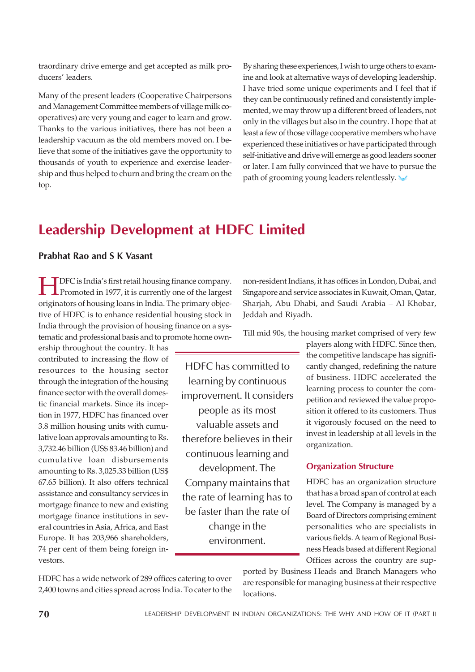traordinary drive emerge and get accepted as milk producers' leaders.

Many of the present leaders (Cooperative Chairpersons and Management Committee members of village milk cooperatives) are very young and eager to learn and grow. Thanks to the various initiatives, there has not been a leadership vacuum as the old members moved on. I believe that some of the initiatives gave the opportunity to thousands of youth to experience and exercise leadership and thus helped to churn and bring the cream on the top.

By sharing these experiences, I wish to urge others to examine and look at alternative ways of developing leadership. I have tried some unique experiments and I feel that if they can be continuously refined and consistently implemented, we may throw up a different breed of leaders, not only in the villages but also in the country. I hope that at least a few of those village cooperative members who have experienced these initiatives or have participated through self-initiative and drive will emerge as good leaders sooner or later. I am fully convinced that we have to pursue the path of grooming young leaders relentlessly.

# Leadership Development at HDFC Limited

# Prabhat Rao and S K Vasant

TDFC is India's first retail housing finance company.<br>Promoted in 1977, it is currently one of the largest<br>originators of housing loans in India. The primary objec-DFC is India's first retail housing finance company. Promoted in 1977, it is currently one of the largest tive of HDFC is to enhance residential housing stock in India through the provision of housing finance on a systematic and professional basis and to promote home own-

ership throughout the country. It has contributed to increasing the flow of resources to the housing sector through the integration of the housing finance sector with the overall domestic financial markets. Since its inception in 1977, HDFC has financed over 3.8 million housing units with cumulative loan approvals amounting to Rs. 3,732.46 billion (US\$ 83.46 billion) and cumulative loan disbursements amounting to Rs. 3,025.33 billion (US\$ 67.65 billion). It also offers technical assistance and consultancy services in mortgage finance to new and existing mortgage finance institutions in several countries in Asia, Africa, and East Europe. It has 203,966 shareholders, 74 per cent of them being foreign investors.

HDFC has committed to learning by continuous improvement. It considers people as its most valuable assets and therefore believes in their continuous learning and development. The Company maintains that the rate of learning has to be faster than the rate of change in the environment.

non-resident Indians, it has offices in London, Dubai, and Singapore and service associates in Kuwait, Oman, Qatar, Sharjah, Abu Dhabi, and Saudi Arabia – Al Khobar, Jeddah and Riyadh.

Till mid 90s, the housing market comprised of very few

players along with HDFC. Since then, the competitive landscape has significantly changed, redefining the nature of business. HDFC accelerated the learning process to counter the competition and reviewed the value proposition it offered to its customers. Thus it vigorously focused on the need to invest in leadership at all levels in the organization.

# Organization Structure

HDFC has an organization structure that has a broad span of control at each level. The Company is managed by a Board of Directors comprising eminent personalities who are specialists in various fields. A team of Regional Business Heads based at different Regional Offices across the country are sup-

HDFC has a wide network of 289 offices catering to over 2,400 towns and cities spread across India. To cater to the ported by Business Heads and Branch Managers who are responsible for managing business at their respective locations.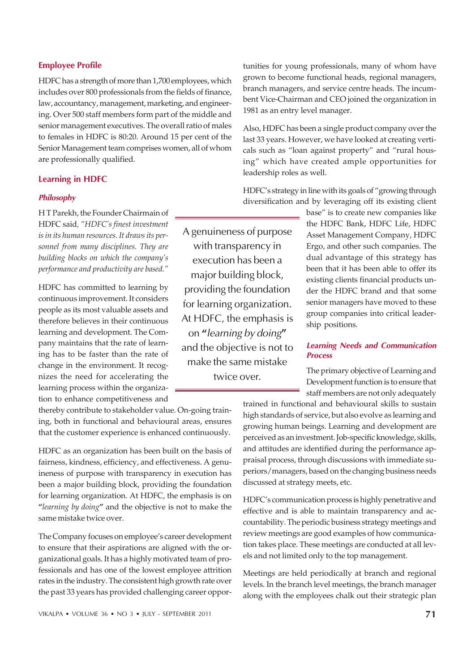# Employee Profile

HDFC has a strength of more than 1,700 employees, which includes over 800 professionals from the fields of finance, law, accountancy, management, marketing, and engineering. Over 500 staff members form part of the middle and senior management executives. The overall ratio of males to females in HDFC is 80:20. Around 15 per cent of the Senior Management team comprises women, all of whom are professionally qualified.

#### Learning in HDFC

#### Philosophy

H T Parekh, the Founder Chairmain of HDFC said*, "HDFC's finest investment is in its human resources. It draws its personnel from many disciplines. They are building blocks on which the company's performance and productivity are based."*

HDFC has committed to learning by continuous improvement. It considers people as its most valuable assets and therefore believes in their continuous learning and development. The Company maintains that the rate of learning has to be faster than the rate of change in the environment. It recognizes the need for accelerating the learning process within the organization to enhance competitiveness and

thereby contribute to stakeholder value. On-going training, both in functional and behavioural areas, ensures that the customer experience is enhanced continuously.

HDFC as an organization has been built on the basis of fairness, kindness, efficiency, and effectiveness. A genuineness of purpose with transparency in execution has been a major building block, providing the foundation for learning organization. At HDFC, the emphasis is on **"***learning by doing***"** and the objective is not to make the same mistake twice over.

The Company focuses on employee's career development to ensure that their aspirations are aligned with the organizational goals. It has a highly motivated team of professionals and has one of the lowest employee attrition rates in the industry. The consistent high growth rate over the past 33 years has provided challenging career oppor-

A genuineness of purpose with transparency in execution has been a major building block, providing the foundation for learning organization. At HDFC, the emphasis is on "learning by doing" and the objective is not to make the same mistake twice over.

tunities for young professionals, many of whom have grown to become functional heads, regional managers, branch managers, and service centre heads. The incumbent Vice-Chairman and CEO joined the organization in 1981 as an entry level manager.

Also, HDFC has been a single product company over the last 33 years. However, we have looked at creating verticals such as "loan against property" and "rural housing" which have created ample opportunities for leadership roles as well.

HDFC's strategy in line with its goals of "growing through diversification and by leveraging off its existing client

> base" is to create new companies like the HDFC Bank, HDFC Life, HDFC Asset Management Company, HDFC Ergo, and other such companies. The dual advantage of this strategy has been that it has been able to offer its existing clients financial products under the HDFC brand and that some senior managers have moved to these group companies into critical leadership positions.

### Learning Needs and Communication Process

The primary objective of Learning and Development function is to ensure that staff members are not only adequately

trained in functional and behavioural skills to sustain high standards of service, but also evolve as learning and growing human beings. Learning and development are perceived as an investment. Job-specific knowledge, skills, and attitudes are identified during the performance appraisal process, through discussions with immediate superiors/managers, based on the changing business needs discussed at strategy meets, etc.

HDFC's communication process is highly penetrative and effective and is able to maintain transparency and accountability. The periodic business strategy meetings and review meetings are good examples of how communication takes place. These meetings are conducted at all levels and not limited only to the top management.

Meetings are held periodically at branch and regional levels. In the branch level meetings, the branch manager along with the employees chalk out their strategic plan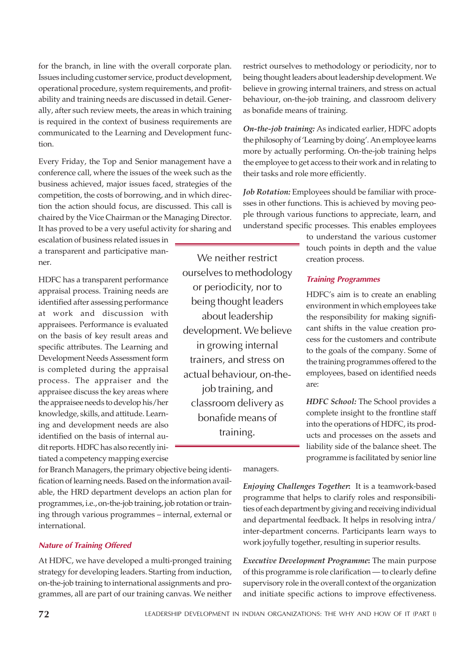for the branch, in line with the overall corporate plan. Issues including customer service, product development, operational procedure, system requirements, and profitability and training needs are discussed in detail. Generally, after such review meets, the areas in which training is required in the context of business requirements are communicated to the Learning and Development function.

Every Friday, the Top and Senior management have a conference call, where the issues of the week such as the business achieved, major issues faced, strategies of the competition, the costs of borrowing, and in which direction the action should focus, are discussed. This call is chaired by the Vice Chairman or the Managing Director. It has proved to be a very useful activity for sharing and

escalation of business related issues in a transparent and participative manner.

HDFC has a transparent performance appraisal process. Training needs are identified after assessing performance at work and discussion with appraisees. Performance is evaluated on the basis of key result areas and specific attributes. The Learning and Development Needs Assessment form is completed during the appraisal process. The appraiser and the appraisee discuss the key areas where the appraisee needs to develop his/her knowledge, skills, and attitude. Learning and development needs are also identified on the basis of internal audit reports. HDFC has also recently initiated a competency mapping exercise

We neither restrict ourselves to methodology or periodicity, nor to being thought leaders about leadership development. We believe in growing internal trainers, and stress on actual behaviour, on-thejob training, and classroom delivery as bonafide means of training.

restrict ourselves to methodology or periodicity, nor to being thought leaders about leadership development. We believe in growing internal trainers, and stress on actual behaviour, on-the-job training, and classroom delivery as bonafide means of training.

*On-the-job training:* As indicated earlier, HDFC adopts the philosophy of 'Learning by doing'. An employee learns more by actually performing. On-the-job training helps the employee to get access to their work and in relating to their tasks and role more efficiently.

*Job Rotation:* Employees should be familiar with processes in other functions. This is achieved by moving people through various functions to appreciate, learn, and understand specific processes. This enables employees

> to understand the various customer touch points in depth and the value creation process.

### Training Programmes

HDFC's aim is to create an enabling environment in which employees take the responsibility for making significant shifts in the value creation process for the customers and contribute to the goals of the company. Some of the training programmes offered to the employees, based on identified needs are:

*HDFC School:* The School provides a complete insight to the frontline staff into the operations of HDFC, its products and processes on the assets and liability side of the balance sheet. The programme is facilitated by senior line

for Branch Managers, the primary objective being identification of learning needs. Based on the information available, the HRD department develops an action plan for programmes, i.e., on-the-job training, job rotation or training through various programmes – internal, external or international.

#### Nature of Training Offered

At HDFC, we have developed a multi-pronged training strategy for developing leaders. Starting from induction, on-the-job training to international assignments and programmes, all are part of our training canvas. We neither managers.

*Enjoying Challenges Together***:** It is a teamwork-based programme that helps to clarify roles and responsibilities of each department by giving and receiving individual and departmental feedback. It helps in resolving intra/ inter-department concerns. Participants learn ways to work joyfully together, resulting in superior results.

*Executive Development Programme***:** The main purpose of this programme is role clarification — to clearly define supervisory role in the overall context of the organization and initiate specific actions to improve effectiveness.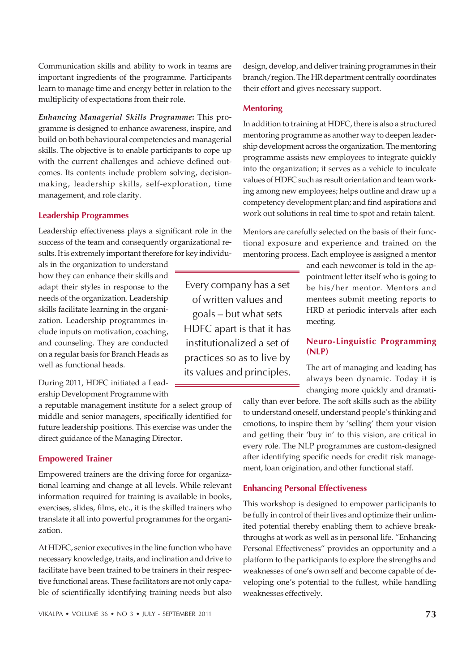Communication skills and ability to work in teams are important ingredients of the programme. Participants learn to manage time and energy better in relation to the multiplicity of expectations from their role.

*Enhancing Managerial Skills Programme***:** This programme is designed to enhance awareness, inspire, and build on both behavioural competencies and managerial skills. The objective is to enable participants to cope up with the current challenges and achieve defined outcomes. Its contents include problem solving, decisionmaking, leadership skills, self-exploration, time management, and role clarity.

# Leadership Programmes

Leadership effectiveness plays a significant role in the success of the team and consequently organizational results. It is extremely important therefore for key individu-

als in the organization to understand how they can enhance their skills and adapt their styles in response to the needs of the organization. Leadership skills facilitate learning in the organization. Leadership programmes include inputs on motivation, coaching, and counseling. They are conducted on a regular basis for Branch Heads as well as functional heads.

During 2011, HDFC initiated a Leadership Development Programme with

a reputable management institute for a select group of middle and senior managers, specifically identified for future leadership positions. This exercise was under the direct guidance of the Managing Director.

# Empowered Trainer

Empowered trainers are the driving force for organizational learning and change at all levels. While relevant information required for training is available in books, exercises, slides, films, etc., it is the skilled trainers who translate it all into powerful programmes for the organization.

At HDFC, senior executives in the line function who have necessary knowledge, traits, and inclination and drive to facilitate have been trained to be trainers in their respective functional areas. These facilitators are not only capable of scientifically identifying training needs but also

Every company has a set of written values and goals – but what sets HDFC apart is that it has institutionalized a set of practices so as to live by its values and principles.

design, develop, and deliver training programmes in their branch/region. The HR department centrally coordinates their effort and gives necessary support.

### **Mentoring**

In addition to training at HDFC, there is also a structured mentoring programme as another way to deepen leadership development across the organization. The mentoring programme assists new employees to integrate quickly into the organization; it serves as a vehicle to inculcate values of HDFC such as result orientation and team working among new employees; helps outline and draw up a competency development plan; and find aspirations and work out solutions in real time to spot and retain talent.

Mentors are carefully selected on the basis of their functional exposure and experience and trained on the mentoring process. Each employee is assigned a mentor

> and each newcomer is told in the appointment letter itself who is going to be his/her mentor. Mentors and mentees submit meeting reports to HRD at periodic intervals after each meeting.

# Neuro-Linguistic Programming (NLP)

The art of managing and leading has always been dynamic. Today it is changing more quickly and dramati-

cally than ever before. The soft skills such as the ability to understand oneself, understand people's thinking and emotions, to inspire them by 'selling' them your vision and getting their 'buy in' to this vision, are critical in every role. The NLP programmes are custom-designed after identifying specific needs for credit risk management, loan origination, and other functional staff.

# Enhancing Personal Effectiveness

This workshop is designed to empower participants to be fully in control of their lives and optimize their unlimited potential thereby enabling them to achieve breakthroughs at work as well as in personal life. "Enhancing Personal Effectiveness" provides an opportunity and a platform to the participants to explore the strengths and weaknesses of one's own self and become capable of developing one's potential to the fullest, while handling weaknesses effectively.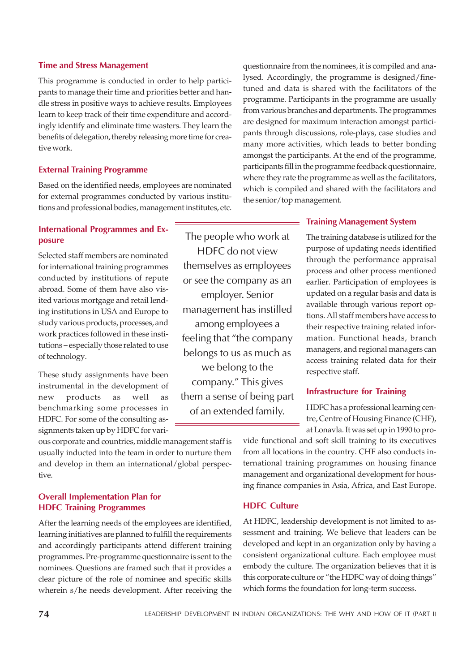#### Time and Stress Management

This programme is conducted in order to help participants to manage their time and priorities better and handle stress in positive ways to achieve results. Employees learn to keep track of their time expenditure and accordingly identify and eliminate time wasters. They learn the benefits of delegation, thereby releasing more time for creative work.

### External Training Programme

Based on the identified needs, employees are nominated for external programmes conducted by various institutions and professional bodies, management institutes, etc.

# International Programmes and Exposure

Selected staff members are nominated for international training programmes conducted by institutions of repute abroad. Some of them have also visited various mortgage and retail lending institutions in USA and Europe to study various products, processes, and work practices followed in these institutions – especially those related to use of technology.

These study assignments have been instrumental in the development of new products as well as benchmarking some processes in HDFC. For some of the consulting assignments taken up by HDFC for vari-

ous corporate and countries, middle management staff is usually inducted into the team in order to nurture them and develop in them an international/global perspective.

# Overall Implementation Plan for HDFC Training Programmes

After the learning needs of the employees are identified, learning initiatives are planned to fulfill the requirements and accordingly participants attend different training programmes. Pre-programme questionnaire is sent to the nominees. Questions are framed such that it provides a clear picture of the role of nominee and specific skills wherein s/he needs development. After receiving the

The people who work at HDFC do not view themselves as employees or see the company as an employer. Senior management has instilled among employees a feeling that "the company belongs to us as much as we belong to the company." This gives them a sense of being part of an extended family.

questionnaire from the nominees, it is compiled and analysed. Accordingly, the programme is designed/finetuned and data is shared with the facilitators of the programme. Participants in the programme are usually from various branches and departments. The programmes are designed for maximum interaction amongst participants through discussions, role-plays, case studies and many more activities, which leads to better bonding amongst the participants. At the end of the programme, participants fill in the programme feedback questionnaire, where they rate the programme as well as the facilitators, which is compiled and shared with the facilitators and the senior/top management.

### Training Management System

The training database is utilized for the purpose of updating needs identified through the performance appraisal process and other process mentioned earlier. Participation of employees is updated on a regular basis and data is available through various report options. All staff members have access to their respective training related information. Functional heads, branch managers, and regional managers can access training related data for their respective staff.

### Infrastructure for Training

HDFC has a professional learning centre, Centre of Housing Finance (CHF), at Lonavla. It was set up in 1990 to pro-

vide functional and soft skill training to its executives from all locations in the country. CHF also conducts international training programmes on housing finance management and organizational development for housing finance companies in Asia, Africa, and East Europe.

#### HDFC Culture

At HDFC, leadership development is not limited to assessment and training. We believe that leaders can be developed and kept in an organization only by having a consistent organizational culture. Each employee must embody the culture. The organization believes that it is this corporate culture or "the HDFC way of doing things" which forms the foundation for long-term success.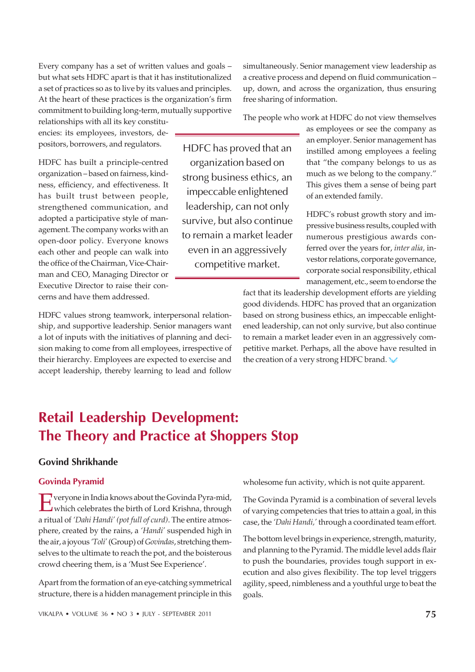Every company has a set of written values and goals – but what sets HDFC apart is that it has institutionalized a set of practices so as to live by its values and principles. At the heart of these practices is the organization's firm commitment to building long-term, mutually supportive

relationships with all its key constituencies: its employees, investors, depositors, borrowers, and regulators.

HDFC has built a principle-centred organization – based on fairness, kindness, efficiency, and effectiveness. It has built trust between people, strengthened communication, and adopted a participative style of management. The company works with an open-door policy. Everyone knows each other and people can walk into the office of the Chairman, Vice-Chairman and CEO, Managing Director or Executive Director to raise their concerns and have them addressed.

HDFC values strong teamwork, interpersonal relationship, and supportive leadership. Senior managers want a lot of inputs with the initiatives of planning and decision making to come from all employees, irrespective of their hierarchy. Employees are expected to exercise and accept leadership, thereby learning to lead and follow

HDFC has proved that an organization based on strong business ethics, an impeccable enlightened leadership, can not only survive, but also continue to remain a market leader even in an aggressively competitive market.

simultaneously. Senior management view leadership as a creative process and depend on fluid communication – up, down, and across the organization, thus ensuring free sharing of information.

The people who work at HDFC do not view themselves

as employees or see the company as an employer. Senior management has instilled among employees a feeling that "the company belongs to us as much as we belong to the company." This gives them a sense of being part of an extended family.

HDFC's robust growth story and impressive business results, coupled with numerous prestigious awards conferred over the years for, *inter alia,* investor relations, corporate governance, corporate social responsibility, ethical management, etc., seem to endorse the

fact that its leadership development efforts are yielding good dividends. HDFC has proved that an organization based on strong business ethics, an impeccable enlightened leadership, can not only survive, but also continue to remain a market leader even in an aggressively competitive market. Perhaps, all the above have resulted in the creation of a very strong HDFC brand.

# Retail Leadership Development: The Theory and Practice at Shoppers Stop

# Govind Shrikhande

# Govinda Pyramid

E veryone in India knows about the Govinda Pyra-mid,<br>which celebrates the birth of Lord Krishna, through **T** veryone in India knows about the Govinda Pyra-mid, a ritual of *'Dahi Handi' (pot full of curd)*. The entire atmosphere, created by the rains, a *'Handi'* suspended high in the air, a joyous *'Toli'* (Group) of *Govindas*, stretching themselves to the ultimate to reach the pot, and the boisterous crowd cheering them, is a 'Must See Experience'.

Apart from the formation of an eye-catching symmetrical structure, there is a hidden management principle in this wholesome fun activity, which is not quite apparent.

The Govinda Pyramid is a combination of several levels of varying competencies that tries to attain a goal, in this case, the *'Dahi Handi,'* through a coordinated team effort.

The bottom level brings in experience, strength, maturity, and planning to the Pyramid. The middle level adds flair to push the boundaries, provides tough support in execution and also gives flexibility. The top level triggers agility, speed, nimbleness and a youthful urge to beat the goals.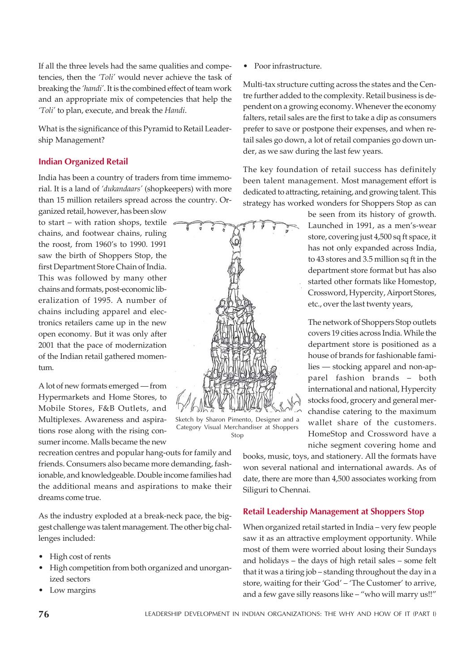If all the three levels had the same qualities and competencies, then the *'Toli'* would never achieve the task of breaking the *'handi'*. It is the combined effect of team work and an appropriate mix of competencies that help the *'Toli'* to plan, execute, and break the *Handi*.

What is the significance of this Pyramid to Retail Leadership Management?

# Indian Organized Retail

India has been a country of traders from time immemorial. It is a land of *'dukandaars'* (shopkeepers) with more than 15 million retailers spread across the country. Organized retail, however, has been slow

to start – with ration shops, textile chains, and footwear chains, ruling the roost, from 1960's to 1990. 1991 saw the birth of Shoppers Stop, the first Department Store Chain of India. This was followed by many other chains and formats, post-economic liberalization of 1995. A number of chains including apparel and electronics retailers came up in the new open economy. But it was only after 2001 that the pace of modernization of the Indian retail gathered momentum.

A lot of new formats emerged — from Hypermarkets and Home Stores, to Mobile Stores, F&B Outlets, and Multiplexes. Awareness and aspirations rose along with the rising consumer income. Malls became the new

recreation centres and popular hang-outs for family and friends. Consumers also became more demanding, fashionable, and knowledgeable. Double income families had the additional means and aspirations to make their dreams come true.

As the industry exploded at a break-neck pace, the biggest challenge was talent management. The other big challenges included:

- High cost of rents
- High competition from both organized and unorganized sectors
- Low margins

• Poor infrastructure.

Multi-tax structure cutting across the states and the Centre further added to the complexity. Retail business is dependent on a growing economy. Whenever the economy falters, retail sales are the first to take a dip as consumers prefer to save or postpone their expenses, and when retail sales go down, a lot of retail companies go down under, as we saw during the last few years.

The key foundation of retail success has definitely been talent management. Most management effort is dedicated to attracting, retaining, and growing talent. This strategy has worked wonders for Shoppers Stop as can

> be seen from its history of growth. Launched in 1991, as a men's-wear store, covering just 4,500 sq ft space, it has not only expanded across India, to 43 stores and 3.5 million sq ft in the department store format but has also started other formats like Homestop, Crossword, Hypercity, Airport Stores, etc., over the last twenty years,

> The network of Shoppers Stop outlets covers 19 cities across India. While the department store is positioned as a house of brands for fashionable families — stocking apparel and non-apparel fashion brands – both international and national, Hypercity stocks food, grocery and general merchandise catering to the maximum wallet share of the customers. HomeStop and Crossword have a niche segment covering home and

books, music, toys, and stationery. All the formats have won several national and international awards. As of date, there are more than 4,500 associates working from Siliguri to Chennai.

# Retail Leadership Management at Shoppers Stop

When organized retail started in India – very few people saw it as an attractive employment opportunity. While most of them were worried about losing their Sundays and holidays – the days of high retail sales – some felt that it was a tiring job – standing throughout the day in a store, waiting for their 'God' – 'The Customer' to arrive, and a few gave silly reasons like – "who will marry us!!"

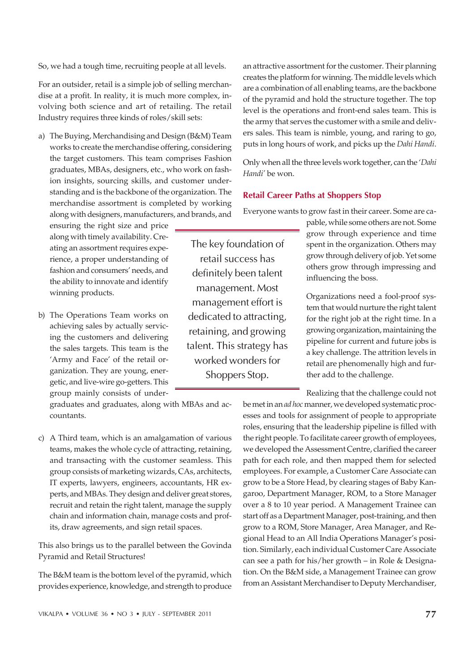VIKALPA • VOLUME 36 • NO 3 • JULY - SEPTEMBER 2011 77

So, we had a tough time, recruiting people at all levels.

For an outsider, retail is a simple job of selling merchandise at a profit. In reality, it is much more complex, involving both science and art of retailing. The retail Industry requires three kinds of roles/skill sets:

a) The Buying, Merchandising and Design (B&M) Team works to create the merchandise offering, considering the target customers. This team comprises Fashion graduates, MBAs, designers, etc., who work on fashion insights, sourcing skills, and customer understanding and is the backbone of the organization. The merchandise assortment is completed by working along with designers, manufacturers, and brands, and

ensuring the right size and price along with timely availability. Creating an assortment requires experience, a proper understanding of fashion and consumers' needs, and the ability to innovate and identify winning products.

b) The Operations Team works on achieving sales by actually servicing the customers and delivering the sales targets. This team is the 'Army and Face' of the retail organization. They are young, energetic, and live-wire go-getters. This group mainly consists of under-

graduates and graduates, along with MBAs and accountants.

c) A Third team, which is an amalgamation of various teams, makes the whole cycle of attracting, retaining, and transacting with the customer seamless. This group consists of marketing wizards, CAs, architects, IT experts, lawyers, engineers, accountants, HR experts, and MBAs. They design and deliver great stores, recruit and retain the right talent, manage the supply chain and information chain, manage costs and profits, draw agreements, and sign retail spaces.

This also brings us to the parallel between the Govinda Pyramid and Retail Structures!

The B&M team is the bottom level of the pyramid, which provides experience, knowledge, and strength to produce an attractive assortment for the customer. Their planning creates the platform for winning. The middle levels which are a combination of all enabling teams, are the backbone of the pyramid and hold the structure together. The top level is the operations and front-end sales team. This is the army that serves the customer with a smile and delivers sales. This team is nimble, young, and raring to go, puts in long hours of work, and picks up the *Dahi Handi*.

Only when all the three levels work together, can the '*Dahi Handi'* be won.

# Retail Career Paths at Shoppers Stop

Everyone wants to grow fast in their career. Some are ca-

The key foundation of retail success has definitely been talent management. Most management effort is dedicated to attracting, retaining, and growing talent. This strategy has worked wonders for Shoppers Stop.

pable, while some others are not. Some grow through experience and time spent in the organization. Others may grow through delivery of job. Yet some others grow through impressing and influencing the boss.

Organizations need a fool-proof system that would nurture the right talent for the right job at the right time. In a growing organization, maintaining the pipeline for current and future jobs is a key challenge. The attrition levels in retail are phenomenally high and further add to the challenge.

Realizing that the challenge could not

be met in an *ad hoc* manner, we developed systematic processes and tools for assignment of people to appropriate roles, ensuring that the leadership pipeline is filled with the right people. To facilitate career growth of employees, we developed the Assessment Centre, clarified the career path for each role, and then mapped them for selected employees. For example, a Customer Care Associate can grow to be a Store Head, by clearing stages of Baby Kangaroo, Department Manager, ROM, to a Store Manager over a 8 to 10 year period. A Management Trainee can start off as a Department Manager, post-training, and then grow to a ROM, Store Manager, Area Manager, and Regional Head to an All India Operations Manager's position. Similarly, each individual Customer Care Associate can see a path for his/her growth – in Role & Designation. On the B&M side, a Management Trainee can grow from an Assistant Merchandiser to Deputy Merchandiser,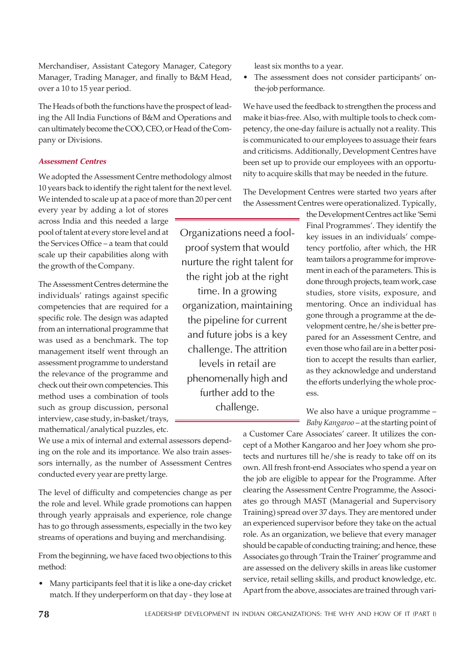Merchandiser, Assistant Category Manager, Category Manager, Trading Manager, and finally to B&M Head, over a 10 to 15 year period.

The Heads of both the functions have the prospect of leading the All India Functions of B&M and Operations and can ultimately become the COO, CEO, or Head of the Company or Divisions.

### Assessment Centres

We adopted the Assessment Centre methodology almost 10 years back to identify the right talent for the next level. We intended to scale up at a pace of more than 20 per cent

every year by adding a lot of stores across India and this needed a large pool of talent at every store level and at the Services Office – a team that could scale up their capabilities along with the growth of the Company.

The Assessment Centres determine the individuals' ratings against specific competencies that are required for a specific role. The design was adapted from an international programme that was used as a benchmark. The top management itself went through an assessment programme to understand the relevance of the programme and check out their own competencies. This method uses a combination of tools such as group discussion, personal interview, case study, in-basket/trays, mathematical/analytical puzzles, etc.

We use a mix of internal and external assessors depending on the role and its importance. We also train assessors internally, as the number of Assessment Centres conducted every year are pretty large.

The level of difficulty and competencies change as per the role and level. While grade promotions can happen through yearly appraisals and experience, role change has to go through assessments, especially in the two key streams of operations and buying and merchandising.

From the beginning, we have faced two objections to this method:

• Many participants feel that it is like a one-day cricket match. If they underperform on that day - they lose at least six months to a year.

Organizations need a foolproof system that would nurture the right talent for the right job at the right time. In a growing organization, maintaining the pipeline for current and future jobs is a key challenge. The attrition levels in retail are phenomenally high and further add to the challenge.

• The assessment does not consider participants' onthe-job performance.

We have used the feedback to strengthen the process and make it bias-free. Also, with multiple tools to check competency, the one-day failure is actually not a reality. This is communicated to our employees to assuage their fears and criticisms. Additionally, Development Centres have been set up to provide our employees with an opportunity to acquire skills that may be needed in the future.

The Development Centres were started two years after the Assessment Centres were operationalized. Typically,

> the Development Centres act like 'Semi Final Programmes'. They identify the key issues in an individuals' competency portfolio, after which, the HR team tailors a programme for improvement in each of the parameters. This is done through projects, team work, case studies, store visits, exposure, and mentoring. Once an individual has gone through a programme at the development centre, he/she is better prepared for an Assessment Centre, and even those who fail are in a better position to accept the results than earlier, as they acknowledge and understand the efforts underlying the whole process.

> We also have a unique programme – *Baby Kangaroo* – at the starting point of

a Customer Care Associates' career. It utilizes the concept of a Mother Kangaroo and her Joey whom she protects and nurtures till he/she is ready to take off on its own. All fresh front-end Associates who spend a year on the job are eligible to appear for the Programme. After clearing the Assessment Centre Programme, the Associates go through MAST (Managerial and Supervisory Training) spread over 37 days. They are mentored under an experienced supervisor before they take on the actual role. As an organization, we believe that every manager should be capable of conducting training; and hence, these Associates go through 'Train the Trainer' programme and are assessed on the delivery skills in areas like customer service, retail selling skills, and product knowledge, etc. Apart from the above, associates are trained through vari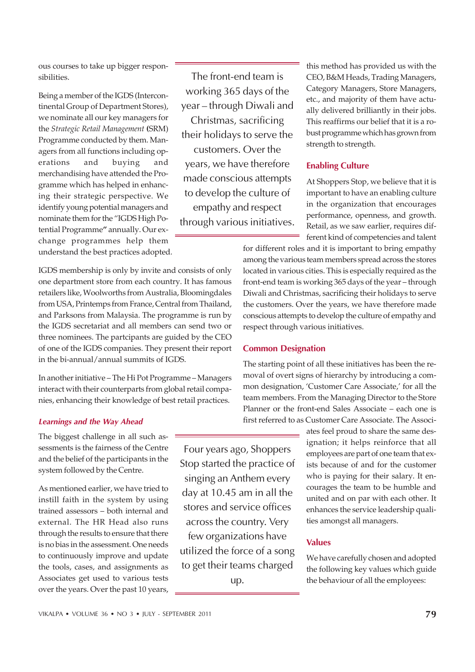ous courses to take up bigger responsibilities.

Being a member of the IGDS (Intercontinental Group of Department Stores), we nominate all our key managers for the *Strategic Retail Management* **(**SRM) Programme conducted by them. Managers from all functions including operations and buying and merchandising have attended the Programme which has helped in enhancing their strategic perspective. We identify young potential managers and nominate them for the "IGDS High Potential Programme**"** annually. Our exchange programmes help them understand the best practices adopted.

The front-end team is working 365 days of the year – through Diwali and Christmas, sacrificing their holidays to serve the customers. Over the years, we have therefore made conscious attempts to develop the culture of empathy and respect through various initiatives.

this method has provided us with the CEO, B&M Heads, Trading Managers, Category Managers, Store Managers, etc., and majority of them have actually delivered brilliantly in their jobs. This reaffirms our belief that it is a robust programme which has grown from strength to strength.

### Enabling Culture

At Shoppers Stop, we believe that it is important to have an enabling culture in the organization that encourages performance, openness, and growth. Retail, as we saw earlier, requires different kind of competencies and talent

for different roles and it is important to bring empathy among the various team members spread across the stores located in various cities. This is especially required as the front-end team is working 365 days of the year – through Diwali and Christmas, sacrificing their holidays to serve the customers. Over the years, we have therefore made conscious attempts to develop the culture of empathy and respect through various initiatives.

# Common Designation

The starting point of all these initiatives has been the removal of overt signs of hierarchy by introducing a common designation, 'Customer Care Associate,' for all the team members. From the Managing Director to the Store Planner or the front-end Sales Associate – each one is first referred to as Customer Care Associate. The Associ-

> ates feel proud to share the same designation; it helps reinforce that all employees are part of one team that exists because of and for the customer who is paying for their salary. It encourages the team to be humble and united and on par with each other. It enhances the service leadership qualities amongst all managers.

# Values

We have carefully chosen and adopted the following key values which guide the behaviour of all the employees:

retailers like, Woolworths from Australia, Bloomingdales from USA, Printemps from France, Central from Thailand, and Parksons from Malaysia. The programme is run by the IGDS secretariat and all members can send two or three nominees. The partcipants are guided by the CEO of one of the IGDS companies. They present their report in the bi-annual/annual summits of IGDS. In another initiative – The Hi Pot Programme – Managers interact with their counterparts from global retail compa-

nies, enhancing their knowledge of best retail practices.

IGDS membership is only by invite and consists of only one department store from each country. It has famous

#### Learnings and the Way Ahead

The biggest challenge in all such assessments is the fairness of the Centre and the belief of the participants in the system followed by the Centre.

As mentioned earlier, we have tried to instill faith in the system by using trained assessors – both internal and external. The HR Head also runs through the results to ensure that there is no bias in the assessment. One needs to continuously improve and update the tools, cases, and assignments as Associates get used to various tests over the years. Over the past 10 years,

Four years ago, Shoppers Stop started the practice of singing an Anthem every day at 10.45 am in all the stores and service offices across the country. Very few organizations have utilized the force of a song to get their teams charged up.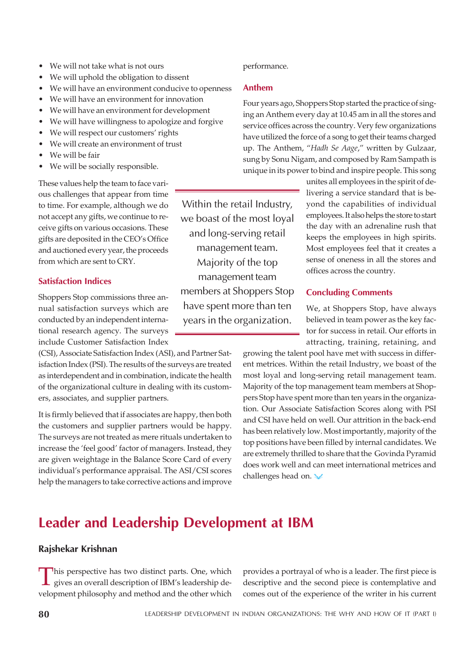- We will not take what is not ours
- We will uphold the obligation to dissent
- We will have an environment conducive to openness
- We will have an environment for innovation
- We will have an environment for development
- We will have willingness to apologize and forgive
- We will respect our customers' rights
- We will create an environment of trust
- $\bullet$  We will be fair
- We will be socially responsible.

These values help the team to face various challenges that appear from time to time. For example, although we do not accept any gifts, we continue to receive gifts on various occasions. These gifts are deposited in the CEO's Office and auctioned every year, the proceeds from which are sent to CRY.

# Satisfaction Indices

Shoppers Stop commissions three annual satisfaction surveys which are conducted by an independent international research agency. The surveys include Customer Satisfaction Index

(CSI), Associate Satisfaction Index (ASI), and Partner Satisfaction Index (PSI). The results of the surveys are treated as interdependent and in combination, indicate the health of the organizational culture in dealing with its customers, associates, and supplier partners.

It is firmly believed that if associates are happy, then both the customers and supplier partners would be happy. The surveys are not treated as mere rituals undertaken to increase the 'feel good' factor of managers. Instead, they are given weightage in the Balance Score Card of every individual's performance appraisal. The ASI/CSI scores help the managers to take corrective actions and improve performance.

# Anthem

Four years ago, Shoppers Stop started the practice of singing an Anthem every day at 10.45 am in all the stores and service offices across the country. Very few organizations have utilized the force of a song to get their teams charged up. The Anthem, "*Hadh Se Aage*," written by Gulzaar, sung by Sonu Nigam, and composed by Ram Sampath is unique in its power to bind and inspire people. This song

Within the retail Industry, we boast of the most loyal and long-serving retail management team. Majority of the top management team members at Shoppers Stop have spent more than ten years in the organization.

unites all employees in the spirit of delivering a service standard that is beyond the capabilities of individual employees. It also helps the store to start the day with an adrenaline rush that keeps the employees in high spirits. Most employees feel that it creates a sense of oneness in all the stores and offices across the country.

# Concluding Comments

We, at Shoppers Stop, have always believed in team power as the key factor for success in retail. Our efforts in attracting, training, retaining, and

growing the talent pool have met with success in different metrices. Within the retail Industry, we boast of the most loyal and long-serving retail management team. Majority of the top management team members at Shoppers Stop have spent more than ten years in the organization. Our Associate Satisfaction Scores along with PSI and CSI have held on well. Our attrition in the back-end has been relatively low. Most importantly, majority of the top positions have been filled by internal candidates. We are extremely thrilled to share that the Govinda Pyramid does work well and can meet international metrices and challenges head on.

# Leader and Leadership Development at IBM

# Rajshekar Krishnan

This perspective has two distinct parts. One, which<br>gives an overall description of IBM's leadership de-<br>velopment philosophy and method and the other which his perspective has two distinct parts. One, which gives an overall description of IBM's leadership de-

provides a portrayal of who is a leader. The first piece is descriptive and the second piece is contemplative and comes out of the experience of the writer in his current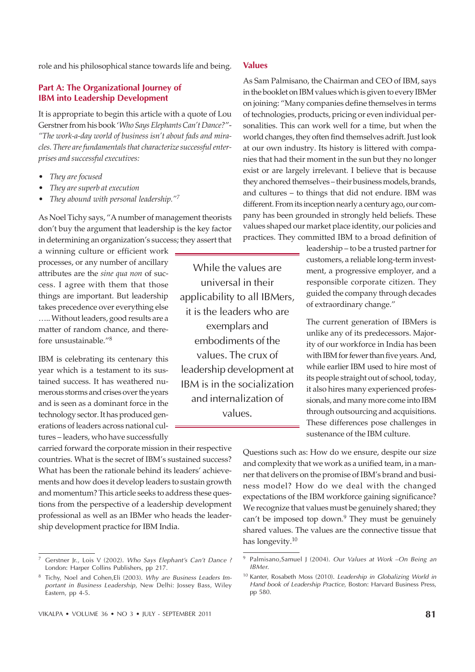role and his philosophical stance towards life and being.

# Part A: The Organizational Journey of IBM into Leadership Development

It is appropriate to begin this article with a quote of Lou Gerstner from his book '*Who Says Elephants Can't Dance?*"- *"The work-a-day world of business isn't about fads and miracles. There are fundamentals that characterize successful enterprises and successful executives:*

- *They are focused*
- ï *They are superb at execution*
- ï *They abound with personal leadership."<sup>7</sup>*

As Noel Tichy says, "A number of management theorists don't buy the argument that leadership is the key factor in determining an organization's success; they assert that

a winning culture or efficient work processes, or any number of ancillary attributes are the *sine qua non* of success. I agree with them that those things are important. But leadership takes precedence over everything else ….. Without leaders, good results are a matter of random chance, and therefore unsustainable."<sup>8</sup>

IBM is celebrating its centenary this year which is a testament to its sustained success. It has weathered numerous storms and crises over the years and is seen as a dominant force in the technology sector. It has produced generations of leaders across national cultures – leaders, who have successfully

carried forward the corporate mission in their respective countries. What is the secret of IBM's sustained success? What has been the rationale behind its leaders' achievements and how does it develop leaders to sustain growth and momentum? This article seeks to address these questions from the perspective of a leadership development professional as well as an IBMer who heads the leadership development practice for IBM India.

While the values are universal in their applicability to all IBMers, it is the leaders who are exemplars and embodiments of the values. The crux of leadership development at IBM is in the socialization and internalization of values.

### Values

As Sam Palmisano, the Chairman and CEO of IBM, says in the booklet on IBM values which is given to every IBMer on joining: "Many companies define themselves in terms of technologies, products, pricing or even individual personalities. This can work well for a time, but when the world changes, they often find themselves adrift. Just look at our own industry. Its history is littered with companies that had their moment in the sun but they no longer exist or are largely irrelevant. I believe that is because they anchored themselves – their business models, brands, and cultures – to things that did not endure. IBM was different. From its inception nearly a century ago, our company has been grounded in strongly held beliefs. These values shaped our market place identity, our policies and practices. They committed IBM to a broad definition of

> leadership – to be a trusted partner for customers, a reliable long-term investment, a progressive employer, and a responsible corporate citizen. They guided the company through decades of extraordinary change."

> The current generation of IBMers is unlike any of its predecessors. Majority of our workforce in India has been with IBM for fewer than five years. And, while earlier IBM used to hire most of its people straight out of school, today, it also hires many experienced professionals, and many more come into IBM through outsourcing and acquisitions. These differences pose challenges in sustenance of the IBM culture.

Questions such as: How do we ensure, despite our size and complexity that we work as a unified team, in a manner that delivers on the promise of IBM's brand and business model? How do we deal with the changed expectations of the IBM workforce gaining significance? We recognize that values must be genuinely shared; they can't be imposed top down.<sup>9</sup> They must be genuinely shared values. The values are the connective tissue that has longevity.<sup>10</sup>

Gerstner Jr., Lois V (2002). Who Says Elephant's Can't Dance ? London: Harper Collins Publishers, pp 217.

<sup>&</sup>lt;sup>8</sup> Tichy, Noel and Cohen,Eli (2003). Why are Business Leaders Important in Business Leadership, New Delhi: Jossey Bass, Wiley Eastern, pp 4-5.

<sup>9</sup> Palmisano,Samuel J (2004). Our Values at Work –On Being an IBMer.

<sup>&</sup>lt;sup>10</sup> Kanter, Rosabeth Moss (2010). Leadership in Globalizing World in Hand book of Leadership Practice, Boston: Harvard Business Press, pp 580.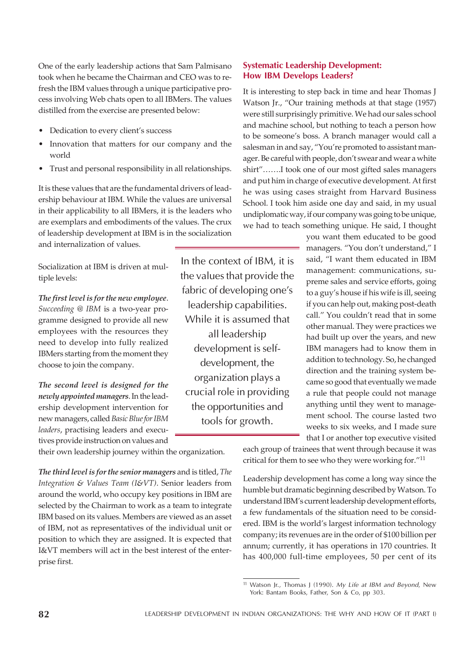One of the early leadership actions that Sam Palmisano took when he became the Chairman and CEO was to refresh the IBM values through a unique participative process involving Web chats open to all IBMers. The values distilled from the exercise are presented below:

- Dedication to every client's success
- Innovation that matters for our company and the world
- Trust and personal responsibility in all relationships.

It is these values that are the fundamental drivers of leadership behaviour at IBM. While the values are universal in their applicability to all IBMers, it is the leaders who are exemplars and embodiments of the values. The crux of leadership development at IBM is in the socialization and internalization of values.

Socialization at IBM is driven at multiple levels:

*The first level is for the new employee*. *Succeeding @ IBM* is a two-year programme designed to provide all new employees with the resources they need to develop into fully realized IBMers starting from the moment they choose to join the company.

*The second level is designed for the newly appointed managers*. In the leadership development intervention for new managers, called *Basic Blue for IBM leaders*, practising leaders and executives provide instruction on values and In the context of IBM, it is the values that provide the fabric of developing one's leadership capabilities. While it is assumed that all leadership development is selfdevelopment, the organization plays a crucial role in providing the opportunities and tools for growth.

# Systematic Leadership Development: How IBM Develops Leaders?

It is interesting to step back in time and hear Thomas J Watson Jr., "Our training methods at that stage (1957) were still surprisingly primitive. We had our sales school and machine school, but nothing to teach a person how to be someone's boss. A branch manager would call a salesman in and say, "You're promoted to assistant manager. Be careful with people, don't swear and wear a white shirt"…….I took one of our most gifted sales managers and put him in charge of executive development. At first he was using cases straight from Harvard Business School. I took him aside one day and said, in my usual undiplomatic way, if our company was going to be unique, we had to teach something unique. He said, I thought

> you want them educated to be good managers. "You don't understand," I said, "I want them educated in IBM management: communications, supreme sales and service efforts, going to a guy's house if his wife is ill, seeing if you can help out, making post-death call." You couldn't read that in some other manual. They were practices we had built up over the years, and new IBM managers had to know them in addition to technology. So, he changed direction and the training system became so good that eventually we made a rule that people could not manage anything until they went to management school. The course lasted two weeks to six weeks, and I made sure that I or another top executive visited

their own leadership journey within the organization.

*The third level is for the senior managers* and is titled, *The Integration & Values Team (I&VT)*. Senior leaders from around the world, who occupy key positions in IBM are selected by the Chairman to work as a team to integrate IBM based on its values. Members are viewed as an asset of IBM, not as representatives of the individual unit or position to which they are assigned. It is expected that I&VT members will act in the best interest of the enterprise first.

each group of trainees that went through because it was critical for them to see who they were working for."<sup>11</sup>

Leadership development has come a long way since the humble but dramatic beginning described by Watson. To understand IBM's current leadership development efforts, a few fundamentals of the situation need to be considered. IBM is the world's largest information technology company; its revenues are in the order of \$100 billion per annum; currently, it has operations in 170 countries. It has 400,000 full-time employees, 50 per cent of its

<sup>&</sup>lt;sup>11</sup> Watson Jr., Thomas J (1990). My Life at IBM and Beyond, New York: Bantam Books, Father, Son & Co, pp 303.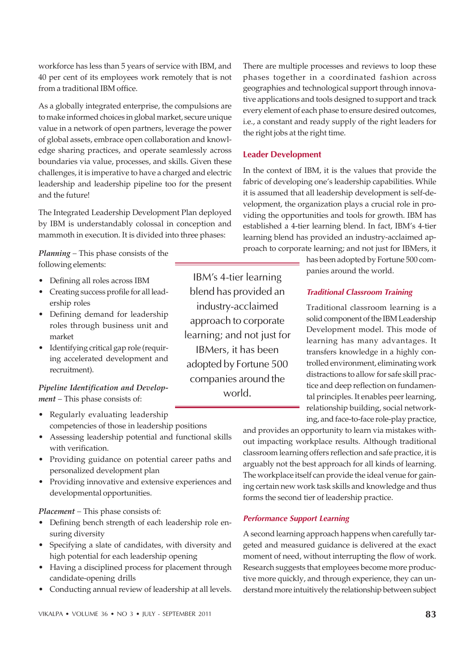workforce has less than 5 years of service with IBM, and 40 per cent of its employees work remotely that is not from a traditional IBM office.

As a globally integrated enterprise, the compulsions are to make informed choices in global market, secure unique value in a network of open partners, leverage the power of global assets, embrace open collaboration and knowledge sharing practices, and operate seamlessly across boundaries via value, processes, and skills. Given these challenges, it is imperative to have a charged and electric leadership and leadership pipeline too for the present and the future!

The Integrated Leadership Development Plan deployed by IBM is understandably colossal in conception and mammoth in execution. It is divided into three phases:

*Planning –* This phase consists of the following elements:

- Defining all roles across IBM
- Creating success profile for all leadership roles
- Defining demand for leadership roles through business unit and market
- Identifying critical gap role (requiring accelerated development and recruitment).

*Pipeline Identification and Development –* This phase consists of:

- Regularly evaluating leadership competencies of those in leadership positions
- Assessing leadership potential and functional skills with verification.
- Providing guidance on potential career paths and personalized development plan
- Providing innovative and extensive experiences and developmental opportunities.

*Placement –* This phase consists of:

- Defining bench strength of each leadership role ensuring diversity
- Specifying a slate of candidates, with diversity and high potential for each leadership opening
- Having a disciplined process for placement through candidate-opening drills
- Conducting annual review of leadership at all levels.

There are multiple processes and reviews to loop these phases together in a coordinated fashion across geographies and technological support through innovative applications and tools designed to support and track every element of each phase to ensure desired outcomes, i.e., a constant and ready supply of the right leaders for the right jobs at the right time.

# Leader Development

IBM's 4-tier learning blend has provided an industry-acclaimed approach to corporate learning; and not just for IBMers, it has been adopted by Fortune 500 companies around the world.

In the context of IBM, it is the values that provide the fabric of developing one's leadership capabilities. While it is assumed that all leadership development is self-development, the organization plays a crucial role in providing the opportunities and tools for growth. IBM has established a 4-tier learning blend. In fact, IBM's 4-tier learning blend has provided an industry-acclaimed approach to corporate learning; and not just for IBMers, it

> has been adopted by Fortune 500 companies around the world.

# Traditional Classroom Training

Traditional classroom learning is a solid component of the IBM Leadership Development model. This mode of learning has many advantages. It transfers knowledge in a highly controlled environment, eliminating work distractions to allow for safe skill practice and deep reflection on fundamental principles. It enables peer learning, relationship building, social networking, and face-to-face role-play practice,

and provides an opportunity to learn via mistakes without impacting workplace results. Although traditional classroom learning offers reflection and safe practice, it is arguably not the best approach for all kinds of learning. The workplace itself can provide the ideal venue for gaining certain new work task skills and knowledge and thus forms the second tier of leadership practice.

# Performance Support Learning

A second learning approach happens when carefully targeted and measured guidance is delivered at the exact moment of need, without interrupting the flow of work. Research suggests that employees become more productive more quickly, and through experience, they can understand more intuitively the relationship between subject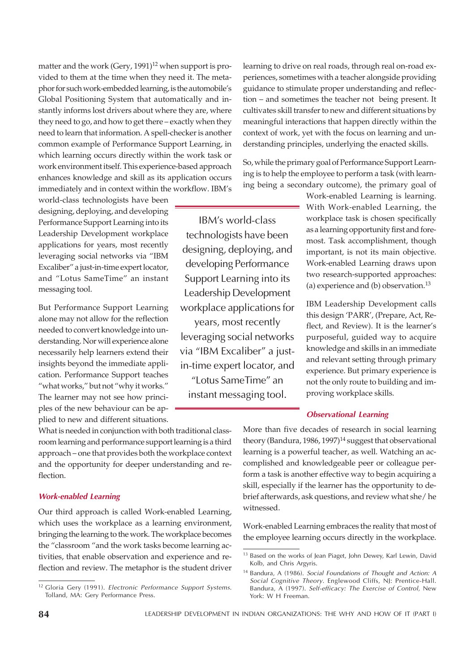matter and the work (Gery,  $1991$ )<sup>12</sup> when support is provided to them at the time when they need it. The metaphor for such work-embedded learning, is the automobile's Global Positioning System that automatically and instantly informs lost drivers about where they are, where they need to go, and how to get there – exactly when they need to learn that information. A spell-checker is another common example of Performance Support Learning, in which learning occurs directly within the work task or work environment itself. This experience-based approach enhances knowledge and skill as its application occurs immediately and in context within the workflow. IBM's

world-class technologists have been designing, deploying, and developing Performance Support Learning into its Leadership Development workplace applications for years, most recently leveraging social networks via "IBM Excaliber" a just-in-time expert locator, and "Lotus SameTime" an instant messaging tool.

But Performance Support Learning alone may not allow for the reflection needed to convert knowledge into understanding. Nor will experience alone necessarily help learners extend their insights beyond the immediate application. Performance Support teaches "what works," but not "why it works." The learner may not see how principles of the new behaviour can be applied to new and different situations.

IBM's world-class technologists have been designing, deploying, and developing Performance Support Learning into its Leadership Development workplace applications for

years, most recently leveraging social networks via "IBM Excaliber" a justin-time expert locator, and

"Lotus SameTime" an instant messaging tool.

learning to drive on real roads, through real on-road experiences, sometimes with a teacher alongside providing guidance to stimulate proper understanding and reflection – and sometimes the teacher not being present. It cultivates skill transfer to new and different situations by meaningful interactions that happen directly within the context of work, yet with the focus on learning and understanding principles, underlying the enacted skills.

So, while the primary goal of Performance Support Learning is to help the employee to perform a task (with learning being a secondary outcome), the primary goal of

> Work-enabled Learning is learning. With Work-enabled Learning, the workplace task is chosen specifically as a learning opportunity first and foremost. Task accomplishment, though important, is not its main objective. Work-enabled Learning draws upon two research-supported approaches: (a) experience and (b) observation. $^{13}$

> IBM Leadership Development calls this design 'PARR', (Prepare, Act, Reflect, and Review). It is the learner's purposeful, guided way to acquire knowledge and skills in an immediate and relevant setting through primary experience. But primary experience is not the only route to building and improving workplace skills.

#### Observational Learning

What is needed in conjunction with both traditional classroom learning and performance support learning is a third approach – one that provides both the workplace context and the opportunity for deeper understanding and reflection.

#### Work-enabled Learning

Our third approach is called Work-enabled Learning, which uses the workplace as a learning environment, bringing the learning to the work. The workplace becomes the "classroom "and the work tasks become learning activities, that enable observation and experience and reflection and review. The metaphor is the student driver More than five decades of research in social learning theory (Bandura, 1986, 1997)<sup>14</sup> suggest that observational learning is a powerful teacher, as well. Watching an accomplished and knowledgeable peer or colleague perform a task is another effective way to begin acquiring a skill, especially if the learner has the opportunity to debrief afterwards, ask questions, and review what she/ he witnessed.

Work-enabled Learning embraces the reality that most of the employee learning occurs directly in the workplace.

<sup>&</sup>lt;sup>12</sup> Gloria Gery (1991). Electronic Performance Support Systems. Tolland, MA: Gery Performance Press.

<sup>&</sup>lt;sup>13</sup> Based on the works of Jean Piaget, John Dewey, Karl Lewin, David Kolb, and Chris Argyris.

<sup>14</sup> Bandura, A (1986). Social Foundations of Thought and Action: A Social Cognitive Theory. Englewood Cliffs, NJ: Prentice-Hall. Bandura, A (1997). Self-efficacy: The Exercise of Control, New York: W H Freeman.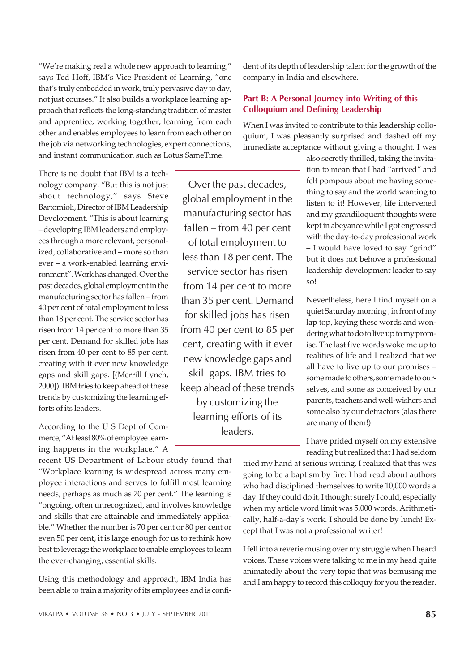"We're making real a whole new approach to learning," says Ted Hoff, IBM's Vice President of Learning, "one that's truly embedded in work, truly pervasive day to day, not just courses." It also builds a workplace learning approach that reflects the long-standing tradition of master and apprentice, working together, learning from each other and enables employees to learn from each other on the job via networking technologies, expert connections, and instant communication such as Lotus SameTime.

There is no doubt that IBM is a technology company. "But this is not just about technology," says Steve Bartomioli, Director of IBM Leadership Development. "This is about learning – developing IBM leaders and employees through a more relevant, personalized, collaborative and – more so than ever – a work-enabled learning environment". Work has changed. Over the past decades, global employment in the manufacturing sector has fallen – from 40 per cent of total employment to less than 18 per cent. The service sector has risen from 14 per cent to more than 35 per cent. Demand for skilled jobs has risen from 40 per cent to 85 per cent, creating with it ever new knowledge gaps and skill gaps. [(Merrill Lynch, 2000]). IBM tries to keep ahead of these trends by customizing the learning efforts of its leaders.

According to the U S Dept of Commerce, "At least 80% of employee learning happens in the workplace." A

recent US Department of Labour study found that "Workplace learning is widespread across many employee interactions and serves to fulfill most learning needs, perhaps as much as 70 per cent." The learning is "ongoing, often unrecognized, and involves knowledge and skills that are attainable and immediately applicable." Whether the number is 70 per cent or 80 per cent or even 50 per cent, it is large enough for us to rethink how best to leverage the workplace to enable employees to learn the ever-changing, essential skills.

Using this methodology and approach, IBM India has been able to train a majority of its employees and is confi-

Over the past decades, global employment in the manufacturing sector has fallen – from 40 per cent of total employment to less than 18 per cent. The service sector has risen from 14 per cent to more than 35 per cent. Demand for skilled jobs has risen from 40 per cent to 85 per cent, creating with it ever new knowledge gaps and skill gaps. IBM tries to keep ahead of these trends by customizing the learning efforts of its leaders.

dent of its depth of leadership talent for the growth of the company in India and elsewhere.

# Part B: A Personal Journey into Writing of this Colloquium and Defining Leadership

When I was invited to contribute to this leadership colloquium, I was pleasantly surprised and dashed off my immediate acceptance without giving a thought. I was

> also secretly thrilled, taking the invitation to mean that I had "arrived" and felt pompous about me having something to say and the world wanting to listen to it! However, life intervened and my grandiloquent thoughts were kept in abeyance while I got engrossed with the day-to-day professional work – I would have loved to say "grind" but it does not behove a professional leadership development leader to say so!

> Nevertheless, here I find myself on a quiet Saturday morning , in front of my lap top, keying these words and wondering what to do to live up to my promise. The last five words woke me up to realities of life and I realized that we all have to live up to our promises – some made to others, some made to ourselves, and some as conceived by our parents, teachers and well-wishers and some also by our detractors (alas there are many of them!)

I have prided myself on my extensive reading but realized that I had seldom

tried my hand at serious writing. I realized that this was going to be a baptism by fire: I had read about authors who had disciplined themselves to write 10,000 words a day. If they could do it, I thought surely I could, especially when my article word limit was 5,000 words. Arithmetically, half-a-day's work. I should be done by lunch! Except that I was not a professional writer!

I fell into a reverie musing over my struggle when I heard voices. These voices were talking to me in my head quite animatedly about the very topic that was bemusing me and I am happy to record this colloquy for you the reader.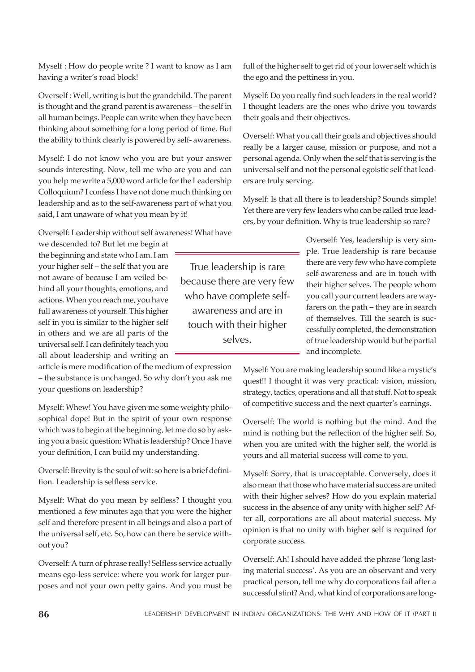Myself : How do people write ? I want to know as I am having a writer's road block!

Overself : Well, writing is but the grandchild. The parent is thought and the grand parent is awareness – the self in all human beings. People can write when they have been thinking about something for a long period of time. But the ability to think clearly is powered by self- awareness.

Myself: I do not know who you are but your answer sounds interesting. Now, tell me who are you and can you help me write a 5,000 word article for the Leadership Colloquium? I confess I have not done much thinking on leadership and as to the self-awareness part of what you said, I am unaware of what you mean by it!

Overself: Leadership without self awareness! What have

we descended to? But let me begin at the beginning and state who I am. I am your higher self – the self that you are not aware of because I am veiled behind all your thoughts, emotions, and actions. When you reach me, you have full awareness of yourself. This higher self in you is similar to the higher self in others and we are all parts of the universal self. I can definitely teach you all about leadership and writing an

article is mere modification of the medium of expression – the substance is unchanged. So why don't you ask me your questions on leadership?

Myself: Whew! You have given me some weighty philosophical dope! But in the spirit of your own response which was to begin at the beginning, let me do so by asking you a basic question: What is leadership? Once I have your definition, I can build my understanding.

Overself: Brevity is the soul of wit: so here is a brief definition. Leadership is selfless service.

Myself: What do you mean by selfless? I thought you mentioned a few minutes ago that you were the higher self and therefore present in all beings and also a part of the universal self, etc. So, how can there be service without you?

Overself: A turn of phrase really! Selfless service actually means ego-less service: where you work for larger purposes and not your own petty gains. And you must be full of the higher self to get rid of your lower self which is the ego and the pettiness in you.

Myself: Do you really find such leaders in the real world? I thought leaders are the ones who drive you towards their goals and their objectives.

Overself: What you call their goals and objectives should really be a larger cause, mission or purpose, and not a personal agenda. Only when the self that is serving is the universal self and not the personal egoistic self that leaders are truly serving.

Myself: Is that all there is to leadership? Sounds simple! Yet there are very few leaders who can be called true leaders, by your definition. Why is true leadership so rare?

> Overself: Yes, leadership is very simple. True leadership is rare because there are very few who have complete self-awareness and are in touch with their higher selves. The people whom you call your current leaders are wayfarers on the path – they are in search of themselves. Till the search is successfully completed, the demonstration of true leadership would but be partial and incomplete.

Myself: You are making leadership sound like a mystic's quest!! I thought it was very practical: vision, mission, strategy, tactics, operations and all that stuff. Not to speak of competitive success and the next quarter's earnings.

Overself: The world is nothing but the mind. And the mind is nothing but the reflection of the higher self. So, when you are united with the higher self, the world is yours and all material success will come to you.

Myself: Sorry, that is unacceptable. Conversely, does it also mean that those who have material success are united with their higher selves? How do you explain material success in the absence of any unity with higher self? After all, corporations are all about material success. My opinion is that no unity with higher self is required for corporate success.

Overself: Ah! I should have added the phrase 'long lasting material success'. As you are an observant and very practical person, tell me why do corporations fail after a successful stint? And, what kind of corporations are long-

True leadership is rare because there are very few who have complete selfawareness and are in touch with their higher selves.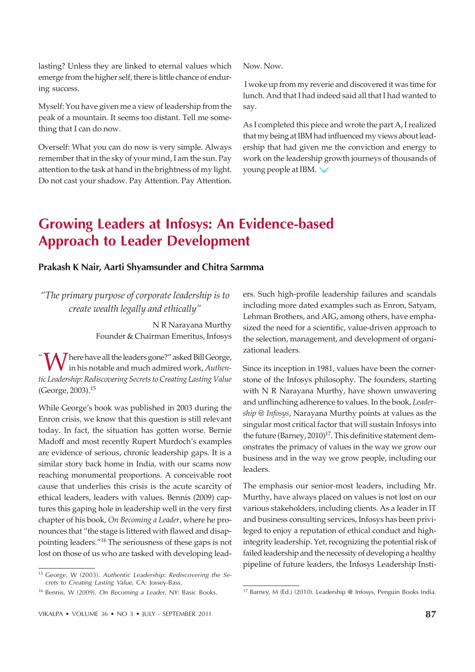lasting? Unless they are linked to eternal values which emerge from the higher self, there is little chance of enduring success.

Myself: You have given me a view of leadership from the peak of a mountain. It seems too distant. Tell me something that I can do now.

Overself: What you can do now is very simple. Always remember that in the sky of your mind, I am the sun. Pay attention to the task at hand in the brightness of my light. Do not cast your shadow. Pay Attention. Pay Attention. Now. Now.

 I woke up from my reverie and discovered it was time for lunch. And that I had indeed said all that I had wanted to say.

As I completed this piece and wrote the part A, I realized that my being at IBM had influenced my views about leadership that had given me the conviction and energy to work on the leadership growth journeys of thousands of young people at IBM.

# Growing Leaders at Infosys: An Evidence-based Approach to Leader Development

# Prakash K Nair, Aarti Shyamsunder and Chitra Sarmma

*"The primary purpose of corporate leadership is to create wealth legally and ethically"*

> N R Narayana Murthy Founder & Chairman Emeritus, Infosys

"Where have all the leaders gone?" asked Bill George, in his notable and much admired work, *Authentic Leadership: Rediscovering Secrets to Creating Lasting Value* (George, 2003).<sup>15</sup>

While George's book was published in 2003 during the Enron crisis, we know that this question is still relevant today. In fact, the situation has gotten worse. Bernie Madoff and most recently Rupert Murdoch's examples are evidence of serious, chronic leadership gaps. It is a similar story back home in India, with our scams now reaching monumental proportions. A conceivable root cause that underlies this crisis is the acute scarcity of ethical leaders, leaders with values. Bennis (2009) captures this gaping hole in leadership well in the very first chapter of his book, *On Becoming a Leader*, where he pronounces that "the stage is littered with flawed and disappointing leaders."<sup>16</sup> The seriousness of these gaps is not lost on those of us who are tasked with developing lead-

<sup>15</sup> George, W (2003). Authentic Leadership: Rediscovering the Secrets to Creating Lasting Value, CA: Jossey-Bass.

ers. Such high-profile leadership failures and scandals including more dated examples such as Enron, Satyam, Lehman Brothers, and AIG, among others, have emphasized the need for a scientific, value-driven approach to the selection, management, and development of organizational leaders.

Since its inception in 1981, values have been the cornerstone of the Infosys philosophy. The founders, starting with N R Narayana Murthy, have shown unwavering and unflinching adherence to values. In the book, *Leadership @ Infosys*, Narayana Murthy points at values as the singular most critical factor that will sustain Infosys into the future (Barney,  $2010$ )<sup>17</sup>. This definitive statement demonstrates the primacy of values in the way we grow our business and in the way we grow people, including our leaders.

The emphasis our senior-most leaders, including Mr. Murthy, have always placed on values is not lost on our various stakeholders, including clients. As a leader in IT and business consulting services, Infosys has been privileged to enjoy a reputation of ethical conduct and highintegrity leadership. Yet, recognizing the potential risk of failed leadership and the necessity of developing a healthy pipeline of future leaders, the Infosys Leadership Insti-

<sup>&</sup>lt;sup>16</sup> Bennis, W (2009). On Becoming a Leader, NY: Basic Books. <sup>17</sup> Barney, M (Ed.) (2010). Leadership @ Infosys, Penguin Books India.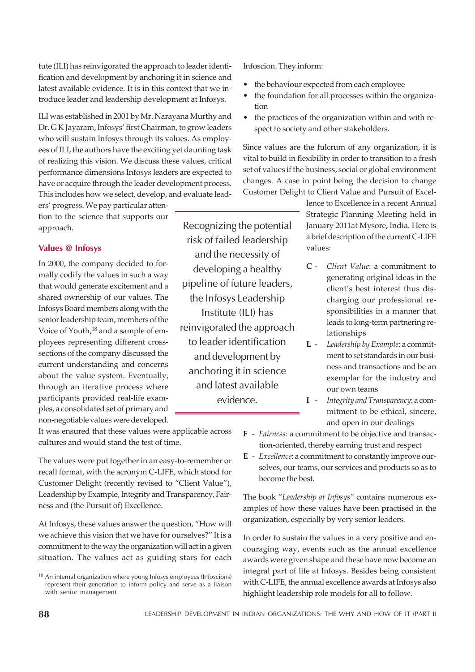tute (ILI) has reinvigorated the approach to leader identification and development by anchoring it in science and latest available evidence. It is in this context that we introduce leader and leadership development at Infosys.

ILI was established in 2001 by Mr. Narayana Murthy and Dr. G K Jayaram, Infosys' first Chairman, to grow leaders who will sustain Infosys through its values. As employees of ILI, the authors have the exciting yet daunting task of realizing this vision. We discuss these values, critical performance dimensions Infosys leaders are expected to have or acquire through the leader development process. This includes how we select, develop, and evaluate lead-

ers' progress. We pay particular attention to the science that supports our approach.

# Values @ Infosys

In 2000, the company decided to formally codify the values in such a way that would generate excitement and a shared ownership of our values. The Infosys Board members along with the senior leadership team, members of the Voice of Youth,<sup>18</sup> and a sample of employees representing different crosssections of the company discussed the current understanding and concerns about the value system. Eventually, through an iterative process where participants provided real-life examples, a consolidated set of primary and non-negotiable values were developed.

It was ensured that these values were applicable across cultures and would stand the test of time.

The values were put together in an easy-to-remember or recall format, with the acronym C-LIFE, which stood for Customer Delight (recently revised to "Client Value"), Leadership by Example, Integrity and Transparency, Fairness and (the Pursuit of) Excellence.

At Infosys, these values answer the question, "How will we achieve this vision that we have for ourselves?" It is a commitment to the way the organization will act in a given situation. The values act as guiding stars for each

Infoscion. They inform:

- the behaviour expected from each employee
- the foundation for all processes within the organization
- the practices of the organization within and with respect to society and other stakeholders.

Since values are the fulcrum of any organization, it is vital to build in flexibility in order to transition to a fresh set of values if the business, social or global environment changes. A case in point being the decision to change Customer Delight to Client Value and Pursuit of Excel-

> lence to Excellence in a recent Annual Strategic Planning Meeting held in January 2011at Mysore, India. Here is a brief description of the current C-LIFE values:

- **C** *Client Value*: a commitment to generating original ideas in the client's best interest thus discharging our professional responsibilities in a manner that leads to long-term partnering relationships
- **L** *Leadership by Example*: a commitment to set standards in our business and transactions and be an exemplar for the industry and our own teams
- **I** *Integrity and Transparency*: a commitment to be ethical, sincere, and open in our dealings
- **F** *Fairness:* a commitment to be objective and transaction-oriented, thereby earning trust and respect
- **E** *Excellence*: a commitment to constantly improve ourselves, our teams, our services and products so as to become the best.

The book "*Leadership at Infosys"* contains numerous examples of how these values have been practised in the organization, especially by very senior leaders.

In order to sustain the values in a very positive and encouraging way, events such as the annual excellence awards were given shape and these have now become an integral part of life at Infosys. Besides being consistent with C-LIFE, the annual excellence awards at Infosys also highlight leadership role models for all to follow.

evidence.

Recognizing the potential risk of failed leadership and the necessity of developing a healthy pipeline of future leaders, the Infosys Leadership Institute (ILI) has reinvigorated the approach to leader identification and development by anchoring it in science and latest available

<sup>&</sup>lt;sup>18</sup> An internal organization where young Infosys employees (Infoscions) represent their generation to inform policy and serve as a liaison with senior management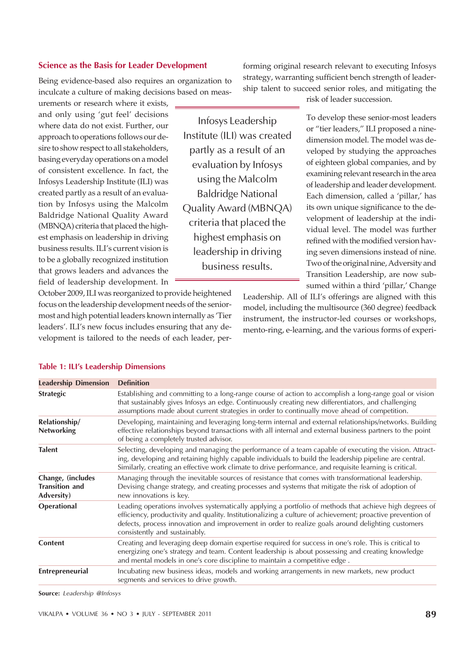#### Science as the Basis for Leader Development

Being evidence-based also requires an organization to inculcate a culture of making decisions based on meas-

urements or research where it exists, and only using 'gut feel' decisions where data do not exist. Further, our approach to operations follows our desire to show respect to all stakeholders, basing everyday operations on a model of consistent excellence. In fact, the Infosys Leadership Institute (ILI) was created partly as a result of an evaluation by Infosys using the Malcolm Baldridge National Quality Award (MBNQA) criteria that placed the highest emphasis on leadership in driving business results. ILI's current vision is to be a globally recognized institution that grows leaders and advances the field of leadership development. In

Infosys Leadership Institute (ILI) was created partly as a result of an evaluation by Infosys using the Malcolm Baldridge National Quality Award (MBNQA) criteria that placed the highest emphasis on leadership in driving business results.

forming original research relevant to executing Infosys strategy, warranting sufficient bench strength of leadership talent to succeed senior roles, and mitigating the

risk of leader succession.

To develop these senior-most leaders or "tier leaders," ILI proposed a ninedimension model. The model was developed by studying the approaches of eighteen global companies, and by examining relevant research in the area of leadership and leader development. Each dimension, called a 'pillar,' has its own unique significance to the development of leadership at the individual level. The model was further refined with the modified version having seven dimensions instead of nine. Two of the original nine, Adversity and Transition Leadership, are now subsumed within a third 'pillar,' Change

October 2009, ILI was reorganized to provide heightened focus on the leadership development needs of the seniormost and high potential leaders known internally as 'Tier leaders'. ILI's new focus includes ensuring that any development is tailored to the needs of each leader, per-

Leadership. All of ILI's offerings are aligned with this model, including the multisource (360 degree) feedback instrument, the instructor-led courses or workshops, mento-ring, e-learning, and the various forms of experi-

| <b>Leadership Dimension</b>                                     | <b>Definition</b>                                                                                                                                                                                                                                                                                                                                           |  |  |
|-----------------------------------------------------------------|-------------------------------------------------------------------------------------------------------------------------------------------------------------------------------------------------------------------------------------------------------------------------------------------------------------------------------------------------------------|--|--|
| <b>Strategic</b>                                                | Establishing and committing to a long-range course of action to accomplish a long-range goal or vision<br>that sustainably gives Infosys an edge. Continuously creating new differentiators, and challenging<br>assumptions made about current strategies in order to continually move ahead of competition.                                                |  |  |
| Relationship/<br><b>Networking</b>                              | Developing, maintaining and leveraging long-term internal and external relationships/networks. Building<br>effective relationships beyond transactions with all internal and external business partners to the point<br>of being a completely trusted advisor.                                                                                              |  |  |
| <b>Talent</b>                                                   | Selecting, developing and managing the performance of a team capable of executing the vision. Attract-<br>ing, developing and retaining highly capable individuals to build the leadership pipeline are central.<br>Similarly, creating an effective work climate to drive performance, and requisite learning is critical.                                 |  |  |
| Change, (includes<br><b>Transition and</b><br><b>Adversity)</b> | Managing through the inevitable sources of resistance that comes with transformational leadership.<br>Devising change strategy, and creating processes and systems that mitigate the risk of adoption of<br>new innovations is key.                                                                                                                         |  |  |
| <b>Operational</b>                                              | Leading operations involves systematically applying a portfolio of methods that achieve high degrees of<br>efficiency, productivity and quality. Institutionalizing a culture of achievement; proactive prevention of<br>defects, process innovation and improvement in order to realize goals around delighting customers<br>consistently and sustainably. |  |  |
| <b>Content</b>                                                  | Creating and leveraging deep domain expertise required for success in one's role. This is critical to<br>energizing one's strategy and team. Content leadership is about possessing and creating knowledge<br>and mental models in one's core discipline to maintain a competitive edge.                                                                    |  |  |
| Entrepreneurial                                                 | Incubating new business ideas, models and working arrangements in new markets, new product<br>segments and services to drive growth.                                                                                                                                                                                                                        |  |  |

#### Table 1: ILI's Leadership Dimensions

Source: Leadership @Infosys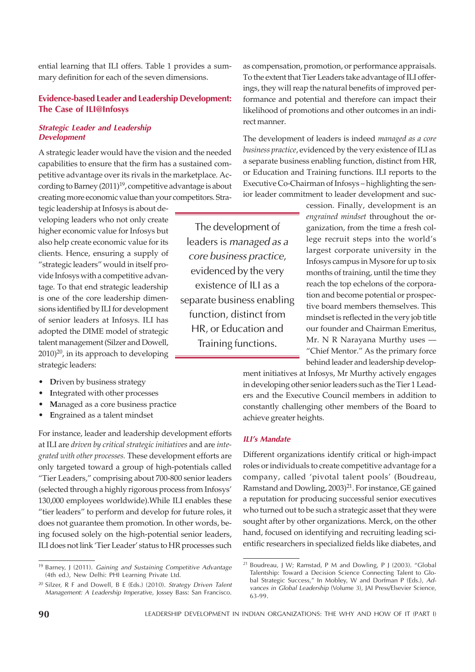ential learning that ILI offers. Table 1 provides a summary definition for each of the seven dimensions.

# Evidence-based Leader and Leadership Development: The Case of ILI@Infosys

### Strategic Leader and Leadership Development

A strategic leader would have the vision and the needed capabilities to ensure that the firm has a sustained competitive advantage over its rivals in the marketplace. According to Barney  $(2011)^{19}$ , competitive advantage is about creating more economic value than your competitors. Stra-

tegic leadership at Infosys is about developing leaders who not only create higher economic value for Infosys but also help create economic value for its clients. Hence, ensuring a supply of "strategic leaders" would in itself provide Infosys with a competitive advantage. To that end strategic leadership is one of the core leadership dimensions identified by ILI for development of senior leaders at Infosys. ILI has adopted the DIME model of strategic talent management (Silzer and Dowell,  $2010)^{20}$ , in its approach to developing strategic leaders:

- **•** Driven by business strategy
- Integrated with other processes
- **Managed as a core business practice**
- Engrained as a talent mindset

For instance, leader and leadership development efforts at ILI are *driven by critical strategic initiatives* and are *integrated with other processes.* These development efforts are only targeted toward a group of high-potentials called "Tier Leaders," comprising about 700-800 senior leaders (selected through a highly rigorous process from Infosys' 130,000 employees worldwide).While ILI enables these "tier leaders" to perform and develop for future roles, it does not guarantee them promotion. In other words, being focused solely on the high-potential senior leaders, ILI does not link 'Tier Leader' status to HR processes such

as compensation, promotion, or performance appraisals. To the extent that Tier Leaders take advantage of ILI offerings, they will reap the natural benefits of improved performance and potential and therefore can impact their likelihood of promotions and other outcomes in an indirect manner.

The development of leaders is indeed *managed as a core business practice*, evidenced by the very existence of ILI as a separate business enabling function, distinct from HR, or Education and Training functions. ILI reports to the Executive Co-Chairman of Infosys – highlighting the senior leader commitment to leader development and suc-

> cession. Finally, development is an *engrained mindset* throughout the organization, from the time a fresh college recruit steps into the world's largest corporate university in the Infosys campus in Mysore for up to six months of training, until the time they reach the top echelons of the corporation and become potential or prospective board members themselves. This mindset is reflected in the very job title our founder and Chairman Emeritus, Mr. N R Narayana Murthy uses — "Chief Mentor." As the primary force behind leader and leadership develop-

ment initiatives at Infosys, Mr Murthy actively engages in developing other senior leaders such as the Tier 1 Leaders and the Executive Council members in addition to constantly challenging other members of the Board to achieve greater heights.

#### ILI's Mandate

The development of leaders is managed as a core business practice, evidenced by the very existence of ILI as a separate business enabling function, distinct from HR, or Education and Training functions.

> Different organizations identify critical or high-impact roles or individuals to create competitive advantage for a company, called 'pivotal talent pools' (Boudreau, Ramstand and Dowling,  $2003)^{21}$ . For instance, GE gained a reputation for producing successful senior executives who turned out to be such a strategic asset that they were sought after by other organizations. Merck, on the other hand, focused on identifying and recruiting leading scientific researchers in specialized fields like diabetes, and

<sup>&</sup>lt;sup>19</sup> Barney, J (2011). Gaining and Sustaining Competitive Advantage (4th ed.), New Delhi: PHI Learning Private Ltd.

 $20$  Silzer, R F and Dowell, B E (Eds.) (2010). Strategy Driven Talent Management: A Leadership Imperative, Jossey Bass: San Francisco.

<sup>21</sup> Boudreau, J W; Ramstad, P M and Dowling, P J (2003). "Global Talentship: Toward a Decision Science Connecting Talent to Global Strategic Success," In Mobley, W and Dorfman P (Eds.), Advances in Global Leadership (Volume 3), JAI Press/Elsevier Science, 63-99.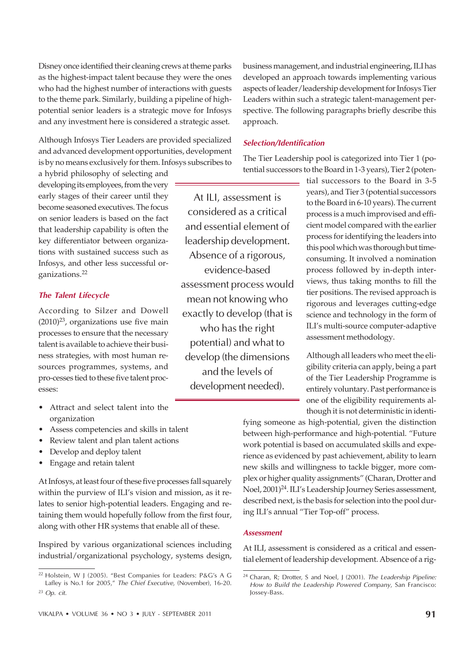Disney once identified their cleaning crews at theme parks as the highest-impact talent because they were the ones who had the highest number of interactions with guests to the theme park. Similarly, building a pipeline of highpotential senior leaders is a strategic move for Infosys and any investment here is considered a strategic asset.

Although Infosys Tier Leaders are provided specialized and advanced development opportunities, development is by no means exclusively for them. Infosys subscribes to

a hybrid philosophy of selecting and developing its employees, from the very early stages of their career until they become seasoned executives. The focus on senior leaders is based on the fact that leadership capability is often the key differentiator between organizations with sustained success such as Infosys, and other less successful organizations.<sup>22</sup>

### The Talent Lifecycle

According to Silzer and Dowell  $(2010)^{23}$ , organizations use five main processes to ensure that the necessary talent is available to achieve their business strategies, with most human resources programmes, systems, and pro-cesses tied to these five talent processes:

- Attract and select talent into the organization
- Assess competencies and skills in talent
- Review talent and plan talent actions
- Develop and deploy talent
- Engage and retain talent

At Infosys, at least four of these five processes fall squarely within the purview of ILI's vision and mission, as it relates to senior high-potential leaders. Engaging and retaining them would hopefully follow from the first four, along with other HR systems that enable all of these.

Inspired by various organizational sciences including industrial/organizational psychology, systems design, business management, and industrial engineering, ILI has developed an approach towards implementing various aspects of leader/leadership development for Infosys Tier Leaders within such a strategic talent-management perspective. The following paragraphs briefly describe this approach.

#### Selection/Identification

The Tier Leadership pool is categorized into Tier 1 (potential successors to the Board in 1-3 years), Tier 2 (poten-

At ILI, assessment is considered as a critical and essential element of leadership development. Absence of a rigorous, evidence-based assessment process would mean not knowing who exactly to develop (that is who has the right potential) and what to develop (the dimensions and the levels of development needed).

tial successors to the Board in 3-5 years), and Tier 3 (potential successors to the Board in 6-10 years). The current process is a much improvised and efficient model compared with the earlier process for identifying the leaders into this pool which was thorough but timeconsuming. It involved a nomination process followed by in-depth interviews, thus taking months to fill the tier positions. The revised approach is rigorous and leverages cutting-edge science and technology in the form of ILI's multi-source computer-adaptive assessment methodology.

Although all leaders who meet the eligibility criteria can apply, being a part of the Tier Leadership Programme is entirely voluntary. Past performance is one of the eligibility requirements although it is not deterministic in identi-

fying someone as high-potential, given the distinction between high-performance and high-potential. "Future work potential is based on accumulated skills and experience as evidenced by past achievement, ability to learn new skills and willingness to tackle bigger, more complex or higher quality assignments" (Charan, Drotter and Noel, 2001)<sup>24</sup>. ILI's Leadership Journey Series assessment, described next, is the basis for selection into the pool during ILI's annual "Tier Top-off" process.

#### **Assessment**

At ILI, assessment is considered as a critical and essential element of leadership development. Absence of a rig-

<sup>22</sup> Holstein, W J (2005). "Best Companies for Leaders: P&G's A G Lafley is No.1 for 2005," The Chief Executive, (November), 16-20.

 $23$  Op. cit.

 $24$  Charan, R; Drotter, S and Noel, J (2001). The Leadership Pipeline: How to Build the Leadership Powered Company, San Francisco: Jossey-Bass.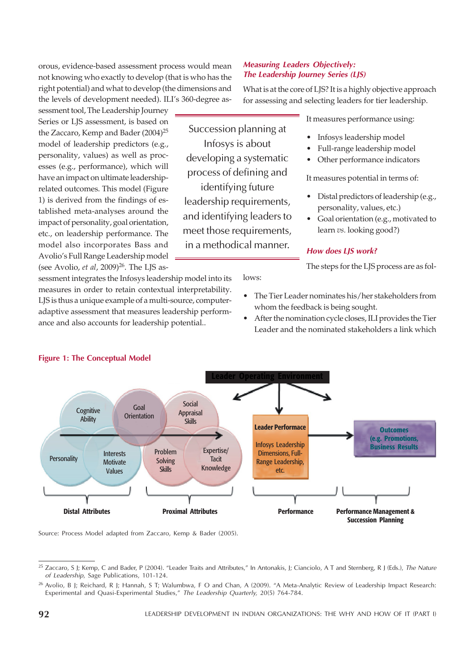orous, evidence-based assessment process would mean not knowing who exactly to develop (that is who has the right potential) and what to develop (the dimensions and the levels of development needed). ILI's 360-degree as-

sessment tool, The Leadership Journey Series or LJS assessment, is based on the Zaccaro, Kemp and Bader (2004)<sup>25</sup> model of leadership predictors (e.g., personality, values) as well as processes (e.g., performance), which will have an impact on ultimate leadershiprelated outcomes. This model (Figure 1) is derived from the findings of established meta-analyses around the impact of personality, goal orientation, etc., on leadership performance. The model also incorporates Bass and Avolio's Full Range Leadership model (see Avolio, *et al*, 2009)<sup>26</sup>. The LJS as-

sessment integrates the Infosys leadership model into its measures in order to retain contextual interpretability. LJS is thus a unique example of a multi-source, computeradaptive assessment that measures leadership performance and also accounts for leadership potential..

### Measuring Leaders Objectively: The Leadership Journey Series (LJS)

What is at the core of LJS? It is a highly objective approach for assessing and selecting leaders for tier leadership.

Succession planning at Infosys is about developing a systematic process of defining and identifying future leadership requirements, and identifying leaders to meet those requirements, in a methodical manner.

It measures performance using:

- Infosys leadership model
- Full-range leadership model
- Other performance indicators

It measures potential in terms of:

- Distal predictors of leadership (e.g., personality, values, etc.)
- Goal orientation (e.g., motivated to learn *vs.* looking good?)

# How does LJS work?

The steps for the LJS process are as fol-

lows:

- The Tier Leader nominates his/her stakeholders from whom the feedback is being sought.
- After the nomination cycle closes, ILI provides the Tier Leader and the nominated stakeholders a link which



Source: Process Model adapted from Zaccaro, Kemp & Bader (2005).

# Figure 1: The Conceptual Model

<sup>&</sup>lt;sup>25</sup> Zaccaro, S J; Kemp, C and Bader, P (2004). "Leader Traits and Attributes," In Antonakis, J; Cianciolo, A T and Sternberg, R J (Eds.), The Nature of Leadership, Sage Publications, 101-124.

<sup>&</sup>lt;sup>26</sup> Avolio, B J; Reichard, R J; Hannah, S T; Walumbwa, F O and Chan, A (2009). "A Meta-Analytic Review of Leadership Impact Research: Experimental and Quasi-Experimental Studies," The Leadership Quarterly, 20(5) 764-784.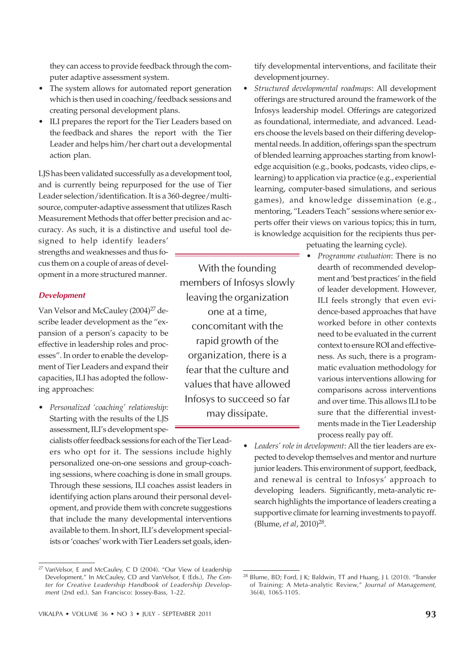they can access to provide feedback through the computer adaptive assessment system.

- The system allows for automated report generation which is then used in coaching/feedback sessions and creating personal development plans.
- ILI prepares the report for the Tier Leaders based on the feedback and shares the report with the Tier Leader and helps him/her chart out a developmental action plan.

LJS has been validated successfully as a development tool, and is currently being repurposed for the use of Tier Leader selection/identification. It is a 360-degree/multisource, computer-adaptive assessment that utilizes Rasch Measurement Methods that offer better precision and accuracy. As such, it is a distinctive and useful tool de-

signed to help identify leaders' strengths and weaknesses and thus focus them on a couple of areas of development in a more structured manner.

### Development

Van Velsor and McCauley (2004)<sup>27</sup> describe leader development as the "expansion of a person's capacity to be effective in leadership roles and processes". In order to enable the development of Tier Leaders and expand their capacities, ILI has adopted the following approaches:

ï *Personalized 'coaching' relationship:* Starting with the results of the LJS assessment, ILI's development spe-

cialists offer feedback sessions for each of the Tier Leaders who opt for it. The sessions include highly personalized one-on-one sessions and group-coaching sessions, where coaching is done in small groups. Through these sessions, ILI coaches assist leaders in identifying action plans around their personal development, and provide them with concrete suggestions that include the many developmental interventions available to them. In short, ILI's development specialists or 'coaches' work with Tier Leaders set goals, iden-

VIKALPA • VOLUME 36 • NO 3 • JULY - SEPTEMBER 2011  $93$ 

With the founding members of Infosys slowly leaving the organization one at a time, concomitant with the rapid growth of the organization, there is a fear that the culture and values that have allowed Infosys to succeed so far may dissipate.

tify developmental interventions, and facilitate their development journey.

- ï *Structured developmental roadmaps*: All development offerings are structured around the framework of the Infosys leadership model. Offerings are categorized as foundational, intermediate, and advanced. Leaders choose the levels based on their differing developmental needs. In addition, offerings span the spectrum of blended learning approaches starting from knowledge acquisition (e.g., books, podcasts, video clips, elearning) to application via practice (e.g., experiential learning, computer-based simulations, and serious games), and knowledge dissemination (e.g., mentoring, "Leaders Teach" sessions where senior experts offer their views on various topics; this in turn, is knowledge acquisition for the recipients thus per
	- petuating the learning cycle).
		- ï *Programme evaluation*: There is no dearth of recommended development and 'best practices' in the field of leader development. However, ILI feels strongly that even evidence-based approaches that have worked before in other contexts need to be evaluated in the current context to ensure ROI and effectiveness. As such, there is a programmatic evaluation methodology for various interventions allowing for comparisons across interventions and over time. This allows ILI to be sure that the differential investments made in the Tier Leadership process really pay off.
- Leaders' role in development: All the tier leaders are expected to develop themselves and mentor and nurture junior leaders. This environment of support, feedback, and renewal is central to Infosys' approach to developing leaders. Significantly, meta-analytic research highlights the importance of leaders creating a supportive climate for learning investments to payoff. (Blume, *et al*, 2010)<sup>28</sup>.

<sup>27</sup> VanVelsor, E and McCauley, C D (2004). "Our View of Leadership Development," In McCauley, CD and VanVelsor, E (Eds.), The Center for Creative Leadership Handbook of Leadership Development (2nd ed.). San Francisco: Jossey-Bass, 1-22.

<sup>&</sup>lt;sup>28</sup> Blume, BD; Ford, J K; Baldwin, TT and Huang, J L (2010). "Transfer of Training: A Meta-analytic Review," Journal of Management, 36(4), 1065-1105.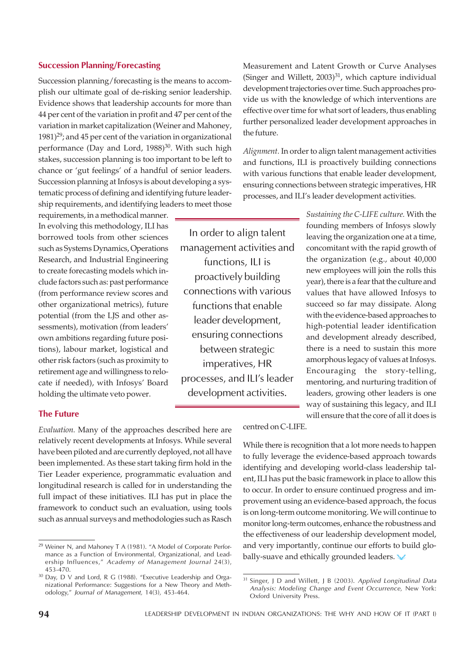### Succession Planning/Forecasting

Succession planning/forecasting is the means to accomplish our ultimate goal of de-risking senior leadership. Evidence shows that leadership accounts for more than 44 per cent of the variation in profit and 47 per cent of the variation in market capitalization (Weiner and Mahoney,  $1981$ <sup>29</sup>; and 45 per cent of the variation in organizational performance (Day and Lord, 1988)<sup>30</sup>. With such high stakes, succession planning is too important to be left to chance or 'gut feelings' of a handful of senior leaders. Succession planning at Infosys is about developing a systematic process of defining and identifying future leadership requirements, and identifying leaders to meet those

requirements, in a methodical manner. In evolving this methodology, ILI has borrowed tools from other sciences such as Systems Dynamics, Operations Research, and Industrial Engineering to create forecasting models which include factors such as: past performance (from performance review scores and other organizational metrics), future potential (from the LJS and other assessments), motivation (from leaders' own ambitions regarding future positions), labour market, logistical and other risk factors (such as proximity to retirement age and willingness to relocate if needed), with Infosys' Board holding the ultimate veto power.

In order to align talent management activities and functions, ILI is proactively building connections with various functions that enable leader development, ensuring connections between strategic imperatives, HR processes, and ILI's leader development activities.

Measurement and Latent Growth or Curve Analyses (Singer and Willett,  $2003$ )<sup>31</sup>, which capture individual development trajectories over time. Such approaches provide us with the knowledge of which interventions are effective over time for what sort of leaders, thus enabling further personalized leader development approaches in the future.

*Alignment.* In order to align talent management activities and functions, ILI is proactively building connections with various functions that enable leader development, ensuring connections between strategic imperatives, HR processes, and ILI's leader development activities.

> *Sustaining the C-LIFE culture.* With the founding members of Infosys slowly leaving the organization one at a time, concomitant with the rapid growth of the organization (e.g., about 40,000 new employees will join the rolls this year), there is a fear that the culture and values that have allowed Infosys to succeed so far may dissipate. Along with the evidence-based approaches to high-potential leader identification and development already described, there is a need to sustain this more amorphous legacy of values at Infosys. Encouraging the story-telling, mentoring, and nurturing tradition of leaders, growing other leaders is one way of sustaining this legacy, and ILI will ensure that the core of all it does is

# The Future

*Evaluation.* Many of the approaches described here are relatively recent developments at Infosys. While several have been piloted and are currently deployed, not all have been implemented. As these start taking firm hold in the Tier Leader experience, programmatic evaluation and longitudinal research is called for in understanding the full impact of these initiatives. ILI has put in place the framework to conduct such an evaluation, using tools such as annual surveys and methodologies such as Rasch centred on C-LIFE.

While there is recognition that a lot more needs to happen to fully leverage the evidence-based approach towards identifying and developing world-class leadership talent, ILI has put the basic framework in place to allow this to occur. In order to ensure continued progress and improvement using an evidence-based approach, the focus is on long-term outcome monitoring. We will continue to monitor long-term outcomes, enhance the robustness and the effectiveness of our leadership development model, and very importantly, continue our efforts to build globally-suave and ethically grounded leaders.

<sup>29</sup> Weiner N, and Mahoney T A (1981). "A Model of Corporate Performance as a Function of Environmental, Organizational, and Leadership Influences," Academy of Management Journal 24(3), 453-470.

<sup>30</sup> Day, D V and Lord, R G (1988). "Executive Leadership and Organizational Performance: Suggestions for a New Theory and Methodology," Journal of Management, 14(3), 453-464.

<sup>&</sup>lt;sup>31</sup> Singer, J D and Willett, J B (2003). Applied Longitudinal Data Analysis: Modeling Change and Event Occurrence, New York: Oxford University Press.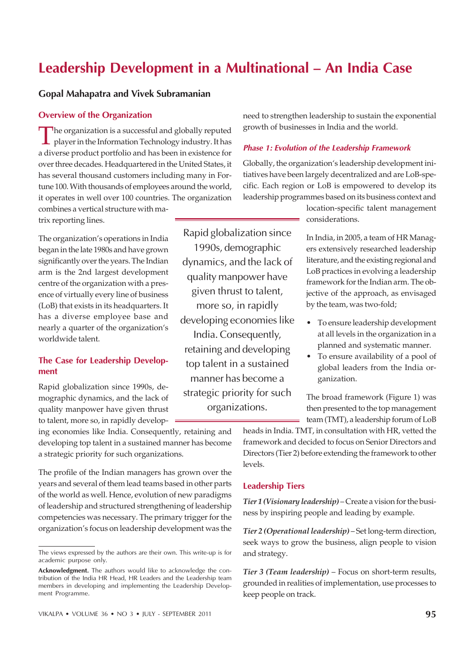# Leadership Development in a Multinational – An India Case

Rapid globalization since 1990s, demographic dynamics, and the lack of quality manpower have given thrust to talent, more so, in rapidly developing economies like India. Consequently, retaining and developing top talent in a sustained manner has become a strategic priority for such organizations.

# Gopal Mahapatra and Vivek Subramanian

#### Overview of the Organization

The organization is a successful and globally reputed<br>player in the Information Technology industry. It has The organization is a successful and globally reputed a diverse product portfolio and has been in existence for over three decades. Headquartered in the United States, it has several thousand customers including many in Fortune 100. With thousands of employees around the world, it operates in well over 100 countries. The organization combines a vertical structure with matrix reporting lines.

The organization's operations in India began in the late 1980s and have grown significantly over the years. The Indian arm is the 2nd largest development centre of the organization with a presence of virtually every line of business (LoB) that exists in its headquarters. It has a diverse employee base and nearly a quarter of the organization's worldwide talent.

#### The Case for Leadership Development

Rapid globalization since 1990s, demographic dynamics, and the lack of quality manpower have given thrust to talent, more so, in rapidly develop-

ing economies like India. Consequently, retaining and developing top talent in a sustained manner has become a strategic priority for such organizations.

The profile of the Indian managers has grown over the years and several of them lead teams based in other parts of the world as well. Hence, evolution of new paradigms of leadership and structured strengthening of leadership competencies was necessary. The primary trigger for the organization's focus on leadership development was the need to strengthen leadership to sustain the exponential growth of businesses in India and the world.

#### Phase 1: Evolution of the Leadership Framework

Globally, the organization's leadership development initiatives have been largely decentralized and are LoB-specific. Each region or LoB is empowered to develop its leadership programmes based on its business context and

> location-specific talent management considerations.

> In India, in 2005, a team of HR Managers extensively researched leadership literature, and the existing regional and LoB practices in evolving a leadership framework for the Indian arm. The objective of the approach, as envisaged by the team, was two-fold;

- To ensure leadership development at all levels in the organization in a planned and systematic manner.
- To ensure availability of a pool of global leaders from the India organization.

The broad framework (Figure 1) was then presented to the top management team (TMT), a leadership forum of LoB

heads in India. TMT, in consultation with HR, vetted the framework and decided to focus on Senior Directors and Directors (Tier 2) before extending the framework to other levels.

#### Leadership Tiers

*Tier 1 (Visionary leadership)* – Create a vision for the business by inspiring people and leading by example.

*Tier 2 (Operational leadership)* – Set long-term direction, seek ways to grow the business, align people to vision and strategy.

*Tier 3 (Team leadership)* – Focus on short-term results, grounded in realities of implementation, use processes to keep people on track.

The views expressed by the authors are their own. This write-up is for academic purpose only.

Acknowledgment. The authors would like to acknowledge the contribution of the India HR Head, HR Leaders and the Leadership team members in developing and implementing the Leadership Development Programme.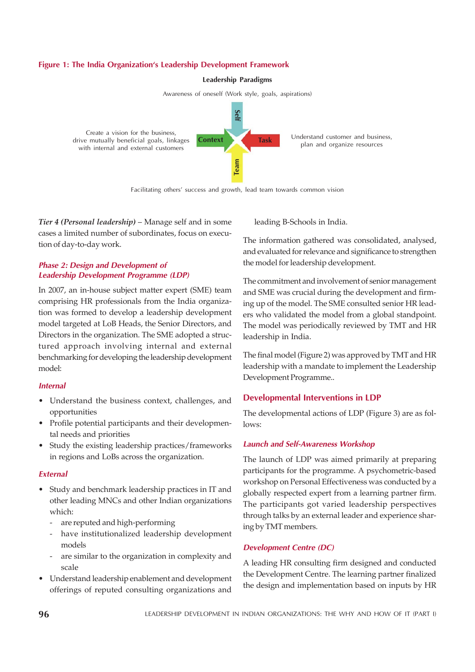### Figure 1: The India Organization's Leadership Development Framework



Awareness of oneself (Work style, goals, aspirations)



Facilitating others' success and growth, lead team towards common vision

*Tier 4 (Personal leadership)* – Manage self and in some cases a limited number of subordinates, focus on execution of day-to-day work.

### Phase 2: Design and Development of Leadership Development Programme (LDP)

In 2007, an in-house subject matter expert (SME) team comprising HR professionals from the India organization was formed to develop a leadership development model targeted at LoB Heads, the Senior Directors, and Directors in the organization. The SME adopted a structured approach involving internal and external benchmarking for developing the leadership development model:

#### Internal

- Understand the business context, challenges, and opportunities
- Profile potential participants and their developmental needs and priorities
- Study the existing leadership practices/frameworks in regions and LoBs across the organization.

#### **External**

- Study and benchmark leadership practices in IT and other leading MNCs and other Indian organizations which:
	- are reputed and high-performing
	- have institutionalized leadership development models
	- are similar to the organization in complexity and scale
- Understand leadership enablement and development offerings of reputed consulting organizations and

leading B-Schools in India.

The information gathered was consolidated, analysed, and evaluated for relevance and significance to strengthen the model for leadership development.

The commitment and involvement of senior management and SME was crucial during the development and firming up of the model. The SME consulted senior HR leaders who validated the model from a global standpoint. The model was periodically reviewed by TMT and HR leadership in India.

The final model (Figure 2) was approved by TMT and HR leadership with a mandate to implement the Leadership Development Programme..

# Developmental Interventions in LDP

The developmental actions of LDP (Figure 3) are as follows:

#### Launch and Self-Awareness Workshop

The launch of LDP was aimed primarily at preparing participants for the programme. A psychometric-based workshop on Personal Effectiveness was conducted by a globally respected expert from a learning partner firm. The participants got varied leadership perspectives through talks by an external leader and experience sharing by TMT members.

# Development Centre (DC)

A leading HR consulting firm designed and conducted the Development Centre. The learning partner finalized the design and implementation based on inputs by HR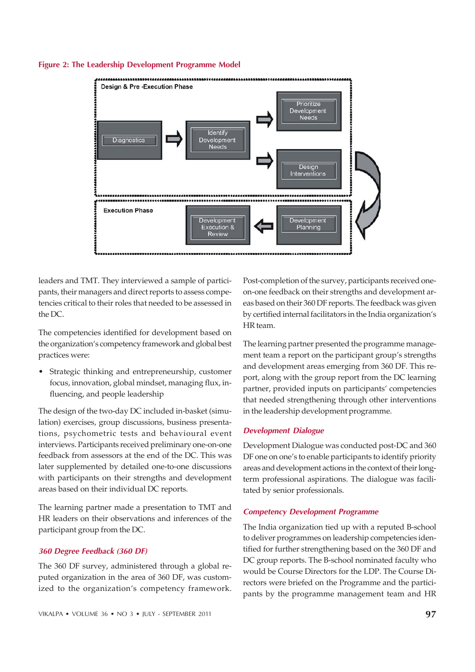



leaders and TMT. They interviewed a sample of participants, their managers and direct reports to assess competencies critical to their roles that needed to be assessed in the DC.

The competencies identified for development based on the organization's competency framework and global best practices were:

Strategic thinking and entrepreneurship, customer focus, innovation, global mindset, managing flux, influencing, and people leadership

The design of the two-day DC included in-basket (simulation) exercises, group discussions, business presentations, psychometric tests and behavioural event interviews. Participants received preliminary one-on-one feedback from assessors at the end of the DC. This was later supplemented by detailed one-to-one discussions with participants on their strengths and development areas based on their individual DC reports.

The learning partner made a presentation to TMT and HR leaders on their observations and inferences of the participant group from the DC.

#### 360 Degree Feedback (360 DF)

The 360 DF survey, administered through a global reputed organization in the area of 360 DF, was customized to the organization's competency framework.

Post-completion of the survey, participants received oneon-one feedback on their strengths and development areas based on their 360 DF reports. The feedback was given by certified internal facilitators in the India organization's HR team.

The learning partner presented the programme management team a report on the participant group's strengths and development areas emerging from 360 DF. This report, along with the group report from the DC learning partner, provided inputs on participants' competencies that needed strengthening through other interventions in the leadership development programme.

#### Development Dialogue

Development Dialogue was conducted post-DC and 360 DF one on one's to enable participants to identify priority areas and development actions in the context of their longterm professional aspirations. The dialogue was facilitated by senior professionals.

#### Competency Development Programme

The India organization tied up with a reputed B-school to deliver programmes on leadership competencies identified for further strengthening based on the 360 DF and DC group reports. The B-school nominated faculty who would be Course Directors for the LDP. The Course Directors were briefed on the Programme and the participants by the programme management team and HR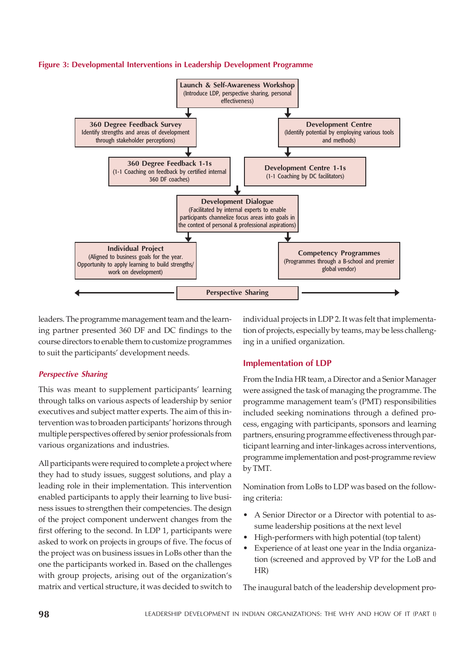



leaders. The programme management team and the learning partner presented 360 DF and DC findings to the course directors to enable them to customize programmes to suit the participants' development needs.

# Perspective Sharing

This was meant to supplement participants' learning through talks on various aspects of leadership by senior executives and subject matter experts. The aim of this intervention was to broaden participants' horizons through multiple perspectives offered by senior professionals from various organizations and industries.

All participants were required to complete a project where they had to study issues, suggest solutions, and play a leading role in their implementation. This intervention enabled participants to apply their learning to live business issues to strengthen their competencies. The design of the project component underwent changes from the first offering to the second. In LDP 1, participants were asked to work on projects in groups of five. The focus of the project was on business issues in LoBs other than the one the participants worked in. Based on the challenges with group projects, arising out of the organization's matrix and vertical structure, it was decided to switch to individual projects in LDP 2. It was felt that implementation of projects, especially by teams, may be less challenging in a unified organization.

# Implementation of LDP

From the India HR team, a Director and a Senior Manager were assigned the task of managing the programme. The programme management team's (PMT) responsibilities included seeking nominations through a defined process, engaging with participants, sponsors and learning partners, ensuring programme effectiveness through participant learning and inter-linkages across interventions, programme implementation and post-programme review by TMT.

Nomination from LoBs to LDP was based on the following criteria:

- A Senior Director or a Director with potential to assume leadership positions at the next level
- High-performers with high potential (top talent)
- Experience of at least one year in the India organization (screened and approved by VP for the LoB and HR)

The inaugural batch of the leadership development pro-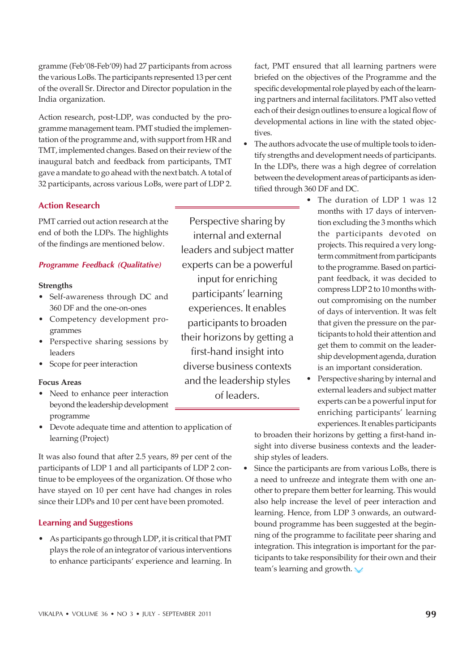gramme (Feb'08-Feb'09) had 27 participants from across the various LoBs. The participants represented 13 per cent of the overall Sr. Director and Director population in the India organization.

Action research, post-LDP, was conducted by the programme management team. PMT studied the implementation of the programme and, with support from HR and TMT, implemented changes. Based on their review of the inaugural batch and feedback from participants, TMT gave a mandate to go ahead with the next batch. A total of 32 participants, across various LoBs, were part of LDP 2.

# Action Research

PMT carried out action research at the end of both the LDPs. The highlights of the findings are mentioned below.

# Programme Feedback (Qualitative)

#### **Strengths**

- Self-awareness through DC and 360 DF and the one-on-ones
- Competency development programmes
- Perspective sharing sessions by leaders
- Scope for peer interaction

#### **Focus Areas**

- Need to enhance peer interaction beyond the leadership development programme
- Devote adequate time and attention to application of learning (Project)

It was also found that after 2.5 years, 89 per cent of the participants of LDP 1 and all participants of LDP 2 continue to be employees of the organization. Of those who have stayed on 10 per cent have had changes in roles since their LDPs and 10 per cent have been promoted.

# Learning and Suggestions

ï As participants go through LDP, it is critical that PMT plays the role of an integrator of various interventions to enhance participants' experience and learning. In

Perspective sharing by internal and external leaders and subject matter experts can be a powerful input for enriching participants' learning experiences. It enables participants to broaden their horizons by getting a first-hand insight into diverse business contexts and the leadership styles of leaders.

fact, PMT ensured that all learning partners were briefed on the objectives of the Programme and the specific developmental role played by each of the learning partners and internal facilitators. PMT also vetted each of their design outlines to ensure a logical flow of developmental actions in line with the stated objectives.

- The authors advocate the use of multiple tools to identify strengths and development needs of participants. In the LDPs, there was a high degree of correlation between the development areas of participants as identified through 360 DF and DC.
	- The duration of LDP 1 was 12 months with 17 days of intervention excluding the 3 months which the participants devoted on projects. This required a very longterm commitment from participants to the programme. Based on participant feedback, it was decided to compress LDP 2 to 10 months without compromising on the number of days of intervention. It was felt that given the pressure on the participants to hold their attention and get them to commit on the leadership development agenda, duration is an important consideration.
	- Perspective sharing by internal and external leaders and subject matter experts can be a powerful input for enriching participants' learning experiences. It enables participants

to broaden their horizons by getting a first-hand insight into diverse business contexts and the leadership styles of leaders.

Since the participants are from various LoBs, there is a need to unfreeze and integrate them with one another to prepare them better for learning. This would also help increase the level of peer interaction and learning. Hence, from LDP 3 onwards, an outwardbound programme has been suggested at the beginning of the programme to facilitate peer sharing and integration. This integration is important for the participants to take responsibility for their own and their team's learning and growth.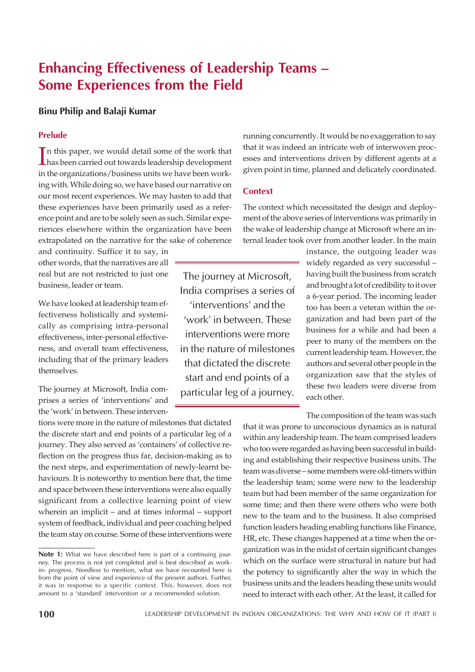# Enhancing Effectiveness of Leadership Teams – Some Experiences from the Field

# Binu Philip and Balaji Kumar

# Prelude

In this paper, we would detail some of the work that<br>has been carried out towards leadership development has been carried out towards leadership development in the organizations/business units we have been working with. While doing so, we have based our narrative on our most recent experiences. We may hasten to add that these experiences have been primarily used as a reference point and are to be solely seen as such. Similar experiences elsewhere within the organization have been extrapolated on the narrative for the sake of coherence

and continuity. Suffice it to say, in other words, that the narratives are all real but are not restricted to just one business, leader or team.

We have looked at leadership team effectiveness holistically and systemically as comprising intra-personal effectiveness, inter-personal effectiveness, and overall team effectiveness, including that of the primary leaders themselves.

The journey at Microsoft, India comprises a series of 'interventions' and the 'work' in between. These interven-

tions were more in the nature of milestones that dictated the discrete start and end points of a particular leg of a journey. They also served as 'containers' of collective reflection on the progress thus far, decision-making as to the next steps, and experimentation of newly-learnt behaviours. It is noteworthy to mention here that, the time and space between these interventions were also equally significant from a collective learning point of view wherein an implicit – and at times informal – support system of feedback, individual and peer coaching helped the team stay on course. Some of these interventions were running concurrently. It would be no exaggeration to say that it was indeed an intricate web of interwoven processes and interventions driven by different agents at a given point in time, planned and delicately coordinated.

# **Context**

The context which necessitated the design and deployment of the above series of interventions was primarily in the wake of leadership change at Microsoft where an internal leader took over from another leader. In the main

> instance, the outgoing leader was widely regarded as very successful – having built the business from scratch and brought a lot of credibility to it over a 6-year period. The incoming leader too has been a veteran within the organization and had been part of the business for a while and had been a peer to many of the members on the current leadership team. However, the authors and several other people in the organization saw that the styles of these two leaders were diverse from each other.

The composition of the team was such that it was prone to unconscious dynamics as is natural within any leadership team. The team comprised leaders who too were regarded as having been successful in building and establishing their respective business units. The team was diverse – some members were old-timers within the leadership team; some were new to the leadership team but had been member of the same organization for some time; and then there were others who were both new to the team and to the business. It also comprised function leaders heading enabling functions like Finance, HR, etc. These changes happened at a time when the organization was in the midst of certain significant changes which on the surface were structural in nature but had the potency to significantly alter the way in which the business units and the leaders heading these units would need to interact with each other. At the least, it called for

The journey at Microsoft, India comprises a series of 'interventions' and the 'work' in between. These interventions were more in the nature of milestones that dictated the discrete start and end points of a particular leg of a journey.

Note 1: What we have described here is part of a continuing journey. The process is not yet completed and is best described as workin- progress. Needless to mention, what we have recounted here is from the point of view and experience of the present authors. Further, it was in response to a specific context. This, however, does not amount to a 'standard' intervention or a recommended solution.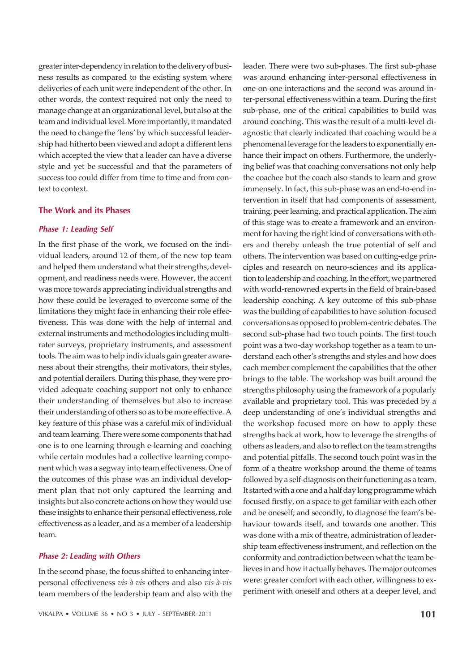greater inter-dependency in relation to the delivery of business results as compared to the existing system where deliveries of each unit were independent of the other. In other words, the context required not only the need to manage change at an organizational level, but also at the team and individual level. More importantly, it mandated the need to change the 'lens' by which successful leadership had hitherto been viewed and adopt a different lens which accepted the view that a leader can have a diverse style and yet be successful and that the parameters of success too could differ from time to time and from context to context.

#### The Work and its Phases

### Phase 1: Leading Self

In the first phase of the work, we focused on the individual leaders, around 12 of them, of the new top team and helped them understand what their strengths, development, and readiness needs were. However, the accent was more towards appreciating individual strengths and how these could be leveraged to overcome some of the limitations they might face in enhancing their role effectiveness. This was done with the help of internal and external instruments and methodologies including multirater surveys, proprietary instruments, and assessment tools. The aim was to help individuals gain greater awareness about their strengths, their motivators, their styles, and potential derailers. During this phase, they were provided adequate coaching support not only to enhance their understanding of themselves but also to increase their understanding of others so as to be more effective. A key feature of this phase was a careful mix of individual and team learning. There were some components that had one is to one learning through e-learning and coaching while certain modules had a collective learning component which was a segway into team effectiveness. One of the outcomes of this phase was an individual development plan that not only captured the learning and insights but also concrete actions on how they would use these insights to enhance their personal effectiveness, role effectiveness as a leader, and as a member of a leadership team.

#### Phase 2: Leading with Others

In the second phase, the focus shifted to enhancing interpersonal effectiveness *vis-à-vis* others and also *vis-à-vis* team members of the leadership team and also with the leader. There were two sub-phases. The first sub-phase was around enhancing inter-personal effectiveness in one-on-one interactions and the second was around inter-personal effectiveness within a team. During the first sub-phase, one of the critical capabilities to build was around coaching. This was the result of a multi-level diagnostic that clearly indicated that coaching would be a phenomenal leverage for the leaders to exponentially enhance their impact on others. Furthermore, the underlying belief was that coaching conversations not only help the coachee but the coach also stands to learn and grow immensely. In fact, this sub-phase was an end-to-end intervention in itself that had components of assessment, training, peer learning, and practical application. The aim of this stage was to create a framework and an environment for having the right kind of conversations with others and thereby unleash the true potential of self and others. The intervention was based on cutting-edge principles and research on neuro-sciences and its application to leadership and coaching. In the effort, we partnered with world-renowned experts in the field of brain-based leadership coaching. A key outcome of this sub-phase was the building of capabilities to have solution-focused conversations as opposed to problem-centric debates. The second sub-phase had two touch points. The first touch point was a two-day workshop together as a team to understand each other's strengths and styles and how does each member complement the capabilities that the other brings to the table. The workshop was built around the strengths philosophy using the framework of a popularly available and proprietary tool. This was preceded by a deep understanding of one's individual strengths and the workshop focused more on how to apply these strengths back at work, how to leverage the strengths of others as leaders, and also to reflect on the team strengths and potential pitfalls. The second touch point was in the form of a theatre workshop around the theme of teams followed by a self-diagnosis on their functioning as a team. It started with a one and a half day long programme which focused firstly, on a space to get familiar with each other and be oneself; and secondly, to diagnose the team's behaviour towards itself, and towards one another. This was done with a mix of theatre, administration of leadership team effectiveness instrument, and reflection on the conformity and contradiction between what the team believes in and how it actually behaves. The major outcomes were: greater comfort with each other, willingness to experiment with oneself and others at a deeper level, and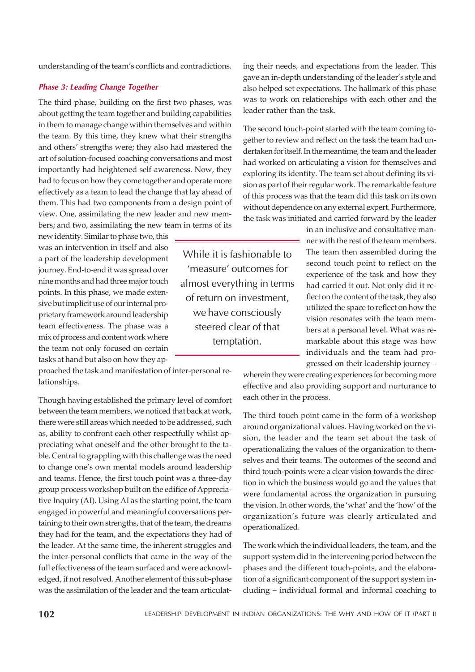understanding of the team's conflicts and contradictions.

#### Phase 3: Leading Change Together

The third phase, building on the first two phases, was about getting the team together and building capabilities in them to manage change within themselves and within the team. By this time, they knew what their strengths and others' strengths were; they also had mastered the art of solution-focused coaching conversations and most importantly had heightened self-awareness. Now, they had to focus on how they come together and operate more effectively as a team to lead the change that lay ahead of them. This had two components from a design point of view. One, assimilating the new leader and new members; and two, assimilating the new team in terms of its

new identity. Similar to phase two, this was an intervention in itself and also a part of the leadership development journey. End-to-end it was spread over nine months and had three major touch points. In this phase, we made extensive but implicit use of our internal proprietary framework around leadership team effectiveness. The phase was a mix of process and content work where the team not only focused on certain tasks at hand but also on how they ap-

proached the task and manifestation of inter-personal relationships.

Though having established the primary level of comfort between the team members, we noticed that back at work, there were still areas which needed to be addressed, such as, ability to confront each other respectfully whilst appreciating what oneself and the other brought to the table. Central to grappling with this challenge was the need to change one's own mental models around leadership and teams. Hence, the first touch point was a three-day group process workshop built on the edifice of Appreciative Inquiry (AI). Using AI as the starting point, the team engaged in powerful and meaningful conversations pertaining to their own strengths, that of the team, the dreams they had for the team, and the expectations they had of the leader. At the same time, the inherent struggles and the inter-personal conflicts that came in the way of the full effectiveness of the team surfaced and were acknowledged, if not resolved. Another element of this sub-phase was the assimilation of the leader and the team articulating their needs, and expectations from the leader. This gave an in-depth understanding of the leader's style and also helped set expectations. The hallmark of this phase was to work on relationships with each other and the leader rather than the task.

The second touch-point started with the team coming together to review and reflect on the task the team had undertaken for itself. In the meantime, the team and the leader had worked on articulating a vision for themselves and exploring its identity. The team set about defining its vision as part of their regular work. The remarkable feature of this process was that the team did this task on its own without dependence on any external expert. Furthermore, the task was initiated and carried forward by the leader

> in an inclusive and consultative manner with the rest of the team members. The team then assembled during the second touch point to reflect on the experience of the task and how they had carried it out. Not only did it reflect on the content of the task, they also utilized the space to reflect on how the vision resonates with the team members at a personal level. What was remarkable about this stage was how individuals and the team had progressed on their leadership journey –

wherein they were creating experiences for becoming more effective and also providing support and nurturance to each other in the process.

The third touch point came in the form of a workshop around organizational values. Having worked on the vision, the leader and the team set about the task of operationalizing the values of the organization to themselves and their teams. The outcomes of the second and third touch-points were a clear vision towards the direction in which the business would go and the values that were fundamental across the organization in pursuing the vision. In other words, the 'what' and the 'how' of the organization's future was clearly articulated and operationalized.

The work which the individual leaders, the team, and the support system did in the intervening period between the phases and the different touch-points, and the elaboration of a significant component of the support system including – individual formal and informal coaching to

'measure' outcomes for almost everything in terms of return on investment, we have consciously steered clear of that temptation.

While it is fashionable to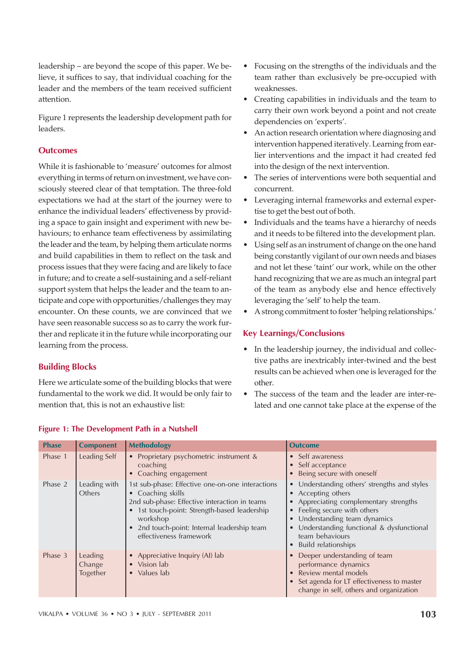leadership – are beyond the scope of this paper. We believe, it suffices to say, that individual coaching for the leader and the members of the team received sufficient attention.

Figure 1 represents the leadership development path for leaders.

# **Outcomes**

While it is fashionable to 'measure' outcomes for almost everything in terms of return on investment, we have consciously steered clear of that temptation. The three-fold expectations we had at the start of the journey were to enhance the individual leaders' effectiveness by providing a space to gain insight and experiment with new behaviours; to enhance team effectiveness by assimilating the leader and the team, by helping them articulate norms and build capabilities in them to reflect on the task and process issues that they were facing and are likely to face in future; and to create a self-sustaining and a self-reliant support system that helps the leader and the team to anticipate and cope with opportunities/challenges they may encounter. On these counts, we are convinced that we have seen reasonable success so as to carry the work further and replicate it in the future while incorporating our learning from the process.

# Building Blocks

Here we articulate some of the building blocks that were fundamental to the work we did. It would be only fair to mention that, this is not an exhaustive list:

- Focusing on the strengths of the individuals and the team rather than exclusively be pre-occupied with weaknesses.
- Creating capabilities in individuals and the team to carry their own work beyond a point and not create dependencies on 'experts'.
- An action research orientation where diagnosing and intervention happened iteratively. Learning from earlier interventions and the impact it had created fed into the design of the next intervention.
- The series of interventions were both sequential and concurrent.
- Leveraging internal frameworks and external expertise to get the best out of both.
- Individuals and the teams have a hierarchy of needs and it needs to be filtered into the development plan.
- Using self as an instrument of change on the one hand being constantly vigilant of our own needs and biases and not let these 'taint' our work, while on the other hand recognizing that we are as much an integral part of the team as anybody else and hence effectively leveraging the 'self' to help the team.
- ï A strong commitment to foster 'helping relationships.'

# Key Learnings/Conclusions

- In the leadership journey, the individual and collective paths are inextricably inter-twined and the best results can be achieved when one is leveraged for the other.
- The success of the team and the leader are inter-related and one cannot take place at the expense of the

| <b>Phase</b> | <b>Component</b>              | <b>Methodology</b>                                                                                                                                                                                                                                                                            | <b>Outcome</b>                                                                                                                                                                                                                                                          |
|--------------|-------------------------------|-----------------------------------------------------------------------------------------------------------------------------------------------------------------------------------------------------------------------------------------------------------------------------------------------|-------------------------------------------------------------------------------------------------------------------------------------------------------------------------------------------------------------------------------------------------------------------------|
| Phase 1      | Leading Self                  | Proprietary psychometric instrument &<br>$\bullet$<br>coaching<br>Coaching engagement<br>$\bullet$                                                                                                                                                                                            | • Self awareness<br>• Self acceptance<br>• Being secure with oneself                                                                                                                                                                                                    |
| Phase 2      | Leading with<br>Others        | 1st sub-phase: Effective one-on-one interactions<br>Coaching skills<br>$\bullet$<br>2nd sub-phase: Effective interaction in teams<br>1st touch-point: Strength-based leadership<br>$\bullet$<br>workshop<br>2nd touch-point: Internal leadership team<br>$\bullet$<br>effectiveness framework | • Understanding others' strengths and styles<br>• Accepting others<br>• Appreciating complementary strengths<br>• Feeling secure with others<br>• Understanding team dynamics<br>• Understanding functional & dysfunctional<br>team behaviours<br>• Build relationships |
| Phase 3      | Leading<br>Change<br>Together | Appreciative Inquiry (AI) lab<br>$\bullet$<br>Vision lab<br>$\bullet$<br>Values lab<br>$\bullet$                                                                                                                                                                                              | • Deeper understanding of team<br>performance dynamics<br>• Review mental models<br>• Set agenda for LT effectiveness to master<br>change in self, others and organization                                                                                              |

#### Figure 1: The Development Path in a Nutshell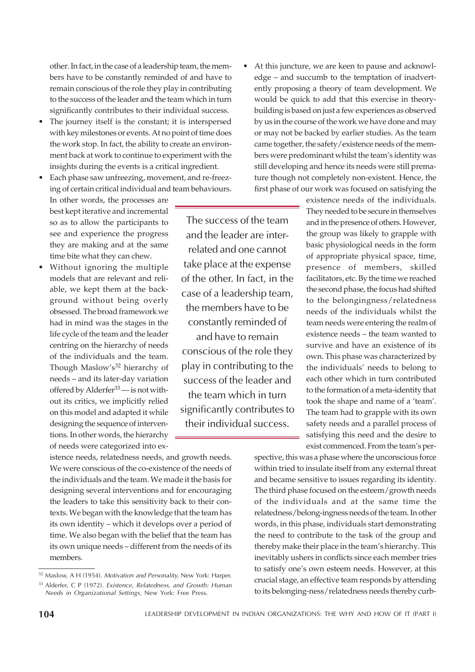other. In fact, in the case of a leadership team, the members have to be constantly reminded of and have to remain conscious of the role they play in contributing to the success of the leader and the team which in turn significantly contributes to their individual success.

- The journey itself is the constant; it is interspersed with key milestones or events. At no point of time does the work stop. In fact, the ability to create an environment back at work to continue to experiment with the insights during the events is a critical ingredient.
- Each phase saw unfreezing, movement, and re-freezing of certain critical individual and team behaviours.

In other words, the processes are best kept iterative and incremental so as to allow the participants to see and experience the progress they are making and at the same time bite what they can chew.

• Without ignoring the multiple models that are relevant and reliable, we kept them at the background without being overly obsessed. The broad framework we had in mind was the stages in the life cycle of the team and the leader centring on the hierarchy of needs of the individuals and the team. Though Maslow's<sup>32</sup> hierarchy of needs – and its later-day variation offered by Alderfer<sup>33</sup> — is not without its critics, we implicitly relied on this model and adapted it while designing the sequence of interventions. In other words, the hierarchy of needs were categorized into ex-

The success of the team and the leader are interrelated and one cannot take place at the expense of the other. In fact, in the case of a leadership team, the members have to be constantly reminded of

and have to remain conscious of the role they play in contributing to the success of the leader and the team which in turn significantly contributes to their individual success.

istence needs, relatedness needs, and growth needs. We were conscious of the co-existence of the needs of the individuals and the team. We made it the basis for designing several interventions and for encouraging the leaders to take this sensitivity back to their contexts. We began with the knowledge that the team has its own identity – which it develops over a period of time. We also began with the belief that the team has its own unique needs – different from the needs of its members.

At this juncture, we are keen to pause and acknowledge – and succumb to the temptation of inadvertently proposing a theory of team development. We would be quick to add that this exercise in theorybuilding is based on just a few experiences as observed by us in the course of the work we have done and may or may not be backed by earlier studies. As the team came together, the safety/existence needs of the members were predominant whilst the team's identity was still developing and hence its needs were still premature though not completely non-existent. Hence, the first phase of our work was focused on satisfying the

> existence needs of the individuals. They needed to be secure in themselves and in the presence of others. However, the group was likely to grapple with basic physiological needs in the form of appropriate physical space, time, presence of members, skilled facilitators, etc. By the time we reached the second phase, the focus had shifted to the belongingness/relatedness needs of the individuals whilst the team needs were entering the realm of existence needs – the team wanted to survive and have an existence of its own. This phase was characterized by the individuals' needs to belong to each other which in turn contributed to the formation of a meta-identity that took the shape and name of a 'team'. The team had to grapple with its own safety needs and a parallel process of satisfying this need and the desire to exist commenced. From the team's per-

spective, this was a phase where the unconscious force within tried to insulate itself from any external threat and became sensitive to issues regarding its identity. The third phase focused on the esteem/growth needs of the individuals and at the same time the relatedness/belong-ingness needs of the team. In other words, in this phase, individuals start demonstrating the need to contribute to the task of the group and thereby make their place in the team's hierarchy. This inevitably ushers in conflicts since each member tries to satisfy one's own esteem needs. However, at this crucial stage, an effective team responds by attending to its belonging-ness/relatedness needs thereby curb-

<sup>&</sup>lt;sup>32</sup> Maslow, A H (1954). Motivation and Personality, New York: Harper.

<sup>33</sup> Alderfer, C P (1972). Existence, Relatedness, and Growth: Human Needs in Organizational Settings, New York: Free Press.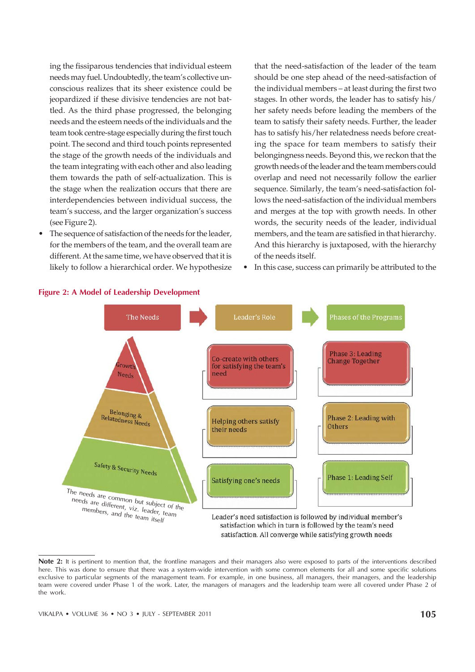ing the fissiparous tendencies that individual esteem needs may fuel. Undoubtedly, the team's collective unconscious realizes that its sheer existence could be jeopardized if these divisive tendencies are not battled. As the third phase progressed, the belonging needs and the esteem needs of the individuals and the team took centre-stage especially during the first touch point. The second and third touch points represented the stage of the growth needs of the individuals and the team integrating with each other and also leading them towards the path of self-actualization. This is the stage when the realization occurs that there are interdependencies between individual success, the team's success, and the larger organization's success (see Figure 2).

• The sequence of satisfaction of the needs for the leader, for the members of the team, and the overall team are different. At the same time, we have observed that it is likely to follow a hierarchical order. We hypothesize

that the need-satisfaction of the leader of the team should be one step ahead of the need-satisfaction of the individual members – at least during the first two stages. In other words, the leader has to satisfy his/ her safety needs before leading the members of the team to satisfy their safety needs. Further, the leader has to satisfy his/her relatedness needs before creating the space for team members to satisfy their belongingness needs. Beyond this, we reckon that the growth needs of the leader and the team members could overlap and need not necessarily follow the earlier sequence. Similarly, the team's need-satisfaction follows the need-satisfaction of the individual members and merges at the top with growth needs. In other words, the security needs of the leader, individual members, and the team are satisfied in that hierarchy. And this hierarchy is juxtaposed, with the hierarchy of the needs itself.

In this case, success can primarily be attributed to the



#### Figure 2: A Model of Leadership Development

Note 2: It is pertinent to mention that, the frontline managers and their managers also were exposed to parts of the interventions described here. This was done to ensure that there was a system-wide intervention with some common elements for all and some specific solutions exclusive to particular segments of the management team. For example, in one business, all managers, their managers, and the leadership team were covered under Phase 1 of the work. Later, the managers of managers and the leadership team were all covered under Phase 2 of the work.

satisfaction. All converge while satisfying growth needs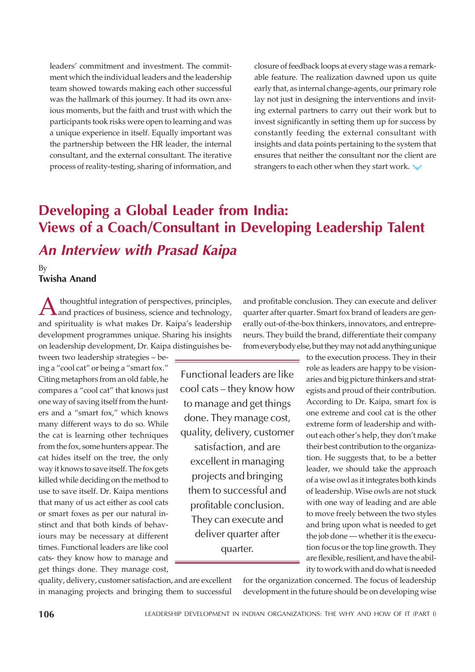leaders' commitment and investment. The commitment which the individual leaders and the leadership team showed towards making each other successful was the hallmark of this journey. It had its own anxious moments, but the faith and trust with which the participants took risks were open to learning and was a unique experience in itself. Equally important was the partnership between the HR leader, the internal consultant, and the external consultant. The iterative process of reality-testing, sharing of information, and

closure of feedback loops at every stage was a remarkable feature. The realization dawned upon us quite early that, as internal change-agents, our primary role lay not just in designing the interventions and inviting external partners to carry out their work but to invest significantly in setting them up for success by constantly feeding the external consultant with insights and data points pertaining to the system that ensures that neither the consultant nor the client are strangers to each other when they start work.

# Developing a Global Leader from India: Views of a Coach/Consultant in Developing Leadership Talent An Interview with Prasad Kaipa

By Twisha Anand

A thoughtful integration of perspectives, principles,<br>and practices of business, science and technology,<br>and spirituality is what makes Dr. Kaipa's leadership thoughtful integration of perspectives, principles, and practices of business, science and technology, development programmes unique. Sharing his insights on leadership development, Dr. Kaipa distinguishes be-

tween two leadership strategies – being a "cool cat" or being a "smart fox." Citing metaphors from an old fable, he compares a "cool cat" that knows just one way of saving itself from the hunters and a "smart fox," which knows many different ways to do so. While the cat is learning other techniques from the fox, some hunters appear. The cat hides itself on the tree, the only way it knows to save itself. The fox gets killed while deciding on the method to use to save itself. Dr. Kaipa mentions that many of us act either as cool cats or smart foxes as per our natural instinct and that both kinds of behaviours may be necessary at different times. Functional leaders are like cool cats- they know how to manage and get things done. They manage cost,

Functional leaders are like cool cats – they know how to manage and get things done. They manage cost, quality, delivery, customer

satisfaction, and are excellent in managing projects and bringing them to successful and profitable conclusion. They can execute and deliver quarter after quarter.

and profitable conclusion. They can execute and deliver quarter after quarter. Smart fox brand of leaders are generally out-of-the-box thinkers, innovators, and entrepreneurs. They build the brand, differentiate their company from everybody else, but they may not add anything unique

> to the execution process. They in their role as leaders are happy to be visionaries and big picture thinkers and strategists and proud of their contribution. According to Dr. Kaipa, smart fox is one extreme and cool cat is the other extreme form of leadership and without each other's help, they don't make their best contribution to the organization. He suggests that, to be a better leader, we should take the approach of a wise owl as it integrates both kinds of leadership. Wise owls are not stuck with one way of leading and are able to move freely between the two styles and bring upon what is needed to get the job done — whether it is the execution focus or the top line growth. They are flexible, resilient, and have the ability to work with and do what is needed

quality, delivery, customer satisfaction, and are excellent in managing projects and bringing them to successful for the organization concerned. The focus of leadership development in the future should be on developing wise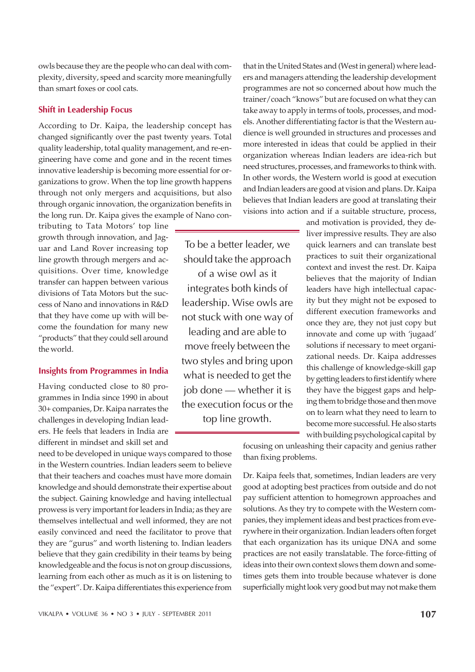that they have come up with will become the foundation for many new not stuck with one way of leading and are able to

"products" that they could sell around

the world.

tributing to Tata Motors' top line growth through innovation, and Jaguar and Land Rover increasing top line growth through mergers and acquisitions. Over time, knowledge transfer can happen between various divisions of Tata Motors but the success of Nano and innovations in R&D

owls because they are the people who can deal with complexity, diversity, speed and scarcity more meaningfully

According to Dr. Kaipa, the leadership concept has changed significantly over the past twenty years. Total quality leadership, total quality management, and re-engineering have come and gone and in the recent times innovative leadership is becoming more essential for organizations to grow. When the top line growth happens through not only mergers and acquisitions, but also through organic innovation, the organization benefits in the long run. Dr. Kaipa gives the example of Nano con-

than smart foxes or cool cats.

Shift in Leadership Focus

Insights from Programmes in India Having conducted close to 80 programmes in India since 1990 in about 30+ companies, Dr. Kaipa narrates the challenges in developing Indian lead-

ers. He feels that leaders in India are different in mindset and skill set and need to be developed in unique ways compared to those

in the Western countries. Indian leaders seem to believe that their teachers and coaches must have more domain knowledge and should demonstrate their expertise about the subject. Gaining knowledge and having intellectual prowess is very important for leaders in India; as they are themselves intellectual and well informed, they are not easily convinced and need the facilitator to prove that they are "gurus" and worth listening to. Indian leaders believe that they gain credibility in their teams by being knowledgeable and the focus is not on group discussions, learning from each other as much as it is on listening to the "expert". Dr. Kaipa differentiates this experience from

that in the United States and (West in general) where leaders and managers attending the leadership development programmes are not so concerned about how much the trainer/coach "knows" but are focused on what they can take away to apply in terms of tools, processes, and models. Another differentiating factor is that the Western audience is well grounded in structures and processes and more interested in ideas that could be applied in their organization whereas Indian leaders are idea-rich but need structures, processes, and frameworks to think with. In other words, the Western world is good at execution and Indian leaders are good at vision and plans. Dr. Kaipa believes that Indian leaders are good at translating their visions into action and if a suitable structure, process,

To be a better leader, we should take the approach of a wise owl as it integrates both kinds of leadership. Wise owls are

move freely between the two styles and bring upon what is needed to get the job done — whether it is the execution focus or the top line growth.

and motivation is provided, they deliver impressive results. They are also quick learners and can translate best practices to suit their organizational context and invest the rest. Dr. Kaipa believes that the majority of Indian leaders have high intellectual capacity but they might not be exposed to different execution frameworks and once they are, they not just copy but innovate and come up with 'jugaad' solutions if necessary to meet organizational needs. Dr. Kaipa addresses this challenge of knowledge-skill gap by getting leaders to first identify where they have the biggest gaps and helping them to bridge those and then move on to learn what they need to learn to become more successful. He also starts with building psychological capital by

focusing on unleashing their capacity and genius rather than fixing problems.

Dr. Kaipa feels that, sometimes, Indian leaders are very good at adopting best practices from outside and do not pay sufficient attention to homegrown approaches and solutions. As they try to compete with the Western companies, they implement ideas and best practices from everywhere in their organization. Indian leaders often forget that each organization has its unique DNA and some practices are not easily translatable. The force-fitting of ideas into their own context slows them down and sometimes gets them into trouble because whatever is done superficially might look very good but may not make them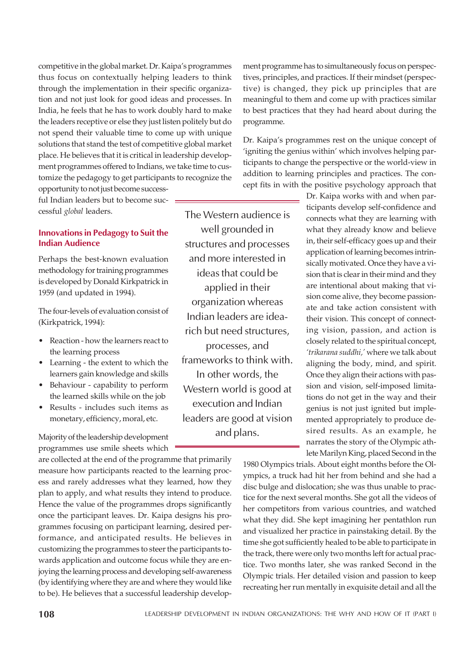competitive in the global market. Dr. Kaipa's programmes thus focus on contextually helping leaders to think through the implementation in their specific organization and not just look for good ideas and processes. In India, he feels that he has to work doubly hard to make the leaders receptive or else they just listen politely but do not spend their valuable time to come up with unique solutions that stand the test of competitive global market place. He believes that it is critical in leadership development programmes offered to Indians, we take time to customize the pedagogy to get participants to recognize the

opportunity to not just become successful Indian leaders but to become successful *global* leaders.

# Innovations in Pedagogy to Suit the Indian Audience

Perhaps the best-known evaluation methodology for training programmes is developed by Donald Kirkpatrick in 1959 (and updated in 1994).

The four-levels of evaluation consist of (Kirkpatrick, 1994):

- Reaction how the learners react to the learning process
- Learning the extent to which the learners gain knowledge and skills
- Behaviour capability to perform the learned skills while on the job
- Results includes such items as monetary, efficiency, moral, etc.

Majority of the leadership development programmes use smile sheets which

are collected at the end of the programme that primarily measure how participants reacted to the learning process and rarely addresses what they learned, how they plan to apply, and what results they intend to produce. Hence the value of the programmes drops significantly once the participant leaves. Dr. Kaipa designs his programmes focusing on participant learning, desired performance, and anticipated results. He believes in customizing the programmes to steer the participants towards application and outcome focus while they are enjoying the learning process and developing self-awareness (by identifying where they are and where they would like to be). He believes that a successful leadership development programme has to simultaneously focus on perspectives, principles, and practices. If their mindset (perspective) is changed, they pick up principles that are meaningful to them and come up with practices similar to best practices that they had heard about during the programme.

Dr. Kaipa's programmes rest on the unique concept of 'igniting the genius within' which involves helping participants to change the perspective or the world-view in addition to learning principles and practices. The concept fits in with the positive psychology approach that

The Western audience is well grounded in structures and processes and more interested in ideas that could be applied in their organization whereas Indian leaders are idearich but need structures, processes, and frameworks to think with. In other words, the Western world is good at execution and Indian leaders are good at vision and plans.

Dr. Kaipa works with and when participants develop self-confidence and connects what they are learning with what they already know and believe in, their self-efficacy goes up and their application of learning becomes intrinsically motivated. Once they have a vision that is clear in their mind and they are intentional about making that vision come alive, they become passionate and take action consistent with their vision. This concept of connecting vision, passion, and action is closely related to the spiritual concept, *'trikarana suddhi,'* where we talk about aligning the body, mind, and spirit. Once they align their actions with passion and vision, self-imposed limitations do not get in the way and their genius is not just ignited but implemented appropriately to produce desired results. As an example, he narrates the story of the Olympic athlete Marilyn King, placed Second in the

1980 Olympics trials. About eight months before the Olympics, a truck had hit her from behind and she had a disc bulge and dislocation; she was thus unable to practice for the next several months. She got all the videos of her competitors from various countries, and watched what they did. She kept imagining her pentathlon run and visualized her practice in painstaking detail. By the time she got sufficiently healed to be able to participate in the track, there were only two months left for actual practice. Two months later, she was ranked Second in the Olympic trials. Her detailed vision and passion to keep recreating her run mentally in exquisite detail and all the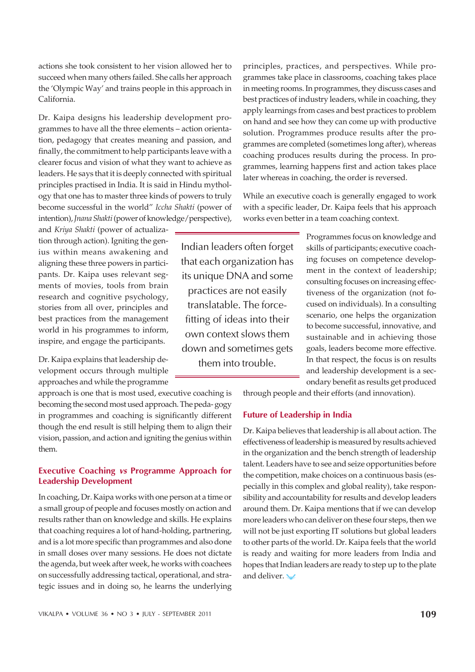VIKALPA • VOLUME 36 • NO 3 • JULY - SEPTEMBER 2011 109

actions she took consistent to her vision allowed her to succeed when many others failed. She calls her approach the 'Olympic Way' and trains people in this approach in California.

Dr. Kaipa designs his leadership development programmes to have all the three elements – action orientation, pedagogy that creates meaning and passion, and finally, the commitment to help participants leave with a clearer focus and vision of what they want to achieve as leaders. He says that it is deeply connected with spiritual principles practised in India. It is said in Hindu mythology that one has to master three kinds of powers to truly become successful in the world" *Iccha Shakti* (power of intention), *Jnana Shakti* (power of knowledge/perspective),

and *Kriya Shakti* (power of actualization through action). Igniting the genius within means awakening and aligning these three powers in participants. Dr. Kaipa uses relevant segments of movies, tools from brain research and cognitive psychology, stories from all over, principles and best practices from the management world in his programmes to inform, inspire, and engage the participants.

Dr. Kaipa explains that leadership development occurs through multiple approaches and while the programme

approach is one that is most used, executive coaching is becoming the second most used approach. The peda- gogy in programmes and coaching is significantly different though the end result is still helping them to align their vision, passion, and action and igniting the genius within them.

# Executive Coaching vs Programme Approach for Leadership Development

In coaching, Dr. Kaipa works with one person at a time or a small group of people and focuses mostly on action and results rather than on knowledge and skills. He explains that coaching requires a lot of hand-holding, partnering, and is a lot more specific than programmes and also done in small doses over many sessions. He does not dictate the agenda, but week after week, he works with coachees on successfully addressing tactical, operational, and strategic issues and in doing so, he learns the underlying

Indian leaders often forget that each organization has its unique DNA and some practices are not easily translatable. The forcefitting of ideas into their own context slows them down and sometimes gets them into trouble.

principles, practices, and perspectives. While programmes take place in classrooms, coaching takes place in meeting rooms. In programmes, they discuss cases and best practices of industry leaders, while in coaching, they apply learnings from cases and best practices to problem on hand and see how they can come up with productive solution. Programmes produce results after the programmes are completed (sometimes long after), whereas coaching produces results during the process. In programmes, learning happens first and action takes place later whereas in coaching, the order is reversed.

While an executive coach is generally engaged to work with a specific leader, Dr. Kaipa feels that his approach works even better in a team coaching context.

> Programmes focus on knowledge and skills of participants; executive coaching focuses on competence development in the context of leadership; consulting focuses on increasing effectiveness of the organization (not focused on individuals). In a consulting scenario, one helps the organization to become successful, innovative, and sustainable and in achieving those goals, leaders become more effective. In that respect, the focus is on results and leadership development is a secondary benefit as results get produced

through people and their efforts (and innovation).

# Future of Leadership in India

Dr. Kaipa believes that leadership is all about action. The effectiveness of leadership is measured by results achieved in the organization and the bench strength of leadership talent. Leaders have to see and seize opportunities before the competition, make choices on a continuous basis (especially in this complex and global reality), take responsibility and accountability for results and develop leaders around them. Dr. Kaipa mentions that if we can develop more leaders who can deliver on these four steps, then we will not be just exporting IT solutions but global leaders to other parts of the world. Dr. Kaipa feels that the world is ready and waiting for more leaders from India and hopes that Indian leaders are ready to step up to the plate and deliver.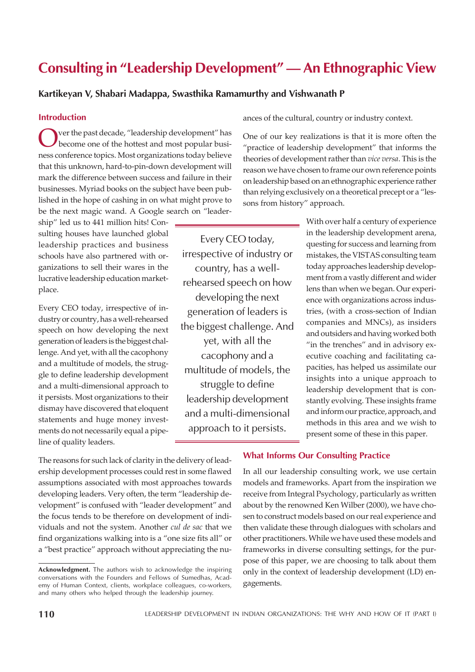# Consulting in "Leadership Development" — An Ethnographic View

# Kartikeyan V, Shabari Madappa, Swasthika Ramamurthy and Vishwanath P

#### Introduction

Over the past decade, "leadership development" has<br>become one of the hottest and most popular busi-<br>ness conference topics. Most organizations today believe ver the past decade, "leadership development" has become one of the hottest and most popular busithat this unknown, hard-to-pin-down development will mark the difference between success and failure in their businesses. Myriad books on the subject have been published in the hope of cashing in on what might prove to be the next magic wand. A Google search on "leader-

ship" led us to 441 million hits! Consulting houses have launched global leadership practices and business schools have also partnered with organizations to sell their wares in the lucrative leadership education marketplace.

Every CEO today, irrespective of industry or country, has a well-rehearsed speech on how developing the next generation of leaders is the biggest challenge. And yet, with all the cacophony and a multitude of models, the struggle to define leadership development and a multi-dimensional approach to it persists. Most organizations to their dismay have discovered that eloquent statements and huge money investments do not necessarily equal a pipeline of quality leaders.

Every CEO today, irrespective of industry or country, has a wellrehearsed speech on how developing the next generation of leaders is the biggest challenge. And yet, with all the cacophony and a multitude of models, the struggle to define leadership development and a multi-dimensional approach to it persists.

ances of the cultural, country or industry context.

One of our key realizations is that it is more often the "practice of leadership development" that informs the theories of development rather than *vice versa*. This is the reason we have chosen to frame our own reference points on leadership based on an ethnographic experience rather than relying exclusively on a theoretical precept or a "lessons from history" approach.

> With over half a century of experience in the leadership development arena, questing for success and learning from mistakes, the VISTAS consulting team today approaches leadership development from a vastly different and wider lens than when we began. Our experience with organizations across industries, (with a cross-section of Indian companies and MNCs), as insiders and outsiders and having worked both "in the trenches" and in advisory executive coaching and facilitating capacities, has helped us assimilate our insights into a unique approach to leadership development that is constantly evolving. These insights frame and inform our practice, approach, and methods in this area and we wish to present some of these in this paper.

The reasons for such lack of clarity in the delivery of leadership development processes could rest in some flawed assumptions associated with most approaches towards developing leaders. Very often, the term "leadership development" is confused with "leader development" and the focus tends to be therefore on development of individuals and not the system. Another *cul de sac* that we find organizations walking into is a "one size fits all" or a "best practice" approach without appreciating the nu-

### What Informs Our Consulting Practice

In all our leadership consulting work, we use certain models and frameworks. Apart from the inspiration we receive from Integral Psychology, particularly as written about by the renowned Ken Wilber (2000), we have chosen to construct models based on our real experience and then validate these through dialogues with scholars and other practitioners. While we have used these models and frameworks in diverse consulting settings, for the purpose of this paper, we are choosing to talk about them only in the context of leadership development (LD) engagements.

Acknowledgment. The authors wish to acknowledge the inspiring conversations with the Founders and Fellows of Sumedhas, Academy of Human Context, clients, workplace colleagues, co-workers, and many others who helped through the leadership journey.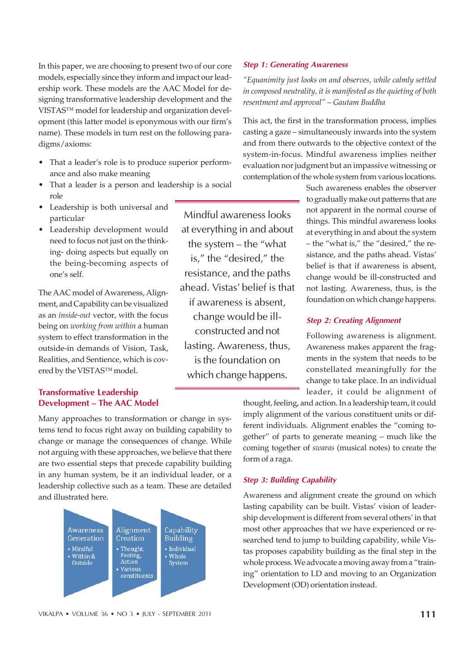In this paper, we are choosing to present two of our core models, especially since they inform and impact our leadership work. These models are the AAC Model for designing transformative leadership development and the VISTAS™ model for leadership and organization development (this latter model is eponymous with our firm's name). These models in turn rest on the following paradigms/axioms:

- That a leader's role is to produce superior performance and also make meaning
- That a leader is a person and leadership is a social role
- Leadership is both universal and particular
- Leadership development would need to focus not just on the thinking- doing aspects but equally on the being-becoming aspects of one's self.

The AAC model of Awareness, Alignment, and Capability can be visualized as an *inside-out* vector, with the focus being on *working from within* a human system to effect transformation in the outside-in demands of Vision, Task, Realities, and Sentience, which is covered by the VISTAS™ model.

# Transformative Leadership Development – The AAC Model

Many approaches to transformation or change in systems tend to focus right away on building capability to change or manage the consequences of change. While not arguing with these approaches, we believe that there are two essential steps that precede capability building in any human system, be it an individual leader, or a leadership collective such as a team. These are detailed and illustrated here.



Mindful awareness looks at everything in and about the system – the "what is," the "desired," the resistance, and the paths ahead. Vistas' belief is that if awareness is absent, change would be illconstructed and not lasting. Awareness, thus, is the foundation on which change happens.

#### Step 1: Generating Awareness

*"Equanimity just looks on and observes, while calmly settled in composed neutrality, it is manifested as the quieting of both resentment and approval" – Gautam Buddha*

This act, the first in the transformation process, implies casting a gaze – simultaneously inwards into the system and from there outwards to the objective context of the system-in-focus. Mindful awareness implies neither evaluation nor judgment but an impassive witnessing or contemplation of the whole system from various locations.

> Such awareness enables the observer to gradually make out patterns that are not apparent in the normal course of things. This mindful awareness looks at everything in and about the system – the "what is," the "desired," the resistance, and the paths ahead. Vistas' belief is that if awareness is absent, change would be ill-constructed and not lasting. Awareness, thus, is the foundation on which change happens.

#### Step 2: Creating Alignment

Following awareness is alignment. Awareness makes apparent the fragments in the system that needs to be constellated meaningfully for the change to take place. In an individual leader, it could be alignment of

thought, feeling, and action. In a leadership team, it could imply alignment of the various constituent units or different individuals. Alignment enables the "coming together" of parts to generate meaning – much like the coming together of *swaras* (musical notes) to create the form of a raga.

#### Step 3: Building Capability

Awareness and alignment create the ground on which lasting capability can be built. Vistas' vision of leadership development is different from several others' in that most other approaches that we have experienced or researched tend to jump to building capability, while Vistas proposes capability building as the final step in the whole process. We advocate a moving away from a "training" orientation to LD and moving to an Organization Development (OD) orientation instead.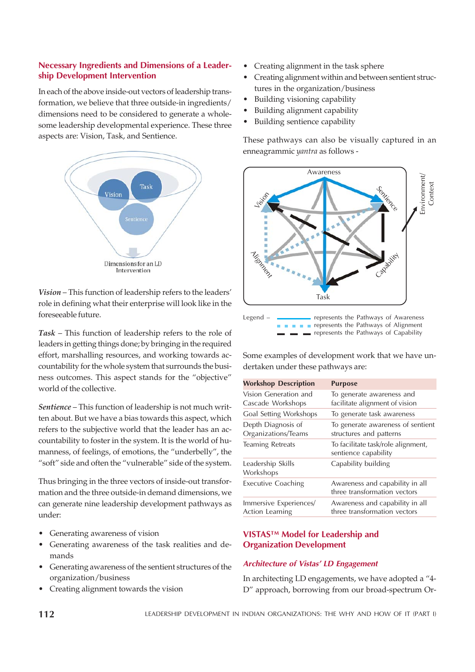# Necessary Ingredients and Dimensions of a Leadership Development Intervention

In each of the above inside-out vectors of leadership transformation, we believe that three outside-in ingredients/ dimensions need to be considered to generate a wholesome leadership developmental experience. These three aspects are: Vision, Task, and Sentience.



*Vision* – This function of leadership refers to the leaders' role in defining what their enterprise will look like in the foreseeable future.

*Task* – This function of leadership refers to the role of leaders in getting things done; by bringing in the required effort, marshalling resources, and working towards accountability for the whole system that surrounds the business outcomes. This aspect stands for the "objective" world of the collective.

*Sentience* – This function of leadership is not much written about. But we have a bias towards this aspect, which refers to the subjective world that the leader has an accountability to foster in the system. It is the world of humanness, of feelings, of emotions, the "underbelly", the "soft" side and often the "vulnerable" side of the system.

Thus bringing in the three vectors of inside-out transformation and the three outside-in demand dimensions, we can generate nine leadership development pathways as under:

- Generating awareness of vision
- Generating awareness of the task realities and demands
- Generating awareness of the sentient structures of the organization/business
- Creating alignment towards the vision
- Creating alignment in the task sphere
- Creating alignment within and between sentient structures in the organization/business
- Building visioning capability
- Building alignment capability
- Building sentience capability

These pathways can also be visually captured in an enneagrammic *yantra* as follows -



represents the Pathways of Capability

Some examples of development work that we have undertaken under these pathways are:

| <b>Workshop Description</b>                      | <b>Purpose</b>                                                  |
|--------------------------------------------------|-----------------------------------------------------------------|
| Vision Generation and<br>Cascade Workshops       | To generate awareness and<br>facilitate alignment of vision     |
| Goal Setting Workshops                           | To generate task awareness                                      |
| Depth Diagnosis of<br>Organizations/Teams        | To generate awareness of sentient<br>structures and patterns    |
| <b>Teaming Retreats</b>                          | To facilitate task/role alignment,<br>sentience capability      |
| Leadership Skills<br>Workshops                   | Capability building                                             |
| <b>Executive Coaching</b>                        | Awareness and capability in all<br>three transformation vectors |
| Immersive Experiences/<br><b>Action Learning</b> | Awareness and capability in all<br>three transformation vectors |

# VISTAS™ Model for Leadership and Organization Development

# Architecture of Vistas' LD Engagement

In architecting LD engagements, we have adopted a "4- D" approach, borrowing from our broad-spectrum Or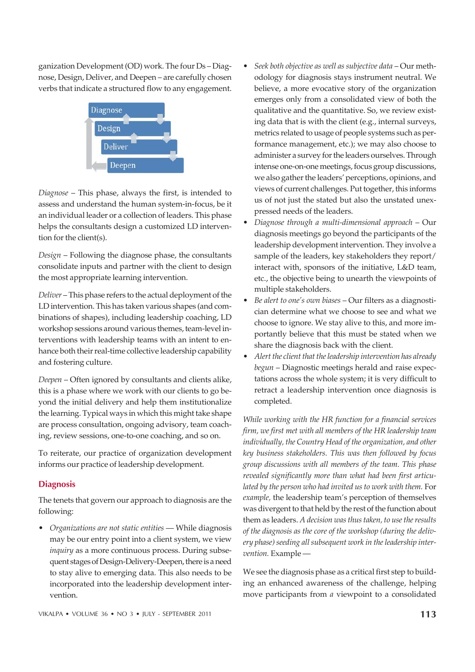ganization Development (OD) work. The four Ds – Diagnose, Design, Deliver, and Deepen – are carefully chosen verbs that indicate a structured flow to any engagement.



*Diagnose* – This phase, always the first, is intended to assess and understand the human system-in-focus, be it an individual leader or a collection of leaders. This phase helps the consultants design a customized LD intervention for the client(s).

*Design* – Following the diagnose phase, the consultants consolidate inputs and partner with the client to design the most appropriate learning intervention.

*Deliver* – This phase refers to the actual deployment of the LD intervention. This has taken various shapes (and combinations of shapes), including leadership coaching, LD workshop sessions around various themes, team-level interventions with leadership teams with an intent to enhance both their real-time collective leadership capability and fostering culture.

*Deepen* – Often ignored by consultants and clients alike, this is a phase where we work with our clients to go beyond the initial delivery and help them institutionalize the learning. Typical ways in which this might take shape are process consultation, ongoing advisory, team coaching, review sessions, one-to-one coaching, and so on.

To reiterate, our practice of organization development informs our practice of leadership development.

# **Diagnosis**

The tenets that govern our approach to diagnosis are the following:

• *Organizations are not static entities* — While diagnosis may be our entry point into a client system, we view *inquiry* as a more continuous process. During subsequent stages of Design-Delivery-Deepen, there is a need to stay alive to emerging data. This also needs to be incorporated into the leadership development intervention.

- *Seek both objective as well as subjective data* Our methodology for diagnosis stays instrument neutral. We believe, a more evocative story of the organization emerges only from a consolidated view of both the qualitative and the quantitative. So, we review existing data that is with the client (e.g., internal surveys, metrics related to usage of people systems such as performance management, etc.); we may also choose to administer a survey for the leaders ourselves. Through intense one-on-one meetings, focus group discussions, we also gather the leaders' perceptions, opinions, and views of current challenges. Put together, this informs us of not just the stated but also the unstated unexpressed needs of the leaders.
- ï *Diagnose through a multi-dimensional approach* Our diagnosis meetings go beyond the participants of the leadership development intervention. They involve a sample of the leaders, key stakeholders they report/ interact with, sponsors of the initiative, L&D team, etc., the objective being to unearth the viewpoints of multiple stakeholders.
- ï *Be alert to one's own biases* Our filters as a diagnostician determine what we choose to see and what we choose to ignore. We stay alive to this, and more importantly believe that this must be stated when we share the diagnosis back with the client.
- ï *Alert the client that the leadership intervention has already begun* – Diagnostic meetings herald and raise expectations across the whole system; it is very difficult to retract a leadership intervention once diagnosis is completed.

*While working with the HR function for a financial services firm, we first met with all members of the HR leadership team individually, the Country Head of the organization, and other key business stakeholders. This was then followed by focus group discussions with all members of the team. This phase revealed significantly more than what had been first articulated by the person who had invited us to work with them.* For *example,* the leadership team's perception of themselves was divergent to that held by the rest of the function about them as leaders. *A decision was thus taken, to use the results of the diagnosis as the core of the workshop (during the delivery phase) seeding all subsequent work in the leadership intervention.* Example —

We see the diagnosis phase as a critical first step to building an enhanced awareness of the challenge, helping move participants from *a* viewpoint to a consolidated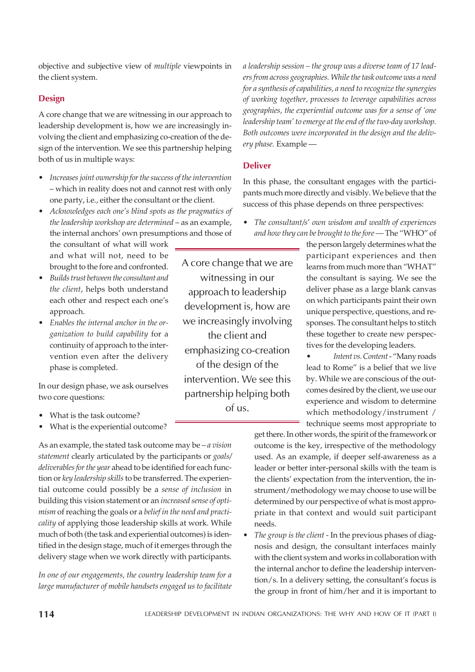objective and subjective view of *multiple* viewpoints in the client system.

# Design

A core change that we are witnessing in our approach to leadership development is, how we are increasingly involving the client and emphasizing co-creation of the design of the intervention. We see this partnership helping both of us in multiple ways:

- Increases joint ownership for the success of the intervention – which in reality does not and cannot rest with only one party, i.e., either the consultant or the client.
- ï *Acknowledges each one's blind spots as the pragmatics of the leadership workshop are determined* – as an example, the internal anchors' own presumptions and those of

the consultant of what will work and what will not, need to be brought to the fore and confronted.

- ï *Builds trust between the consultant and the client*, helps both understand each other and respect each one's approach.
- ï *Enables the internal anchor in the organization to build capability* for a continuity of approach to the intervention even after the delivery phase is completed.

In our design phase, we ask ourselves two core questions:

- What is the task outcome?
- What is the experiential outcome?

As an example, the stated task outcome may be – *a vision statement* clearly articulated by the participants or *goals/ deliverables for the year* ahead to be identified for each function or *key leadership skills* to be transferred. The experiential outcome could possibly be a *sense of inclusion* in building this vision statement or an *increased sense of optimism* of reaching the goals or a *belief in the need and practicality* of applying those leadership skills at work. While much of both (the task and experiential outcomes) is identified in the design stage, much of it emerges through the delivery stage when we work directly with participants.

*In one of our engagements, the country leadership team for a large manufacturer of mobile handsets engaged us to facilitate*

A core change that we are witnessing in our approach to leadership development is, how are we increasingly involving the client and emphasizing co-creation of the design of the intervention. We see this partnership helping both of us.

*a leadership session – the group was a diverse team of 17 leaders from across geographies. While the task outcome was a need for a synthesis of capabilities, a need to recognize the synergies of working together, processes to leverage capabilities across geographies, the experiential outcome was for a sense of 'one leadership team' to emerge at the end of the two-day workshop. Both outcomes were incorporated in the design and the delivery phase.* Example —

# Deliver

In this phase, the consultant engages with the participants much more directly and visibly. We believe that the success of this phase depends on three perspectives:

ï *The consultant/s*' *own wisdom and wealth of experiences and how they can be brought to the fore —* The "WHO" of

the person largely determines what the participant experiences and then learns from much more than "WHAT" the consultant is saying. We see the deliver phase as a large blank canvas on which participants paint their own unique perspective, questions, and responses. The consultant helps to stitch these together to create new perspectives for the developing leaders.

Intent vs. Content - "Many roads lead to Rome" is a belief that we live by. While we are conscious of the outcomes desired by the client, we use our experience and wisdom to determine which methodology/instrument / technique seems most appropriate to

get there. In other words, the spirit of the framework or outcome is the key, irrespective of the methodology used. As an example, if deeper self-awareness as a leader or better inter-personal skills with the team is the clients' expectation from the intervention, the instrument/methodology we may choose to use will be determined by our perspective of what is most appropriate in that context and would suit participant needs.

The group is the client - In the previous phases of diagnosis and design, the consultant interfaces mainly with the client system and works in collaboration with the internal anchor to define the leadership intervention/s. In a delivery setting, the consultant's focus is the group in front of him/her and it is important to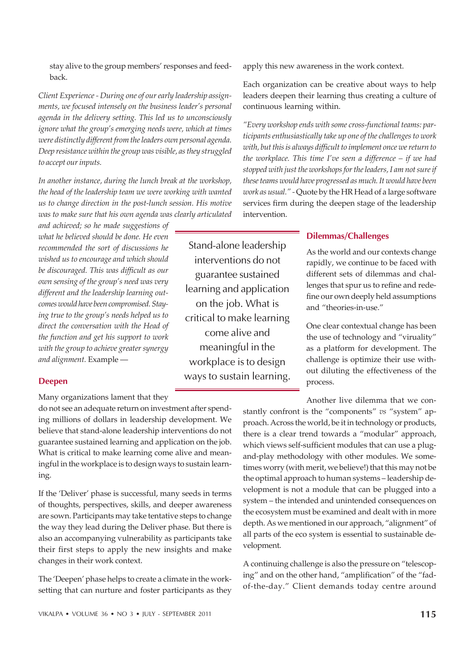stay alive to the group members' responses and feedback.

*Client Experience - During one of our early leadership assignments, we focused intensely on the business leader's personal agenda in the delivery setting. This led us to unconsciously ignore what the group's emerging needs were, which at times were distinctly different from the leaders own personal agenda. Deep resistance within the group was visible, as they struggled to accept our inputs.*

*In another instance, during the lunch break at the workshop, the head of the leadership team we were working with wanted us to change direction in the post-lunch session. His motive was to make sure that his own agenda was clearly articulated*

*and achieved; so he made suggestions of what he believed should be done. He even recommended the sort of discussions he wished us to encourage and which should be discouraged. This was difficult as our own sensing of the group's need was very different and the leadership learning outcomes would have been compromised. Staying true to the group's needs helped us to direct the conversation with the Head of the function and get his support to work with the group to achieve greater synergy and alignment.* Example —

#### Deepen

Many organizations lament that they

do not see an adequate return on investment after spending millions of dollars in leadership development. We believe that stand-alone leadership interventions do not guarantee sustained learning and application on the job. What is critical to make learning come alive and meaningful in the workplace is to design ways to sustain learning.

If the 'Deliver' phase is successful, many seeds in terms of thoughts, perspectives, skills, and deeper awareness are sown. Participants may take tentative steps to change the way they lead during the Deliver phase. But there is also an accompanying vulnerability as participants take their first steps to apply the new insights and make changes in their work context.

The 'Deepen' phase helps to create a climate in the worksetting that can nurture and foster participants as they apply this new awareness in the work context.

Each organization can be creative about ways to help leaders deepen their learning thus creating a culture of continuous learning within.

*"Every workshop ends with some cross-functional teams: participants enthusiastically take up one of the challenges to work with, but this is always difficult to implement once we return to the workplace. This time I've seen a difference – if we had stopped with just the workshops for the leaders, I am not sure if these teams would have progressed as much. It would have been work as usual." -* Quote by the HR Head of a large software services firm during the deepen stage of the leadership intervention.

### Dilemmas/Challenges

Stand-alone leadership interventions do not guarantee sustained learning and application on the job. What is critical to make learning come alive and meaningful in the workplace is to design ways to sustain learning.

As the world and our contexts change rapidly, we continue to be faced with different sets of dilemmas and challenges that spur us to refine and redefine our own deeply held assumptions and "theories-in-use."

One clear contextual change has been the use of technology and "viruality" as a platform for development. The challenge is optimize their use without diluting the effectiveness of the process.

Another live dilemma that we con-

stantly confront is the "components" *vs* "system" approach. Across the world, be it in technology or products, there is a clear trend towards a "modular" approach, which views self-sufficient modules that can use a plugand-play methodology with other modules. We sometimes worry (with merit, we believe!) that this may not be the optimal approach to human systems – leadership development is not a module that can be plugged into a system – the intended and unintended consequences on the ecosystem must be examined and dealt with in more depth. As we mentioned in our approach, "alignment" of all parts of the eco system is essential to sustainable development.

A continuing challenge is also the pressure on "telescoping" and on the other hand, "amplification" of the "fadof-the-day." Client demands today centre around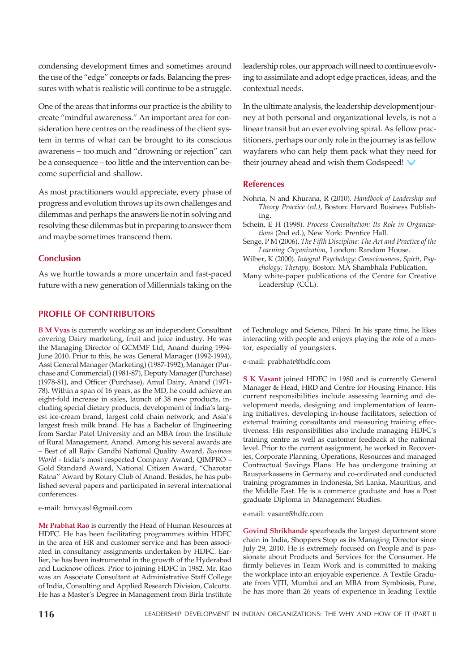condensing development times and sometimes around the use of the "edge" concepts or fads. Balancing the pressures with what is realistic will continue to be a struggle.

One of the areas that informs our practice is the ability to create "mindful awareness." An important area for consideration here centres on the readiness of the client system in terms of what can be brought to its conscious awareness – too much and "drowning or rejection" can be a consequence – too little and the intervention can become superficial and shallow.

As most practitioners would appreciate, every phase of progress and evolution throws up its own challenges and dilemmas and perhaps the answers lie not in solving and resolving these dilemmas but in preparing to answer them and maybe sometimes transcend them.

# **Conclusion**

As we hurtle towards a more uncertain and fast-paced future with a new generation of Millennials taking on the

#### PROFILE OF CONTRIBUTORS

**B M Vyas** is currently working as an independent Consultant covering Dairy marketing, fruit and juice industry. He was the Managing Director of GCMMF Ltd, Anand during 1994- June 2010. Prior to this, he was General Manager (1992-1994), Asst General Manager (Marketing) (1987-1992), Manager (Purchase and Commercial) (1981-87), Deputy Manager (Purchase) (1978-81), and Officer (Purchase), Amul Dairy, Anand (1971- 78). Within a span of 16 years, as the MD, he could achieve an eight-fold increase in sales, launch of 38 new products, including special dietary products, development of India's largest ice-cream brand, largest cold chain network, and Asia's largest fresh milk brand. He has a Bachelor of Engineering from Sardar Patel University and an MBA from the Institute of Rural Management, Anand. Among his several awards are – Best of all Rajiv Gandhi National Quality Award, *Business World* - India's most respected Company Award, QIMPRO – Gold Standard Award, National Citizen Award, "Charotar Ratna" Award by Rotary Club of Anand. Besides, he has published several papers and participated in several international conferences.

#### e-mail: bmvyas1@gmail.com

**Mr Prabhat Rao** is currently the Head of Human Resources at HDFC. He has been facilitating programmes within HDFC in the area of HR and customer service and has been associated in consultancy assignments undertaken by HDFC. Earlier, he has been instrumental in the growth of the Hyderabad and Lucknow offices. Prior to joining HDFC in 1982, Mr. Rao was an Associate Consultant at Administrative Staff College of India, Consulting and Applied Research Division, Calcutta. He has a Master's Degree in Management from Birla Institute leadership roles, our approach will need to continue evolving to assimilate and adopt edge practices, ideas, and the contextual needs.

In the ultimate analysis, the leadership development journey at both personal and organizational levels, is not a linear transit but an ever evolving spiral. As fellow practitioners, perhaps our only role in the journey is as fellow wayfarers who can help them pack what they need for their journey ahead and wish them Godspeed!

#### References

- Nohria, N and Khurana, R (2010). *Handbook of Leadership and Theory Practice (ed.)*, Boston: Harvard Business Publishing.
- Schein, E H (1998). *Process Consultation: Its Role in Organizations* (2nd ed.), New York: Prentice Hall.
- Senge, P M (2006). *The Fifth Discipline: The Art and Practice of the Learning Organization*, London: Random House.
- Wilber, K (2000). *Integral Psychology: Consciousness, Spirit, Psychology, Therapy,* Boston: MA Shambhala Publication.
- Many white-paper publications of the Centre for Creative Leadership (CCL).

of Technology and Science, Pilani. In his spare time, he likes interacting with people and enjoys playing the role of a mentor, especially of youngsters.

e-mail: prabhatr@hdfc.com

**S K Vasant** joined HDFC in 1980 and is currently General Manager & Head, HRD and Centre for Housing Finance. His current responsibilities include assessing learning and development needs, designing and implementation of learning initiatives, developing in-house facilitators, selection of external training consultants and measuring training effectiveness. His responsibilities also include managing HDFC's training centre as well as customer feedback at the national level. Prior to the current assignment, he worked in Recoveries, Corporate Planning, Operations, Resources and managed Contractual Savings Plans. He has undergone training at Bausparkassens in Germany and co-ordinated and conducted training programmes in Indonesia, Sri Lanka, Mauritius, and the Middle East. He is a commerce graduate and has a Post graduate Diploma in Management Studies.

#### e-mail: vasant@hdfc.com

**Govind Shrikhande** spearheads the largest department store chain in India, Shoppers Stop as its Managing Director since July 29, 2010. He is extremely focused on People and is passionate about Products and Services for the Consumer. He firmly believes in Team Work and is committed to making the workplace into an enjoyable experience. A Textile Graduate from VJTI, Mumbai and an MBA from Symbiosis, Pune, he has more than 26 years of experience in leading Textile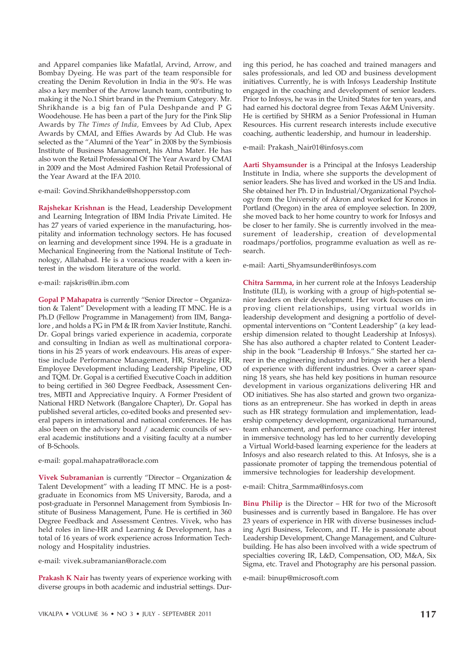and Apparel companies like Mafatlal, Arvind, Arrow, and Bombay Dyeing. He was part of the team responsible for creating the Denim Revolution in India in the 90's. He was also a key member of the Arrow launch team, contributing to making it the No.1 Shirt brand in the Premium Category. Mr. Shrikhande is a big fan of Pula Deshpande and P G Woodehouse. He has been a part of the Jury for the Pink Slip Awards by *The Times of India,* Emvees by Ad Club, Apex Awards by CMAI, and Effies Awards by Ad Club. He was selected as the "Alumni of the Year" in 2008 by the Symbiosis Institute of Business Management, his Alma Mater. He has also won the Retail Professional Of The Year Award by CMAI in 2009 and the Most Admired Fashion Retail Professional of the Year Award at the IFA 2010.

#### e-mail: Govind.Shrikhande@shoppersstop.com

**Rajshekar Krishnan** is the Head, Leadership Development and Learning Integration of IBM India Private Limited. He has 27 years of varied experience in the manufacturing, hospitality and information technology sectors. He has focused on learning and development since 1994. He is a graduate in Mechanical Engineering from the National Institute of Technology, Allahabad. He is a voracious reader with a keen interest in the wisdom literature of the world.

e-mail: rajskris@in.ibm.com

**Gopal P Mahapatra** is currently "Senior Director – Organization & Talent" Development with a leading IT MNC. He is a Ph.D (Fellow Programme in Management) from IIM, Bangalore , and holds a PG in PM & IR from Xavier Institute, Ranchi. Dr. Gopal brings varied experience in academia, corporate and consulting in Indian as well as multinational corporations in his 25 years of work endeavours. His areas of expertise include Performance Management, HR, Strategic HR, Employee Development including Leadership Pipeline, OD and TQM. Dr. Gopal is a certified Executive Coach in addition to being certified in 360 Degree Feedback, Assessment Centres, MBTI and Appreciative Inquiry. A Former President of National HRD Network (Bangalore Chapter), Dr. Gopal has published several articles, co-edited books and presented several papers in international and national conferences. He has also been on the advisory board / academic councils of several academic institutions and a visiting faculty at a number of B-Schools.

e-mail: gopal.mahapatra@oracle.com

**Vivek Subramanian** is currently "Director – Organization & Talent Development" with a leading IT MNC. He is a postgraduate in Economics from MS University, Baroda, and a post-graduate in Personnel Management from Symbiosis Institute of Business Management, Pune. He is certified in 360 Degree Feedback and Assessment Centres. Vivek, who has held roles in line-HR and Learning & Development, has a total of 16 years of work experience across Information Technology and Hospitality industries.

e-mail: vivek.subramanian@oracle.com

**Prakash K Nair** has twenty years of experience working with diverse groups in both academic and industrial settings. During this period, he has coached and trained managers and sales professionals, and led OD and business development initiatives. Currently, he is with Infosys Leadership Institute engaged in the coaching and development of senior leaders. Prior to Infosys, he was in the United States for ten years, and had earned his doctoral degree from Texas A&M University. He is certified by SHRM as a Senior Professional in Human Resources. His current research interests include executive coaching, authentic leadership, and humour in leadership.

e-mail: Prakash\_Nair01@infosys.com

**Aarti Shyamsunder** is a Principal at the Infosys Leadership Institute in India, where she supports the development of senior leaders. She has lived and worked in the US and India. She obtained her Ph. D in Industrial/Organizational Psychology from the University of Akron and worked for Kronos in Portland (Oregon) in the area of employee selection. In 2009, she moved back to her home country to work for Infosys and be closer to her family. She is currently involved in the measurement of leadership, creation of developmental roadmaps/portfolios, programme evaluation as well as research.

e-mail: Aarti\_Shyamsunder@infosys.com

**Chitra Sarmma,** in her current role at the Infosys Leadership Institute (ILI), is working with a group of high-potential senior leaders on their development. Her work focuses on improving client relationships, using virtual worlds in leadership development and designing a portfolio of developmental interventions on "Content Leadership" (a key leadership dimension related to thought Leadership at Infosys). She has also authored a chapter related to Content Leadership in the book "Leadership @ Infosys." She started her career in the engineering industry and brings with her a blend of experience with different industries. Over a career spanning 18 years, she has held key positions in human resource development in various organizations delivering HR and OD initiatives. She has also started and grown two organizations as an entrepreneur. She has worked in depth in areas such as HR strategy formulation and implementation, leadership competency development, organizational turnaround, team enhancement, and performance coaching. Her interest in immersive technology has led to her currently developing a Virtual World-based learning experience for the leaders at Infosys and also research related to this. At Infosys, she is a passionate promoter of tapping the tremendous potential of immersive technologies for leadership development.

e-mail: Chitra\_Sarmma@infosys.com

**Binu Philip** is the Director – HR for two of the Microsoft businesses and is currently based in Bangalore. He has over 23 years of experience in HR with diverse businesses including Agri Business, Telecom, and IT. He is passionate about Leadership Development, Change Management, and Culturebuilding. He has also been involved with a wide spectrum of specialties covering IR, L&D, Compensation, OD, M&A, Six Sigma, etc. Travel and Photography are his personal passion.

e-mail: binup@microsoft.com